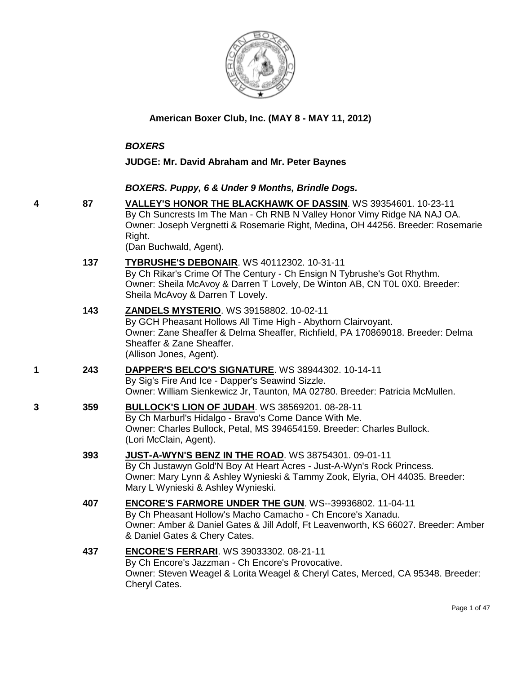

## **American Boxer Club, Inc. (MAY 8 - MAY 11, 2012)**

#### *BOXERS*

#### **JUDGE: Mr. David Abraham and Mr. Peter Baynes**

#### *BOXERS. Puppy, 6 & Under 9 Months, Brindle Dogs.*

**4 87 [VALLEY'S HONOR THE BLACKHAWK OF DASSIN](http://www.infodog.com/files/bdogrsl1.prg;makc=WS%2039354601;mdog=Valley_s_Honor_The_Blackhawk_of_Dassin;wins=all)**. WS 39354601. 10-23-11 By Ch Suncrests Im The Man - Ch RNB N Valley Honor Vimy Ridge NA NAJ OA. Owner: Joseph Vergnetti & Rosemarie Right, Medina, OH 44256. Breeder: Rosemarie Right.

(Dan Buchwald, Agent).

- **137 [TYBRUSHE'S DEBONAIR](http://www.infodog.com/files/bdogrsl1.prg;makc=WS%2040112302;mdog=Tybrushe_s_Debonair;wins=all)**. WS 40112302. 10-31-11 By Ch Rikar's Crime Of The Century - Ch Ensign N Tybrushe's Got Rhythm. Owner: Sheila McAvoy & Darren T Lovely, De Winton AB, CN T0L 0X0. Breeder: Sheila McAvoy & Darren T Lovely.
- **143 [ZANDELS MYSTERIO](http://www.infodog.com/files/bdogrsl1.prg;makc=WS%2039158802;mdog=Zandels_Mysterio;wins=all)**. WS 39158802. 10-02-11 By GCH Pheasant Hollows All Time High - Abythorn Clairvoyant. Owner: Zane Sheaffer & Delma Sheaffer, Richfield, PA 170869018. Breeder: Delma Sheaffer & Zane Sheaffer. (Allison Jones, Agent).
- **1 243 [DAPPER'S BELCO'S SIGNATURE](http://www.infodog.com/files/bdogrsl1.prg;makc=WS%2038944302;mdog=Dapper_s_Belco_s_Signature;wins=all)**. WS 38944302. 10-14-11 By Sig's Fire And Ice - Dapper's Seawind Sizzle.

Owner: William Sienkewicz Jr, Taunton, MA 02780. Breeder: Patricia McMullen.

- **3 359 [BULLOCK'S LION OF JUDAH](http://www.infodog.com/files/bdogrsl1.prg;makc=WS%2038569201;mdog=Bullock_s_Lion_Of_Judah;wins=all)**. WS 38569201. 08-28-11 By Ch Marburl's Hidalgo - Bravo's Come Dance With Me. Owner: Charles Bullock, Petal, MS 394654159. Breeder: Charles Bullock. (Lori McClain, Agent).
	- **393 [JUST-A-WYN'S BENZ IN THE ROAD](http://www.infodog.com/files/bdogrsl1.prg;makc=WS%2038754301;mdog=Just-A-Wyn_s_Benz_In_The_Road;wins=all)**. WS 38754301. 09-01-11 By Ch Justawyn Gold'N Boy At Heart Acres - Just-A-Wyn's Rock Princess. Owner: Mary Lynn & Ashley Wynieski & Tammy Zook, Elyria, OH 44035. Breeder: Mary L Wynieski & Ashley Wynieski.
	- **407 [ENCORE'S FARMORE UNDER THE GUN](http://www.infodog.com/files/bdogrsl1.prg;makc=WS--39936802;mdog=Encore_s_Farmore_Under_The_Gun;wins=all)**. WS--39936802. 11-04-11 By Ch Pheasant Hollow's Macho Camacho - Ch Encore's Xanadu. Owner: Amber & Daniel Gates & Jill Adolf, Ft Leavenworth, KS 66027. Breeder: Amber & Daniel Gates & Chery Cates.

## **437 [ENCORE'S FERRARI](http://www.infodog.com/files/bdogrsl1.prg;makc=WS%2039033302;mdog=Encore_s_Ferrari;wins=all)**. WS 39033302. 08-21-11 By Ch Encore's Jazzman - Ch Encore's Provocative. Owner: Steven Weagel & Lorita Weagel & Cheryl Cates, Merced, CA 95348. Breeder: Cheryl Cates.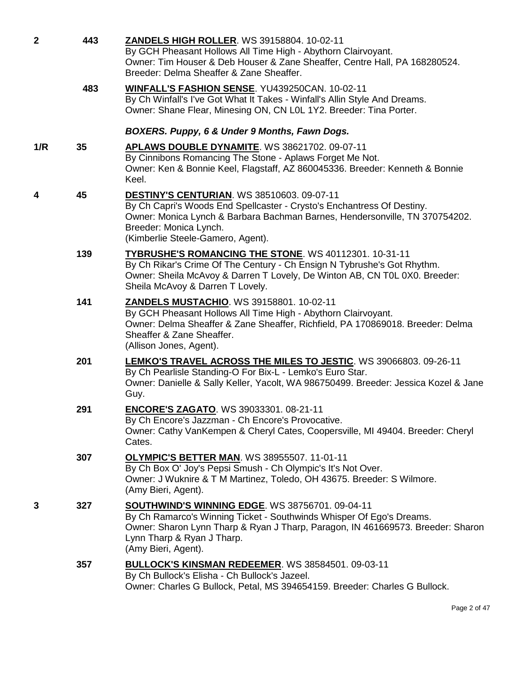| $\mathbf{2}$ | 443 | <b>ZANDELS HIGH ROLLER. WS 39158804. 10-02-11</b><br>By GCH Pheasant Hollows All Time High - Abythorn Clairvoyant.<br>Owner: Tim Houser & Deb Houser & Zane Sheaffer, Centre Hall, PA 168280524.<br>Breeder: Delma Sheaffer & Zane Sheaffer.                              |
|--------------|-----|---------------------------------------------------------------------------------------------------------------------------------------------------------------------------------------------------------------------------------------------------------------------------|
|              | 483 | WINFALL'S FASHION SENSE. YU439250CAN. 10-02-11<br>By Ch Winfall's I've Got What It Takes - Winfall's Allin Style And Dreams.<br>Owner: Shane Flear, Minesing ON, CN L0L 1Y2. Breeder: Tina Porter.                                                                        |
|              |     | BOXERS. Puppy, 6 & Under 9 Months, Fawn Dogs.                                                                                                                                                                                                                             |
| 1/R          | 35  | <b>APLAWS DOUBLE DYNAMITE. WS 38621702. 09-07-11</b><br>By Cinnibons Romancing The Stone - Aplaws Forget Me Not.<br>Owner: Ken & Bonnie Keel, Flagstaff, AZ 860045336. Breeder: Kenneth & Bonnie<br>Keel.                                                                 |
| 4            | 45  | <b>DESTINY'S CENTURIAN. WS 38510603. 09-07-11</b><br>By Ch Capri's Woods End Spellcaster - Crysto's Enchantress Of Destiny.<br>Owner: Monica Lynch & Barbara Bachman Barnes, Hendersonville, TN 370754202.<br>Breeder: Monica Lynch.<br>(Kimberlie Steele-Gamero, Agent). |
|              | 139 | <b>TYBRUSHE'S ROMANCING THE STONE. WS 40112301. 10-31-11</b><br>By Ch Rikar's Crime Of The Century - Ch Ensign N Tybrushe's Got Rhythm.<br>Owner: Sheila McAvoy & Darren T Lovely, De Winton AB, CN T0L 0X0. Breeder:<br>Sheila McAvoy & Darren T Lovely.                 |
|              | 141 | <b>ZANDELS MUSTACHIO. WS 39158801. 10-02-11</b><br>By GCH Pheasant Hollows All Time High - Abythorn Clairvoyant.<br>Owner: Delma Sheaffer & Zane Sheaffer, Richfield, PA 170869018. Breeder: Delma<br>Sheaffer & Zane Sheaffer.<br>(Allison Jones, Agent).                |
|              | 201 | <b>LEMKO'S TRAVEL ACROSS THE MILES TO JESTIC. WS 39066803. 09-26-11</b><br>By Ch Pearlisle Standing-O For Bix-L - Lemko's Euro Star.<br>Owner: Danielle & Sally Keller, Yacolt, WA 986750499. Breeder: Jessica Kozel & Jane<br>Guy.                                       |
|              | 291 | <b>ENCORE'S ZAGATO. WS 39033301. 08-21-11</b><br>By Ch Encore's Jazzman - Ch Encore's Provocative.<br>Owner: Cathy VanKempen & Cheryl Cates, Coopersville, MI 49404. Breeder: Cheryl<br>Cates.                                                                            |
|              | 307 | <b>OLYMPIC'S BETTER MAN. WS 38955507. 11-01-11</b><br>By Ch Box O' Joy's Pepsi Smush - Ch Olympic's It's Not Over.<br>Owner: J Wuknire & T M Martinez, Toledo, OH 43675. Breeder: S Wilmore.<br>(Amy Bieri, Agent).                                                       |
| 3            | 327 | <b>SOUTHWIND'S WINNING EDGE. WS 38756701. 09-04-11</b><br>By Ch Ramarco's Winning Ticket - Southwinds Whisper Of Ego's Dreams.<br>Owner: Sharon Lynn Tharp & Ryan J Tharp, Paragon, IN 461669573. Breeder: Sharon<br>Lynn Tharp & Ryan J Tharp.<br>(Amy Bieri, Agent).    |
|              | 357 | <b>BULLOCK'S KINSMAN REDEEMER. WS 38584501. 09-03-11</b><br>By Ch Bullock's Elisha - Ch Bullock's Jazeel.<br>Owner: Charles G Bullock, Petal, MS 394654159. Breeder: Charles G Bullock.                                                                                   |

Page 2 of 47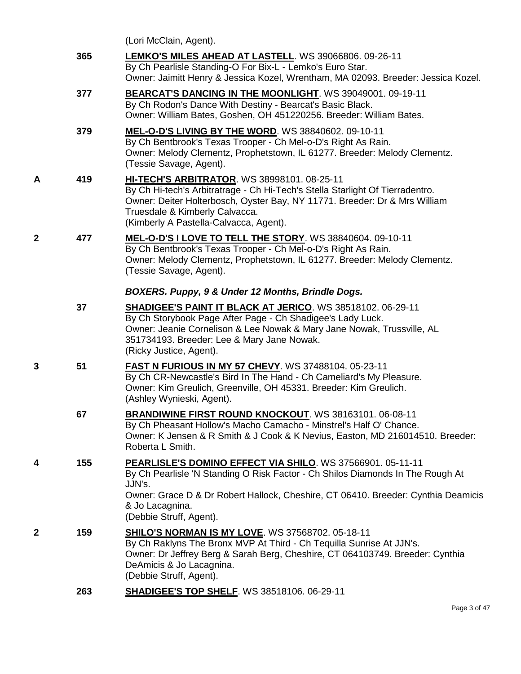|   |     | (Lori McClain, Agent).                                                                                                                                                                                                                                                                        |
|---|-----|-----------------------------------------------------------------------------------------------------------------------------------------------------------------------------------------------------------------------------------------------------------------------------------------------|
|   | 365 | <b>LEMKO'S MILES AHEAD AT LASTELL. WS 39066806. 09-26-11</b><br>By Ch Pearlisle Standing-O For Bix-L - Lemko's Euro Star.<br>Owner: Jaimitt Henry & Jessica Kozel, Wrentham, MA 02093. Breeder: Jessica Kozel.                                                                                |
|   | 377 | BEARCAT'S DANCING IN THE MOONLIGHT. WS 39049001. 09-19-11<br>By Ch Rodon's Dance With Destiny - Bearcat's Basic Black.<br>Owner: William Bates, Goshen, OH 451220256. Breeder: William Bates.                                                                                                 |
|   | 379 | MEL-O-D'S LIVING BY THE WORD. WS 38840602. 09-10-11<br>By Ch Bentbrook's Texas Trooper - Ch Mel-o-D's Right As Rain.<br>Owner: Melody Clementz, Prophetstown, IL 61277. Breeder: Melody Clementz.<br>(Tessie Savage, Agent).                                                                  |
| Α | 419 | <b>HI-TECH'S ARBITRATOR. WS 38998101. 08-25-11</b><br>By Ch Hi-tech's Arbitratrage - Ch Hi-Tech's Stella Starlight Of Tierradentro.<br>Owner: Deiter Holterbosch, Oyster Bay, NY 11771. Breeder: Dr & Mrs William<br>Truesdale & Kimberly Calvacca.<br>(Kimberly A Pastella-Calvacca, Agent). |
| 2 | 477 | MEL-O-D'S I LOVE TO TELL THE STORY. WS 38840604. 09-10-11<br>By Ch Bentbrook's Texas Trooper - Ch Mel-o-D's Right As Rain.<br>Owner: Melody Clementz, Prophetstown, IL 61277. Breeder: Melody Clementz.<br>(Tessie Savage, Agent).                                                            |
|   |     | BOXERS. Puppy, 9 & Under 12 Months, Brindle Dogs.                                                                                                                                                                                                                                             |
|   | 37  | SHADIGEE'S PAINT IT BLACK AT JERICO. WS 38518102. 06-29-11<br>By Ch Storybook Page After Page - Ch Shadigee's Lady Luck.<br>Owner: Jeanie Cornelison & Lee Nowak & Mary Jane Nowak, Trussville, AL<br>351734193. Breeder: Lee & Mary Jane Nowak.<br>(Ricky Justice, Agent).                   |
| 3 | 51  | FAST N FURIOUS IN MY 57 CHEVY. WS 37488104. 05-23-11<br>By Ch CR-Newcastle's Bird In The Hand - Ch Cameliard's My Pleasure.<br>Owner: Kim Greulich, Greenville, OH 45331. Breeder: Kim Greulich.<br>(Ashley Wynieski, Agent).                                                                 |
|   | 67  | BRANDIWINE FIRST ROUND KNOCKOUT. WS 38163101. 06-08-11<br>By Ch Pheasant Hollow's Macho Camacho - Minstrel's Half O' Chance.<br>Owner: K Jensen & R Smith & J Cook & K Nevius, Easton, MD 216014510. Breeder:<br>Roberta L Smith.                                                             |
| 4 | 155 | PEARLISLE'S DOMINO EFFECT VIA SHILO. WS 37566901. 05-11-11<br>By Ch Pearlisle 'N Standing O Risk Factor - Ch Shilos Diamonds In The Rough At<br>JJN's.<br>Owner: Grace D & Dr Robert Hallock, Cheshire, CT 06410. Breeder: Cynthia Deamicis<br>& Jo Lacagnina.<br>(Debbie Struff, Agent).     |
| 2 | 159 | <b>SHILO'S NORMAN IS MY LOVE. WS 37568702. 05-18-11</b><br>By Ch Raklyns The Bronx MVP At Third - Ch Tequilla Sunrise At JJN's.<br>Owner: Dr Jeffrey Berg & Sarah Berg, Cheshire, CT 064103749. Breeder: Cynthia<br>DeAmicis & Jo Lacagnina.<br>(Debbie Struff, Agent).                       |
|   | 263 | <b>SHADIGEE'S TOP SHELF. WS 38518106. 06-29-11</b>                                                                                                                                                                                                                                            |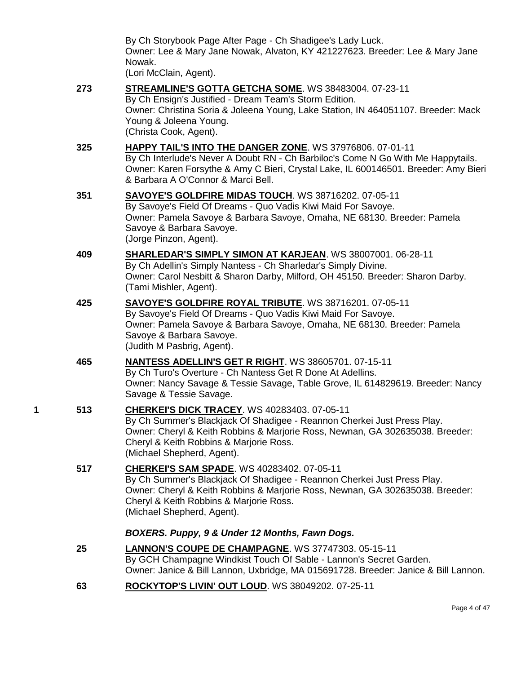By Ch Storybook Page After Page - Ch Shadigee's Lady Luck. Owner: Lee & Mary Jane Nowak, Alvaton, KY 421227623. Breeder: Lee & Mary Jane Nowak.

(Lori McClain, Agent).

**273 [STREAMLINE'S GOTTA GETCHA SOME](http://www.infodog.com/files/bdogrsl1.prg;makc=WS%2038483004;mdog=Streamline_s_Gotta_Getcha_Some;wins=all)**. WS 38483004. 07-23-11 By Ch Ensign's Justified - Dream Team's Storm Edition. Owner: Christina Soria & Joleena Young, Lake Station, IN 464051107. Breeder: Mack Young & Joleena Young. (Christa Cook, Agent). **325 [HAPPY TAIL'S INTO THE DANGER ZONE](http://www.infodog.com/files/bdogrsl1.prg;makc=WS%2037976806;mdog=Happy_Tail_s_Into_The_Danger_Zone;wins=all)**. WS 37976806. 07-01-11 By Ch Interlude's Never A Doubt RN - Ch Barbiloc's Come N Go With Me Happytails. Owner: Karen Forsythe & Amy C Bieri, Crystal Lake, IL 600146501. Breeder: Amy Bieri & Barbara A O'Connor & Marci Bell. **351 [SAVOYE'S GOLDFIRE MIDAS TOUCH](http://www.infodog.com/files/bdogrsl1.prg;makc=WS%2038716202;mdog=Savoye_s_Goldfire_Midas_Touch;wins=all)**. WS 38716202. 07-05-11 By Savoye's Field Of Dreams - Quo Vadis Kiwi Maid For Savoye. Owner: Pamela Savoye & Barbara Savoye, Omaha, NE 68130. Breeder: Pamela Savoye & Barbara Savoye. (Jorge Pinzon, Agent). **409 [SHARLEDAR'S SIMPLY SIMON AT KARJEAN](http://www.infodog.com/files/bdogrsl1.prg;makc=WS%2038007001;mdog=Sharledar_s_Simply_Simon_At_Karjean;wins=all)**. WS 38007001. 06-28-11 By Ch Adellin's Simply Nantess - Ch Sharledar's Simply Divine. Owner: Carol Nesbitt & Sharon Darby, Milford, OH 45150. Breeder: Sharon Darby. (Tami Mishler, Agent). **425 [SAVOYE'S GOLDFIRE ROYAL TRIBUTE](http://www.infodog.com/files/bdogrsl1.prg;makc=WS%2038716201;mdog=Savoye_s_Goldfire_Royal_Tribute;wins=all)**. WS 38716201. 07-05-11 By Savoye's Field Of Dreams - Quo Vadis Kiwi Maid For Savoye. Owner: Pamela Savoye & Barbara Savoye, Omaha, NE 68130. Breeder: Pamela Savoye & Barbara Savoye. (Judith M Pasbrig, Agent). **465 [NANTESS ADELLIN'S GET R RIGHT](http://www.infodog.com/files/bdogrsl1.prg;makc=WS%2038605701;mdog=Nantess_Adellin_s_Get_R_Right;wins=all)**. WS 38605701. 07-15-11 By Ch Turo's Overture - Ch Nantess Get R Done At Adellins. Owner: Nancy Savage & Tessie Savage, Table Grove, IL 614829619. Breeder: Nancy Savage & Tessie Savage. **1 513 [CHERKEI'S DICK TRACEY](http://www.infodog.com/files/bdogrsl1.prg;makc=WS%2040283403;mdog=Cherkei_s_Dick_Tracey;wins=all)**. WS 40283403. 07-05-11 By Ch Summer's Blackjack Of Shadigee - Reannon Cherkei Just Press Play. Owner: Cheryl & Keith Robbins & Marjorie Ross, Newnan, GA 302635038. Breeder: Cheryl & Keith Robbins & Marjorie Ross. (Michael Shepherd, Agent). **517 [CHERKEI'S SAM SPADE](http://www.infodog.com/files/bdogrsl1.prg;makc=WS%2040283402;mdog=Cherkei_s_Sam_Spade;wins=all)**. WS 40283402. 07-05-11 By Ch Summer's Blackjack Of Shadigee - Reannon Cherkei Just Press Play. Owner: Cheryl & Keith Robbins & Marjorie Ross, Newnan, GA 302635038. Breeder: Cheryl & Keith Robbins & Marjorie Ross. (Michael Shepherd, Agent). *BOXERS. Puppy, 9 & Under 12 Months, Fawn Dogs.* **25 [LANNON'S COUPE DE CHAMPAGNE](http://www.infodog.com/files/bdogrsl1.prg;makc=WS%2037747303;mdog=Lannon_s_Coupe_De_Champagne;wins=all)**. WS 37747303. 05-15-11 By GCH Champagne Windkist Touch Of Sable - Lannon's Secret Garden. Owner: Janice & Bill Lannon, Uxbridge, MA 015691728. Breeder: Janice & Bill Lannon. **63 [ROCKYTOP'S LIVIN' OUT LOUD](http://www.infodog.com/files/bdogrsl1.prg;makc=WS%2038049202;mdog=Rockytop_s_Livin__Out_Loud;wins=all)**. WS 38049202. 07-25-11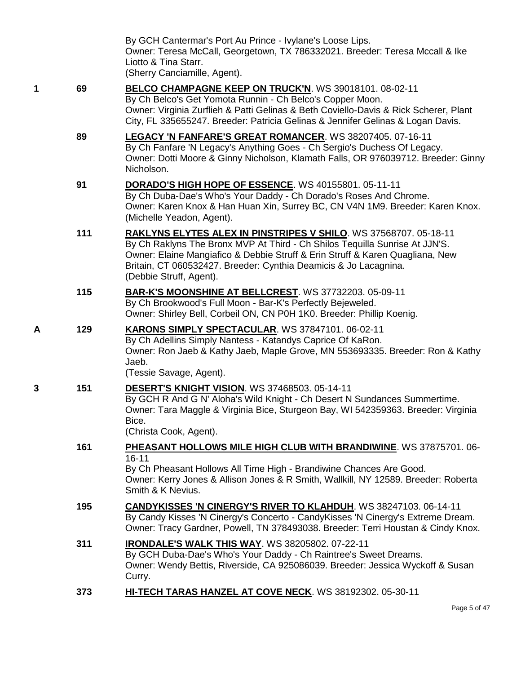|   |     | By GCH Cantermar's Port Au Prince - Ivylane's Loose Lips.<br>Owner: Teresa McCall, Georgetown, TX 786332021. Breeder: Teresa Mccall & Ike<br>Liotto & Tina Starr.<br>(Sherry Canciamille, Agent).                                                                                                                                      |
|---|-----|----------------------------------------------------------------------------------------------------------------------------------------------------------------------------------------------------------------------------------------------------------------------------------------------------------------------------------------|
| 1 | 69  | BELCO CHAMPAGNE KEEP ON TRUCK'N. WS 39018101. 08-02-11<br>By Ch Belco's Get Yomota Runnin - Ch Belco's Copper Moon.<br>Owner: Virginia Zurflieh & Patti Gelinas & Beth Coviello-Davis & Rick Scherer, Plant<br>City, FL 335655247. Breeder: Patricia Gelinas & Jennifer Gelinas & Logan Davis.                                         |
|   | 89  | LEGACY 'N FANFARE'S GREAT ROMANCER. WS 38207405. 07-16-11<br>By Ch Fanfare 'N Legacy's Anything Goes - Ch Sergio's Duchess Of Legacy.<br>Owner: Dotti Moore & Ginny Nicholson, Klamath Falls, OR 976039712. Breeder: Ginny<br>Nicholson.                                                                                               |
|   | 91  | DORADO'S HIGH HOPE OF ESSENCE. WS 40155801. 05-11-11<br>By Ch Duba-Dae's Who's Your Daddy - Ch Dorado's Roses And Chrome.<br>Owner: Karen Knox & Han Huan Xin, Surrey BC, CN V4N 1M9. Breeder: Karen Knox.<br>(Michelle Yeadon, Agent).                                                                                                |
|   | 111 | <b>RAKLYNS ELYTES ALEX IN PINSTRIPES V SHILO. WS 37568707. 05-18-11</b><br>By Ch Raklyns The Bronx MVP At Third - Ch Shilos Tequilla Sunrise At JJN'S.<br>Owner: Elaine Mangiafico & Debbie Struff & Erin Struff & Karen Quagliana, New<br>Britain, CT 060532427. Breeder: Cynthia Deamicis & Jo Lacagnina.<br>(Debbie Struff, Agent). |
|   | 115 | <b>BAR-K'S MOONSHINE AT BELLCREST. WS 37732203. 05-09-11</b><br>By Ch Brookwood's Full Moon - Bar-K's Perfectly Bejeweled.<br>Owner: Shirley Bell, Corbeil ON, CN P0H 1K0. Breeder: Phillip Koenig.                                                                                                                                    |
| Α | 129 | KARONS SIMPLY SPECTACULAR. WS 37847101. 06-02-11<br>By Ch Adellins Simply Nantess - Katandys Caprice Of KaRon.<br>Owner: Ron Jaeb & Kathy Jaeb, Maple Grove, MN 553693335. Breeder: Ron & Kathy<br>Jaeb.<br>(Tessie Savage, Agent).                                                                                                    |
| 3 | 151 | DESERT'S KNIGHT VISION. WS 37468503. 05-14-11<br>By GCH R And G N' Aloha's Wild Knight - Ch Desert N Sundances Summertime.<br>Owner: Tara Maggle & Virginia Bice, Sturgeon Bay, WI 542359363. Breeder: Virginia<br>Bice.<br>(Christa Cook, Agent).                                                                                     |
|   | 161 | PHEASANT HOLLOWS MILE HIGH CLUB WITH BRANDIWINE. WS 37875701. 06-<br>$16 - 11$<br>By Ch Pheasant Hollows All Time High - Brandiwine Chances Are Good.<br>Owner: Kerry Jones & Allison Jones & R Smith, Wallkill, NY 12589. Breeder: Roberta<br>Smith & K Nevius.                                                                       |
|   | 195 | <b>CANDYKISSES 'N CINERGY'S RIVER TO KLAHDUH.</b> WS 38247103. 06-14-11<br>By Candy Kisses 'N Cinergy's Concerto - CandyKisses 'N Cinergy's Extreme Dream.<br>Owner: Tracy Gardner, Powell, TN 378493038. Breeder: Terri Houstan & Cindy Knox.                                                                                         |
|   | 311 | <b>IRONDALE'S WALK THIS WAY. WS 38205802. 07-22-11</b><br>By GCH Duba-Dae's Who's Your Daddy - Ch Raintree's Sweet Dreams.<br>Owner: Wendy Bettis, Riverside, CA 925086039. Breeder: Jessica Wyckoff & Susan<br>Curry.                                                                                                                 |
|   | 373 | HI-TECH TARAS HANZEL AT COVE NECK. WS 38192302. 05-30-11                                                                                                                                                                                                                                                                               |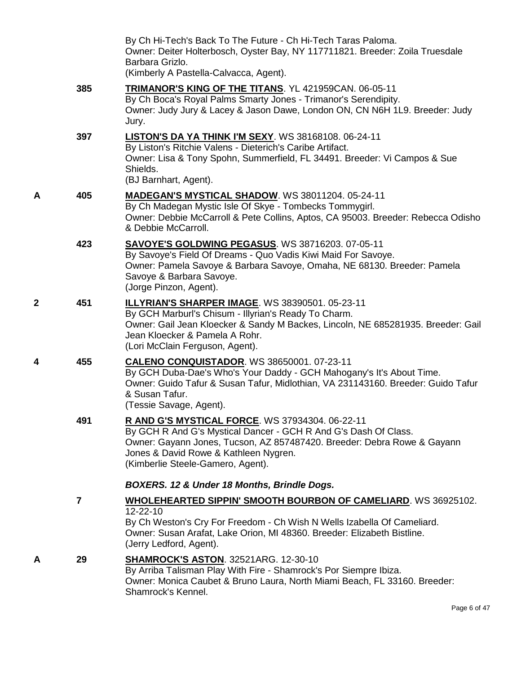|   |                         | By Ch Hi-Tech's Back To The Future - Ch Hi-Tech Taras Paloma.<br>Owner: Deiter Holterbosch, Oyster Bay, NY 117711821. Breeder: Zoila Truesdale<br>Barbara Grizlo.<br>(Kimberly A Pastella-Calvacca, Agent).                                                                 |
|---|-------------------------|-----------------------------------------------------------------------------------------------------------------------------------------------------------------------------------------------------------------------------------------------------------------------------|
|   | 385                     | TRIMANOR'S KING OF THE TITANS. YL 421959CAN. 06-05-11<br>By Ch Boca's Royal Palms Smarty Jones - Trimanor's Serendipity.<br>Owner: Judy Jury & Lacey & Jason Dawe, London ON, CN N6H 1L9. Breeder: Judy<br>Jury.                                                            |
|   | 397                     | <b>LISTON'S DA YA THINK I'M SEXY. WS 38168108. 06-24-11</b><br>By Liston's Ritchie Valens - Dieterich's Caribe Artifact.<br>Owner: Lisa & Tony Spohn, Summerfield, FL 34491. Breeder: Vi Campos & Sue<br>Shields.<br>(BJ Barnhart, Agent).                                  |
| Α | 405                     | MADEGAN'S MYSTICAL SHADOW. WS 38011204. 05-24-11<br>By Ch Madegan Mystic Isle Of Skye - Tombecks Tommygirl.<br>Owner: Debbie McCarroll & Pete Collins, Aptos, CA 95003. Breeder: Rebecca Odisho<br>& Debbie McCarroll.                                                      |
|   | 423                     | <b>SAVOYE'S GOLDWING PEGASUS. WS 38716203. 07-05-11</b><br>By Savoye's Field Of Dreams - Quo Vadis Kiwi Maid For Savoye.<br>Owner: Pamela Savoye & Barbara Savoye, Omaha, NE 68130. Breeder: Pamela<br>Savoye & Barbara Savoye.<br>(Jorge Pinzon, Agent).                   |
| 2 | 451                     | <b>ILLYRIAN'S SHARPER IMAGE. WS 38390501. 05-23-11</b><br>By GCH Marburl's Chisum - Illyrian's Ready To Charm.<br>Owner: Gail Jean Kloecker & Sandy M Backes, Lincoln, NE 685281935. Breeder: Gail<br>Jean Kloecker & Pamela A Rohr.<br>(Lori McClain Ferguson, Agent).     |
| 4 | 455                     | <b>CALENO CONQUISTADOR. WS 38650001. 07-23-11</b><br>By GCH Duba-Dae's Who's Your Daddy - GCH Mahogany's It's About Time.<br>Owner: Guido Tafur & Susan Tafur, Midlothian, VA 231143160. Breeder: Guido Tafur<br>& Susan Tafur.<br>(Tessie Savage, Agent).                  |
|   | 491                     | R AND G'S MYSTICAL FORCE. WS 37934304. 06-22-11<br>By GCH R And G's Mystical Dancer - GCH R And G's Dash Of Class.<br>Owner: Gayann Jones, Tucson, AZ 857487420. Breeder: Debra Rowe & Gayann<br>Jones & David Rowe & Kathleen Nygren.<br>(Kimberlie Steele-Gamero, Agent). |
|   |                         | BOXERS. 12 & Under 18 Months, Brindle Dogs.                                                                                                                                                                                                                                 |
|   | $\overline{\mathbf{r}}$ | <b>WHOLEHEARTED SIPPIN' SMOOTH BOURBON OF CAMELIARD. WS 36925102.</b><br>12-22-10                                                                                                                                                                                           |
|   |                         | By Ch Weston's Cry For Freedom - Ch Wish N Wells Izabella Of Cameliard.<br>Owner: Susan Arafat, Lake Orion, MI 48360. Breeder: Elizabeth Bistline.<br>(Jerry Ledford, Agent).                                                                                               |
| А | 29                      | <b>SHAMROCK'S ASTON.</b> 32521ARG. 12-30-10<br>By Arriba Talisman Play With Fire - Shamrock's Por Siempre Ibiza.<br>Owner: Monica Caubet & Bruno Laura, North Miami Beach, FL 33160. Breeder:<br>Shamrock's Kennel.                                                         |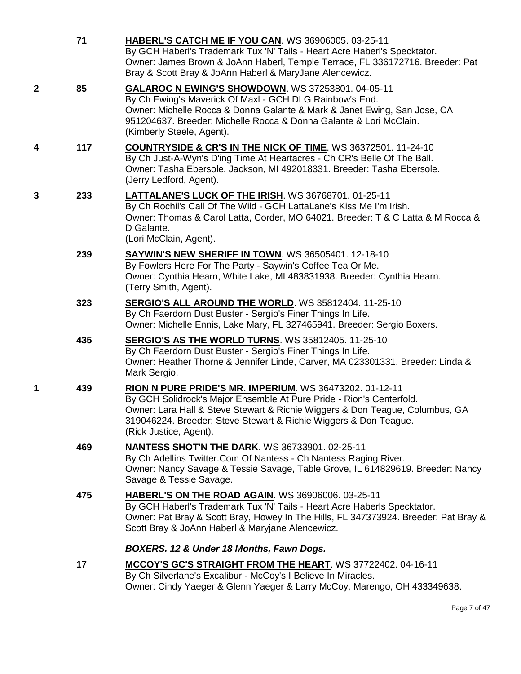|              | 71  | <b>HABERL'S CATCH ME IF YOU CAN. WS 36906005. 03-25-11</b><br>By GCH Haberl's Trademark Tux 'N' Tails - Heart Acre Haberl's Specktator.<br>Owner: James Brown & JoAnn Haberl, Temple Terrace, FL 336172716. Breeder: Pat<br>Bray & Scott Bray & JoAnn Haberl & MaryJane Alencewicz.                           |
|--------------|-----|---------------------------------------------------------------------------------------------------------------------------------------------------------------------------------------------------------------------------------------------------------------------------------------------------------------|
| $\mathbf{2}$ | 85  | GALAROC N EWING'S SHOWDOWN. WS 37253801. 04-05-11<br>By Ch Ewing's Maverick Of Maxl - GCH DLG Rainbow's End.<br>Owner: Michelle Rocca & Donna Galante & Mark & Janet Ewing, San Jose, CA<br>951204637. Breeder: Michelle Rocca & Donna Galante & Lori McClain.<br>(Kimberly Steele, Agent).                   |
| 4            | 117 | <b>COUNTRYSIDE &amp; CR'S IN THE NICK OF TIME. WS 36372501. 11-24-10</b><br>By Ch Just-A-Wyn's D'ing Time At Heartacres - Ch CR's Belle Of The Ball.<br>Owner: Tasha Ebersole, Jackson, MI 492018331. Breeder: Tasha Ebersole.<br>(Jerry Ledford, Agent).                                                     |
| 3            | 233 | <b>LATTALANE'S LUCK OF THE IRISH. WS 36768701. 01-25-11</b><br>By Ch Rochil's Call Of The Wild - GCH LattaLane's Kiss Me I'm Irish.<br>Owner: Thomas & Carol Latta, Corder, MO 64021. Breeder: T & C Latta & M Rocca &<br>D Galante.<br>(Lori McClain, Agent).                                                |
|              | 239 | SAYWIN'S NEW SHERIFF IN TOWN. WS 36505401. 12-18-10<br>By Fowlers Here For The Party - Saywin's Coffee Tea Or Me.<br>Owner: Cynthia Hearn, White Lake, MI 483831938. Breeder: Cynthia Hearn.<br>(Terry Smith, Agent).                                                                                         |
|              | 323 | SERGIO'S ALL AROUND THE WORLD. WS 35812404. 11-25-10<br>By Ch Faerdorn Dust Buster - Sergio's Finer Things In Life.<br>Owner: Michelle Ennis, Lake Mary, FL 327465941. Breeder: Sergio Boxers.                                                                                                                |
|              | 435 | <b>SERGIO'S AS THE WORLD TURNS. WS 35812405. 11-25-10</b><br>By Ch Faerdorn Dust Buster - Sergio's Finer Things In Life.<br>Owner: Heather Thorne & Jennifer Linde, Carver, MA 023301331. Breeder: Linda &<br>Mark Sergio.                                                                                    |
| 1            | 439 | RION N PURE PRIDE'S MR. IMPERIUM. WS 36473202. 01-12-11<br>By GCH Solidrock's Major Ensemble At Pure Pride - Rion's Centerfold.<br>Owner: Lara Hall & Steve Stewart & Richie Wiggers & Don Teague, Columbus, GA<br>319046224. Breeder: Steve Stewart & Richie Wiggers & Don Teague.<br>(Rick Justice, Agent). |
|              | 469 | <b>NANTESS SHOT'N THE DARK.</b> WS 36733901. 02-25-11<br>By Ch Adellins Twitter.Com Of Nantess - Ch Nantess Raging River.<br>Owner: Nancy Savage & Tessie Savage, Table Grove, IL 614829619. Breeder: Nancy<br>Savage & Tessie Savage.                                                                        |
|              | 475 | HABERL'S ON THE ROAD AGAIN. WS 36906006. 03-25-11<br>By GCH Haberl's Trademark Tux 'N' Tails - Heart Acre Haberls Specktator.<br>Owner: Pat Bray & Scott Bray, Howey In The Hills, FL 347373924. Breeder: Pat Bray &<br>Scott Bray & JoAnn Haberl & Maryjane Alencewicz.                                      |
|              |     | BOXERS. 12 & Under 18 Months, Fawn Dogs.                                                                                                                                                                                                                                                                      |
|              | 17  | <b>MCCOY'S GC'S STRAIGHT FROM THE HEART. WS 37722402. 04-16-11</b><br>By Ch Silverlane's Excalibur - McCoy's I Believe In Miracles.<br>Owner: Cindy Yaeger & Glenn Yaeger & Larry McCoy, Marengo, OH 433349638.                                                                                               |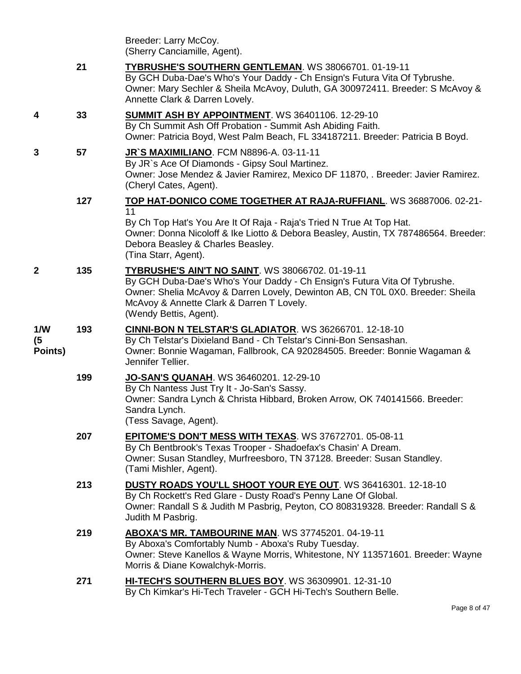|                      |     | Breeder: Larry McCoy.<br>(Sherry Canciamille, Agent).                                                                                                                                                                                                                                         |
|----------------------|-----|-----------------------------------------------------------------------------------------------------------------------------------------------------------------------------------------------------------------------------------------------------------------------------------------------|
|                      | 21  | TYBRUSHE'S SOUTHERN GENTLEMAN. WS 38066701. 01-19-11<br>By GCH Duba-Dae's Who's Your Daddy - Ch Ensign's Futura Vita Of Tybrushe.<br>Owner: Mary Sechler & Sheila McAvoy, Duluth, GA 300972411. Breeder: S McAvoy &<br>Annette Clark & Darren Lovely.                                         |
| 4                    | 33  | <b>SUMMIT ASH BY APPOINTMENT. WS 36401106. 12-29-10</b><br>By Ch Summit Ash Off Probation - Summit Ash Abiding Faith.<br>Owner: Patricia Boyd, West Palm Beach, FL 334187211. Breeder: Patricia B Boyd.                                                                                       |
| 3                    | 57  | JR`S MAXIMILIANO. FCM N8896-A. 03-11-11<br>By JR's Ace Of Diamonds - Gipsy Soul Martinez.<br>Owner: Jose Mendez & Javier Ramirez, Mexico DF 11870, . Breeder: Javier Ramirez.<br>(Cheryl Cates, Agent).                                                                                       |
|                      | 127 | TOP HAT-DONICO COME TOGETHER AT RAJA-RUFFIANL. WS 36887006. 02-21-                                                                                                                                                                                                                            |
|                      |     | 11<br>By Ch Top Hat's You Are It Of Raja - Raja's Tried N True At Top Hat.<br>Owner: Donna Nicoloff & Ike Liotto & Debora Beasley, Austin, TX 787486564. Breeder:<br>Debora Beasley & Charles Beasley.<br>(Tina Starr, Agent).                                                                |
| $\mathbf{2}$         | 135 | <b>TYBRUSHE'S AIN'T NO SAINT. WS 38066702. 01-19-11</b><br>By GCH Duba-Dae's Who's Your Daddy - Ch Ensign's Futura Vita Of Tybrushe.<br>Owner: Shelia McAvoy & Darren Lovely, Dewinton AB, CN T0L 0X0. Breeder: Sheila<br>McAvoy & Annette Clark & Darren T Lovely.<br>(Wendy Bettis, Agent). |
| 1/N<br>(5<br>Points) | 193 | <b>CINNI-BON N TELSTAR'S GLADIATOR.</b> WS 36266701. 12-18-10<br>By Ch Telstar's Dixieland Band - Ch Telstar's Cinni-Bon Sensashan.<br>Owner: Bonnie Wagaman, Fallbrook, CA 920284505. Breeder: Bonnie Wagaman &<br>Jennifer Tellier.                                                         |
|                      | 199 | JO-SAN'S QUANAH. WS 36460201. 12-29-10<br>By Ch Nantess Just Try It - Jo-San's Sassy.<br>Owner: Sandra Lynch & Christa Hibbard, Broken Arrow, OK 740141566. Breeder:<br>Sandra Lynch.<br>(Tess Savage, Agent).                                                                                |
|                      | 207 | EPITOME'S DON'T MESS WITH TEXAS. WS 37672701. 05-08-11<br>By Ch Bentbrook's Texas Trooper - Shadoefax's Chasin' A Dream.<br>Owner: Susan Standley, Murfreesboro, TN 37128. Breeder: Susan Standley.<br>(Tami Mishler, Agent).                                                                 |
|                      | 213 | DUSTY ROADS YOU'LL SHOOT YOUR EYE OUT. WS 36416301. 12-18-10<br>By Ch Rockett's Red Glare - Dusty Road's Penny Lane Of Global.<br>Owner: Randall S & Judith M Pasbrig, Peyton, CO 808319328. Breeder: Randall S &<br>Judith M Pasbrig.                                                        |
|                      | 219 | ABOXA'S MR. TAMBOURINE MAN. WS 37745201. 04-19-11<br>By Aboxa's Comfortably Numb - Aboxa's Ruby Tuesday.<br>Owner: Steve Kanellos & Wayne Morris, Whitestone, NY 113571601. Breeder: Wayne<br>Morris & Diane Kowalchyk-Morris.                                                                |
|                      | 271 | HI-TECH'S SOUTHERN BLUES BOY. WS 36309901. 12-31-10<br>By Ch Kimkar's Hi-Tech Traveler - GCH Hi-Tech's Southern Belle.                                                                                                                                                                        |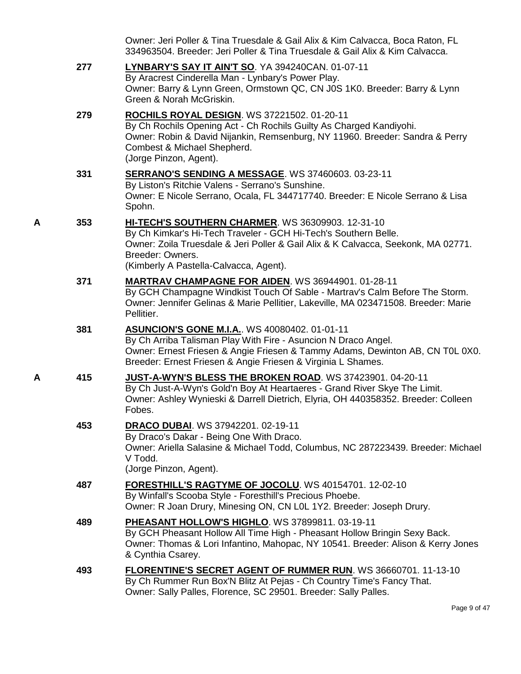|   |     | Owner: Jeri Poller & Tina Truesdale & Gail Alix & Kim Calvacca, Boca Raton, FL<br>334963504. Breeder: Jeri Poller & Tina Truesdale & Gail Alix & Kim Calvacca.                                                                                                          |
|---|-----|-------------------------------------------------------------------------------------------------------------------------------------------------------------------------------------------------------------------------------------------------------------------------|
|   | 277 | LYNBARY'S SAY IT AIN'T SO. YA 394240CAN. 01-07-11<br>By Aracrest Cinderella Man - Lynbary's Power Play.<br>Owner: Barry & Lynn Green, Ormstown QC, CN J0S 1K0. Breeder: Barry & Lynn<br>Green & Norah McGriskin.                                                        |
|   | 279 | ROCHILS ROYAL DESIGN. WS 37221502. 01-20-11<br>By Ch Rochils Opening Act - Ch Rochils Guilty As Charged Kandiyohi.<br>Owner: Robin & David Nijankin, Remsenburg, NY 11960. Breeder: Sandra & Perry<br>Combest & Michael Shepherd.<br>(Jorge Pinzon, Agent).             |
|   | 331 | <b>SERRANO'S SENDING A MESSAGE. WS 37460603. 03-23-11</b><br>By Liston's Ritchie Valens - Serrano's Sunshine.<br>Owner: E Nicole Serrano, Ocala, FL 344717740. Breeder: E Nicole Serrano & Lisa<br>Spohn.                                                               |
| Α | 353 | HI-TECH'S SOUTHERN CHARMER. WS 36309903. 12-31-10<br>By Ch Kimkar's Hi-Tech Traveler - GCH Hi-Tech's Southern Belle.<br>Owner: Zoila Truesdale & Jeri Poller & Gail Alix & K Calvacca, Seekonk, MA 02771.<br>Breeder: Owners.<br>(Kimberly A Pastella-Calvacca, Agent). |
|   | 371 | <b>MARTRAV CHAMPAGNE FOR AIDEN. WS 36944901. 01-28-11</b><br>By GCH Champagne Windkist Touch Of Sable - Martrav's Calm Before The Storm.<br>Owner: Jennifer Gelinas & Marie Pellitier, Lakeville, MA 023471508. Breeder: Marie<br>Pellitier.                            |
|   | 381 | <b>ASUNCION'S GONE M.I.A.</b> WS 40080402. 01-01-11<br>By Ch Arriba Talisman Play With Fire - Asuncion N Draco Angel.<br>Owner: Ernest Friesen & Angie Friesen & Tammy Adams, Dewinton AB, CN TOL 0X0.<br>Breeder: Ernest Friesen & Angie Friesen & Virginia L Shames.  |
| А | 415 | JUST-A-WYN'S BLESS THE BROKEN ROAD. WS 37423901. 04-20-11<br>By Ch Just-A-Wyn's Gold'n Boy At Heartaeres - Grand River Skye The Limit.<br>Owner: Ashley Wynieski & Darrell Dietrich, Elyria, OH 440358352. Breeder: Colleen<br>Fobes.                                   |
|   | 453 | <b>DRACO DUBAI.</b> WS 37942201. 02-19-11<br>By Draco's Dakar - Being One With Draco.<br>Owner: Ariella Salasine & Michael Todd, Columbus, NC 287223439. Breeder: Michael<br>V Todd.<br>(Jorge Pinzon, Agent).                                                          |
|   | 487 | FORESTHILL'S RAGTYME OF JOCOLU. WS 40154701. 12-02-10<br>By Winfall's Scooba Style - Foresthill's Precious Phoebe.<br>Owner: R Joan Drury, Minesing ON, CN L0L 1Y2. Breeder: Joseph Drury.                                                                              |
|   | 489 | PHEASANT HOLLOW'S HIGHLO. WS 37899811. 03-19-11<br>By GCH Pheasant Hollow All Time High - Pheasant Hollow Bringin Sexy Back.<br>Owner: Thomas & Lori Infantino, Mahopac, NY 10541. Breeder: Alison & Kerry Jones<br>& Cynthia Csarey.                                   |
|   | 493 | FLORENTINE'S SECRET AGENT OF RUMMER RUN. WS 36660701. 11-13-10<br>By Ch Rummer Run Box'N Blitz At Pejas - Ch Country Time's Fancy That.<br>Owner: Sally Palles, Florence, SC 29501. Breeder: Sally Palles.                                                              |

Page 9 of 47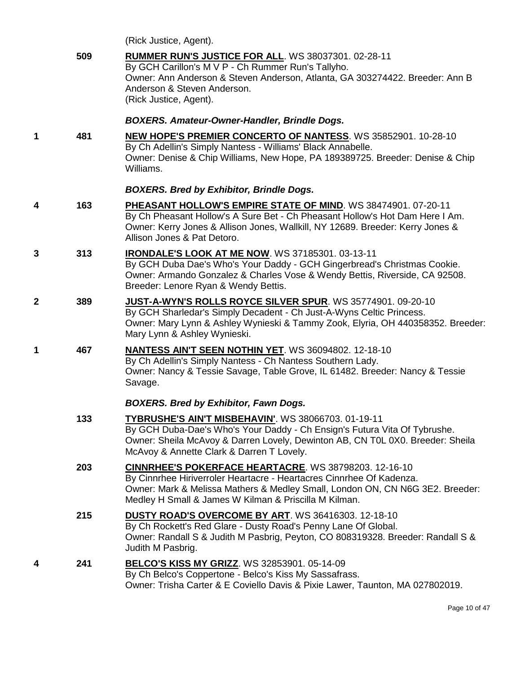|   |     | (Rick Justice, Agent).                                                                                                                                                                                                                                                         |
|---|-----|--------------------------------------------------------------------------------------------------------------------------------------------------------------------------------------------------------------------------------------------------------------------------------|
|   | 509 | RUMMER RUN'S JUSTICE FOR ALL. WS 38037301. 02-28-11<br>By GCH Carillon's M V P - Ch Rummer Run's Tallyho.<br>Owner: Ann Anderson & Steven Anderson, Atlanta, GA 303274422. Breeder: Ann B<br>Anderson & Steven Anderson.<br>(Rick Justice, Agent).                             |
|   |     | <b>BOXERS. Amateur-Owner-Handler, Brindle Dogs.</b>                                                                                                                                                                                                                            |
| 1 | 481 | <b>NEW HOPE'S PREMIER CONCERTO OF NANTESS.</b> WS 35852901. 10-28-10<br>By Ch Adellin's Simply Nantess - Williams' Black Annabelle.<br>Owner: Denise & Chip Williams, New Hope, PA 189389725. Breeder: Denise & Chip<br>Williams.                                              |
|   |     | <b>BOXERS. Bred by Exhibitor, Brindle Dogs.</b>                                                                                                                                                                                                                                |
| 4 | 163 | PHEASANT HOLLOW'S EMPIRE STATE OF MIND. WS 38474901. 07-20-11<br>By Ch Pheasant Hollow's A Sure Bet - Ch Pheasant Hollow's Hot Dam Here I Am.<br>Owner: Kerry Jones & Allison Jones, Wallkill, NY 12689. Breeder: Kerry Jones &<br>Allison Jones & Pat Detoro.                 |
| 3 | 313 | IRONDALE'S LOOK AT ME NOW. WS 37185301. 03-13-11<br>By GCH Duba Dae's Who's Your Daddy - GCH Gingerbread's Christmas Cookie.<br>Owner: Armando Gonzalez & Charles Vose & Wendy Bettis, Riverside, CA 92508.<br>Breeder: Lenore Ryan & Wendy Bettis.                            |
| 2 | 389 | JUST-A-WYN'S ROLLS ROYCE SILVER SPUR. WS 35774901. 09-20-10<br>By GCH Sharledar's Simply Decadent - Ch Just-A-Wyns Celtic Princess.<br>Owner: Mary Lynn & Ashley Wynieski & Tammy Zook, Elyria, OH 440358352. Breeder:<br>Mary Lynn & Ashley Wynieski.                         |
| 1 | 467 | NANTESS AIN'T SEEN NOTHIN YET. WS 36094802. 12-18-10<br>By Ch Adellin's Simply Nantess - Ch Nantess Southern Lady.<br>Owner: Nancy & Tessie Savage, Table Grove, IL 61482. Breeder: Nancy & Tessie<br>Savage.                                                                  |
|   |     | <b>BOXERS. Bred by Exhibitor, Fawn Dogs.</b>                                                                                                                                                                                                                                   |
|   | 133 | TYBRUSHE'S AIN'T MISBEHAVIN'. WS 38066703. 01-19-11<br>By GCH Duba-Dae's Who's Your Daddy - Ch Ensign's Futura Vita Of Tybrushe.<br>Owner: Sheila McAvoy & Darren Lovely, Dewinton AB, CN T0L 0X0. Breeder: Sheila<br>McAvoy & Annette Clark & Darren T Lovely.                |
|   | 203 | <b>CINNRHEE'S POKERFACE HEARTACRE.</b> WS 38798203. 12-16-10<br>By Cinnrhee Hiriverroler Heartacre - Heartacres Cinnrhee Of Kadenza.<br>Owner: Mark & Melissa Mathers & Medley Small, London ON, CN N6G 3E2. Breeder:<br>Medley H Small & James W Kilman & Priscilla M Kilman. |
|   | 215 | <b>DUSTY ROAD'S OVERCOME BY ART. WS 36416303. 12-18-10</b><br>By Ch Rockett's Red Glare - Dusty Road's Penny Lane Of Global.<br>Owner: Randall S & Judith M Pasbrig, Peyton, CO 808319328. Breeder: Randall S &<br>Judith M Pasbrig.                                           |
| 4 | 241 | <b>BELCO'S KISS MY GRIZZ. WS 32853901. 05-14-09</b><br>By Ch Belco's Coppertone - Belco's Kiss My Sassafrass.<br>Owner: Trisha Carter & E Coviello Davis & Pixie Lawer, Taunton, MA 027802019.                                                                                 |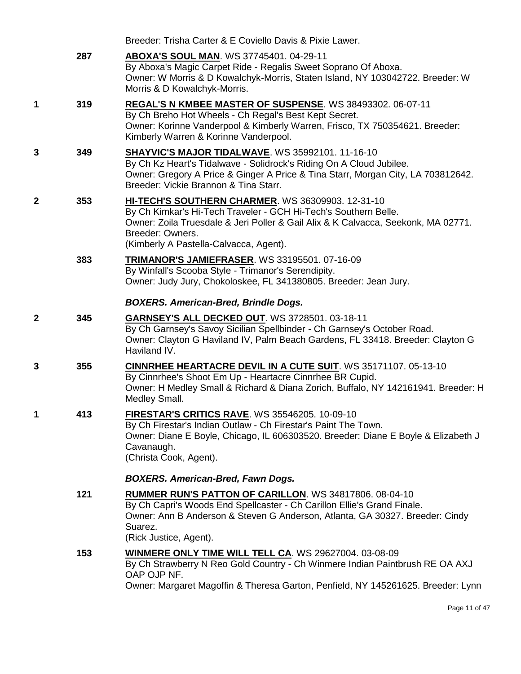|              |     | Breeder: Trisha Carter & E Coviello Davis & Pixie Lawer.                                                                                                                                                                                                                       |
|--------------|-----|--------------------------------------------------------------------------------------------------------------------------------------------------------------------------------------------------------------------------------------------------------------------------------|
|              | 287 | <b>ABOXA'S SOUL MAN. WS 37745401. 04-29-11</b><br>By Aboxa's Magic Carpet Ride - Regalis Sweet Soprano Of Aboxa.<br>Owner: W Morris & D Kowalchyk-Morris, Staten Island, NY 103042722. Breeder: W<br>Morris & D Kowalchyk-Morris.                                              |
| 1            | 319 | <b>REGAL'S N KMBEE MASTER OF SUSPENSE.</b> WS 38493302. 06-07-11<br>By Ch Breho Hot Wheels - Ch Regal's Best Kept Secret.<br>Owner: Korinne Vanderpool & Kimberly Warren, Frisco, TX 750354621. Breeder:<br>Kimberly Warren & Korinne Vanderpool.                              |
| 3            | 349 | SHAYVIC'S MAJOR TIDALWAVE. WS 35992101. 11-16-10<br>By Ch Kz Heart's Tidalwave - Solidrock's Riding On A Cloud Jubilee.<br>Owner: Gregory A Price & Ginger A Price & Tina Starr, Morgan City, LA 703812642.<br>Breeder: Vickie Brannon & Tina Starr.                           |
| $\mathbf{2}$ | 353 | <b>HI-TECH'S SOUTHERN CHARMER. WS 36309903. 12-31-10</b><br>By Ch Kimkar's Hi-Tech Traveler - GCH Hi-Tech's Southern Belle.<br>Owner: Zoila Truesdale & Jeri Poller & Gail Alix & K Calvacca, Seekonk, MA 02771.<br>Breeder: Owners.<br>(Kimberly A Pastella-Calvacca, Agent). |
|              | 383 | TRIMANOR'S JAMIEFRASER. WS 33195501. 07-16-09<br>By Winfall's Scooba Style - Trimanor's Serendipity.<br>Owner: Judy Jury, Chokoloskee, FL 341380805. Breeder: Jean Jury.                                                                                                       |
|              |     | <b>BOXERS. American-Bred, Brindle Dogs.</b>                                                                                                                                                                                                                                    |
| $\mathbf{2}$ | 345 | <b>GARNSEY'S ALL DECKED OUT. WS 3728501. 03-18-11</b><br>By Ch Garnsey's Savoy Sicilian Spellbinder - Ch Garnsey's October Road.<br>Owner: Clayton G Haviland IV, Palm Beach Gardens, FL 33418. Breeder: Clayton G<br>Haviland IV.                                             |
| 3            | 355 | <b>CINNRHEE HEARTACRE DEVIL IN A CUTE SUIT. WS 35171107. 05-13-10</b><br>By Cinnrhee's Shoot Em Up - Heartacre Cinnrhee BR Cupid.<br>Owner: H Medley Small & Richard & Diana Zorich, Buffalo, NY 142161941. Breeder: H<br>Medley Small.                                        |
|              | 413 | FIRESTAR'S CRITICS RAVE. WS 35546205. 10-09-10<br>By Ch Firestar's Indian Outlaw - Ch Firestar's Paint The Town.<br>Owner: Diane E Boyle, Chicago, IL 606303520. Breeder: Diane E Boyle & Elizabeth J<br>Cavanaugh.<br>(Christa Cook, Agent).                                  |
|              |     | <b>BOXERS. American-Bred, Fawn Dogs.</b>                                                                                                                                                                                                                                       |
|              | 121 | <b>RUMMER RUN'S PATTON OF CARILLON.</b> WS 34817806. 08-04-10<br>By Ch Capri's Woods End Spellcaster - Ch Carillon Ellie's Grand Finale.<br>Owner: Ann B Anderson & Steven G Anderson, Atlanta, GA 30327. Breeder: Cindy<br>Suarez.<br>(Rick Justice, Agent).                  |
|              | 153 | <b>WINMERE ONLY TIME WILL TELL CA. WS 29627004. 03-08-09</b><br>By Ch Strawberry N Reo Gold Country - Ch Winmere Indian Paintbrush RE OA AXJ<br>OAP OJP NF.<br>Owner: Margaret Magoffin & Theresa Garton, Penfield, NY 145261625. Breeder: Lynn                                |

Page 11 of 47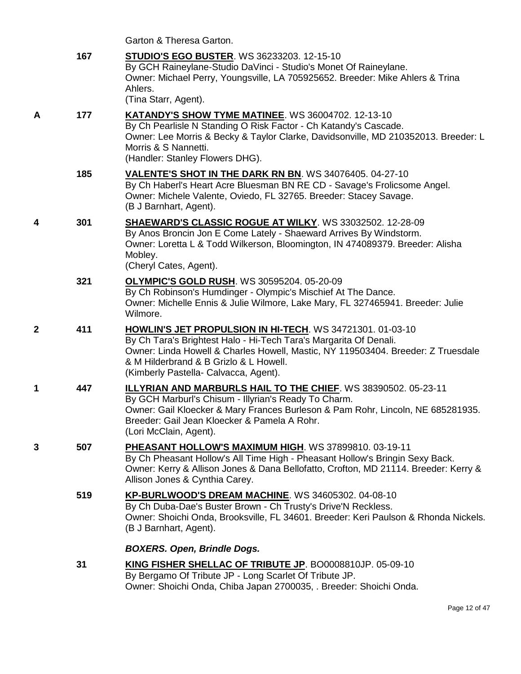|   |     | Garton & Theresa Garton.                                                                                                                                                                                                                                                                              |
|---|-----|-------------------------------------------------------------------------------------------------------------------------------------------------------------------------------------------------------------------------------------------------------------------------------------------------------|
|   | 167 | <b>STUDIO'S EGO BUSTER. WS 36233203. 12-15-10</b><br>By GCH Raineylane-Studio DaVinci - Studio's Monet Of Raineylane.<br>Owner: Michael Perry, Youngsville, LA 705925652. Breeder: Mike Ahlers & Trina<br>Ahlers.<br>(Tina Starr, Agent).                                                             |
| Α | 177 | <b>KATANDY'S SHOW TYME MATINEE. WS 36004702. 12-13-10</b><br>By Ch Pearlisle N Standing O Risk Factor - Ch Katandy's Cascade.<br>Owner: Lee Morris & Becky & Taylor Clarke, Davidsonville, MD 210352013. Breeder: L<br>Morris & S Nannetti.<br>(Handler: Stanley Flowers DHG).                        |
|   | 185 | VALENTE'S SHOT IN THE DARK RN BN. WS 34076405. 04-27-10<br>By Ch Haberl's Heart Acre Bluesman BN RE CD - Savage's Frolicsome Angel.<br>Owner: Michele Valente, Oviedo, FL 32765. Breeder: Stacey Savage.<br>(B J Barnhart, Agent).                                                                    |
| 4 | 301 | SHAEWARD'S CLASSIC ROGUE AT WILKY. WS 33032502. 12-28-09<br>By Anos Broncin Jon E Come Lately - Shaeward Arrives By Windstorm.<br>Owner: Loretta L & Todd Wilkerson, Bloomington, IN 474089379. Breeder: Alisha<br>Mobley.<br>(Cheryl Cates, Agent).                                                  |
|   | 321 | <b>OLYMPIC'S GOLD RUSH. WS 30595204. 05-20-09</b><br>By Ch Robinson's Humdinger - Olympic's Mischief At The Dance.<br>Owner: Michelle Ennis & Julie Wilmore, Lake Mary, FL 327465941. Breeder: Julie<br>Wilmore.                                                                                      |
| 2 | 411 | HOWLIN'S JET PROPULSION IN HI-TECH. WS 34721301. 01-03-10<br>By Ch Tara's Brightest Halo - Hi-Tech Tara's Margarita Of Denali.<br>Owner: Linda Howell & Charles Howell, Mastic, NY 119503404. Breeder: Z Truesdale<br>& M Hilderbrand & B Grizlo & L Howell.<br>(Kimberly Pastella- Calvacca, Agent). |
| 1 | 447 | <b>ILLYRIAN AND MARBURLS HAIL TO THE CHIEF. WS 38390502. 05-23-11</b><br>By GCH Marburl's Chisum - Illyrian's Ready To Charm.<br>Owner: Gail Kloecker & Mary Frances Burleson & Pam Rohr, Lincoln, NE 685281935.<br>Breeder: Gail Jean Kloecker & Pamela A Rohr.<br>(Lori McClain, Agent).            |
| 3 | 507 | PHEASANT HOLLOW'S MAXIMUM HIGH. WS 37899810. 03-19-11<br>By Ch Pheasant Hollow's All Time High - Pheasant Hollow's Bringin Sexy Back.<br>Owner: Kerry & Allison Jones & Dana Bellofatto, Crofton, MD 21114. Breeder: Kerry &<br>Allison Jones & Cynthia Carey.                                        |
|   | 519 | KP-BURLWOOD'S DREAM MACHINE. WS 34605302. 04-08-10<br>By Ch Duba-Dae's Buster Brown - Ch Trusty's Drive'N Reckless.<br>Owner: Shoichi Onda, Brooksville, FL 34601. Breeder: Keri Paulson & Rhonda Nickels.<br>(B J Barnhart, Agent).                                                                  |
|   |     | <b>BOXERS. Open, Brindle Dogs.</b>                                                                                                                                                                                                                                                                    |
|   | 31  | KING FISHER SHELLAC OF TRIBUTE JP. BO0008810JP. 05-09-10<br>By Bergamo Of Tribute JP - Long Scarlet Of Tribute JP.<br>Owner: Shoichi Onda, Chiba Japan 2700035, . Breeder: Shoichi Onda.                                                                                                              |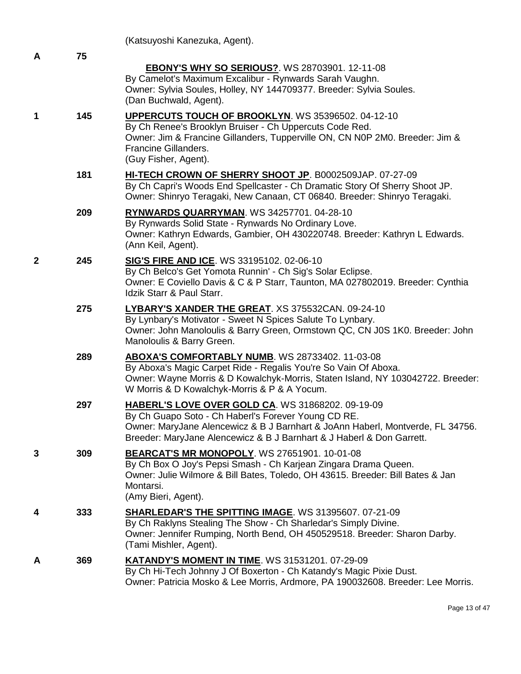|                |     | (Katsuyoshi Kanezuka, Agent).                                                                                                                                                                                                                                       |
|----------------|-----|---------------------------------------------------------------------------------------------------------------------------------------------------------------------------------------------------------------------------------------------------------------------|
| A              | 75  |                                                                                                                                                                                                                                                                     |
|                |     | <b>EBONY'S WHY SO SERIOUS?.</b> WS 28703901. 12-11-08<br>By Camelot's Maximum Excalibur - Rynwards Sarah Vaughn.<br>Owner: Sylvia Soules, Holley, NY 144709377. Breeder: Sylvia Soules.<br>(Dan Buchwald, Agent).                                                   |
| 1              | 145 | UPPERCUTS TOUCH OF BROOKLYN. WS 35396502. 04-12-10<br>By Ch Renee's Brooklyn Bruiser - Ch Uppercuts Code Red.<br>Owner: Jim & Francine Gillanders, Tupperville ON, CN N0P 2M0. Breeder: Jim &<br>Francine Gillanders.<br>(Guy Fisher, Agent).                       |
|                | 181 | HI-TECH CROWN OF SHERRY SHOOT JP. B0002509JAP. 07-27-09<br>By Ch Capri's Woods End Spellcaster - Ch Dramatic Story Of Sherry Shoot JP.<br>Owner: Shinryo Teragaki, New Canaan, CT 06840. Breeder: Shinryo Teragaki.                                                 |
|                | 209 | RYNWARDS QUARRYMAN. WS 34257701. 04-28-10<br>By Rynwards Solid State - Rynwards No Ordinary Love.<br>Owner: Kathryn Edwards, Gambier, OH 430220748. Breeder: Kathryn L Edwards.<br>(Ann Keil, Agent).                                                               |
| $\overline{2}$ | 245 | <b>SIG'S FIRE AND ICE.</b> WS 33195102. 02-06-10<br>By Ch Belco's Get Yomota Runnin' - Ch Sig's Solar Eclipse.<br>Owner: E Coviello Davis & C & P Starr, Taunton, MA 027802019. Breeder: Cynthia<br>Idzik Starr & Paul Starr.                                       |
|                | 275 | LYBARY'S XANDER THE GREAT. XS 375532CAN. 09-24-10<br>By Lynbary's Motivator - Sweet N Spices Salute To Lynbary.<br>Owner: John Manoloulis & Barry Green, Ormstown QC, CN J0S 1K0. Breeder: John<br>Manoloulis & Barry Green.                                        |
|                | 289 | ABOXA'S COMFORTABLY NUMB. WS 28733402. 11-03-08<br>By Aboxa's Magic Carpet Ride - Regalis You're So Vain Of Aboxa.<br>Owner: Wayne Morris & D Kowalchyk-Morris, Staten Island, NY 103042722. Breeder:<br>W Morris & D Kowalchyk-Morris & P & A Yocum.               |
|                | 297 | HABERL'S LOVE OVER GOLD CA. WS 31868202. 09-19-09<br>By Ch Guapo Soto - Ch Haberl's Forever Young CD RE.<br>Owner: MaryJane Alencewicz & B J Barnhart & JoAnn Haberl, Montverde, FL 34756.<br>Breeder: MaryJane Alencewicz & B J Barnhart & J Haberl & Don Garrett. |
| 3              | 309 | <b>BEARCAT'S MR MONOPOLY.</b> WS 27651901. 10-01-08<br>By Ch Box O Joy's Pepsi Smash - Ch Karjean Zingara Drama Queen.<br>Owner: Julie Wilmore & Bill Bates, Toledo, OH 43615. Breeder: Bill Bates & Jan<br>Montarsi.<br>(Amy Bieri, Agent).                        |
| 4              | 333 | <b>SHARLEDAR'S THE SPITTING IMAGE. WS 31395607. 07-21-09</b><br>By Ch Raklyns Stealing The Show - Ch Sharledar's Simply Divine.<br>Owner: Jennifer Rumping, North Bend, OH 450529518. Breeder: Sharon Darby.<br>(Tami Mishler, Agent).                              |
| A              | 369 | <b>KATANDY'S MOMENT IN TIME. WS 31531201. 07-29-09</b><br>By Ch Hi-Tech Johnny J Of Boxerton - Ch Katandy's Magic Pixie Dust.<br>Owner: Patricia Mosko & Lee Morris, Ardmore, PA 190032608. Breeder: Lee Morris.                                                    |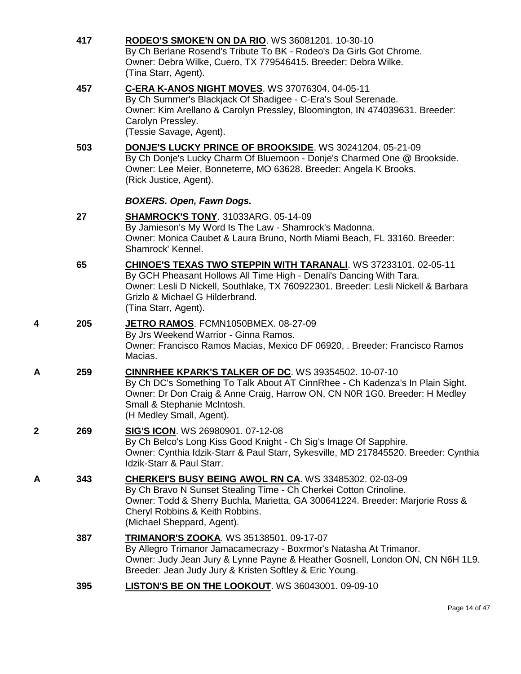|   | 417 | <b>RODEO'S SMOKE'N ON DA RIO. WS 36081201. 10-30-10</b><br>By Ch Berlane Rosend's Tribute To BK - Rodeo's Da Girls Got Chrome.<br>Owner: Debra Wilke, Cuero, TX 779546415. Breeder: Debra Wilke.<br>(Tina Starr, Agent).                                                                      |
|---|-----|-----------------------------------------------------------------------------------------------------------------------------------------------------------------------------------------------------------------------------------------------------------------------------------------------|
|   | 457 | C-ERA K-ANOS NIGHT MOVES. WS 37076304. 04-05-11<br>By Ch Summer's Blackjack Of Shadigee - C-Era's Soul Serenade.<br>Owner: Kim Arellano & Carolyn Pressley, Bloomington, IN 474039631. Breeder:<br>Carolyn Pressley.<br>(Tessie Savage, Agent).                                               |
|   | 503 | <b>DONJE'S LUCKY PRINCE OF BROOKSIDE.</b> WS 30241204. 05-21-09<br>By Ch Donje's Lucky Charm Of Bluemoon - Donje's Charmed One @ Brookside.<br>Owner: Lee Meier, Bonneterre, MO 63628. Breeder: Angela K Brooks.<br>(Rick Justice, Agent).                                                    |
|   |     | <b>BOXERS. Open, Fawn Dogs.</b>                                                                                                                                                                                                                                                               |
|   | 27  | <b>SHAMROCK'S TONY. 31033ARG. 05-14-09</b><br>By Jamieson's My Word Is The Law - Shamrock's Madonna.<br>Owner: Monica Caubet & Laura Bruno, North Miami Beach, FL 33160. Breeder:<br>Shamrock' Kennel.                                                                                        |
|   | 65  | <b>CHINOE'S TEXAS TWO STEPPIN WITH TARANALI. WS 37233101. 02-05-11</b><br>By GCH Pheasant Hollows All Time High - Denali's Dancing With Tara.<br>Owner: Lesli D Nickell, Southlake, TX 760922301. Breeder: Lesli Nickell & Barbara<br>Grizlo & Michael G Hilderbrand.<br>(Tina Starr, Agent). |
| 4 | 205 | JETRO RAMOS. FCMN1050BMEX. 08-27-09<br>By Jrs Weekend Warrior - Ginna Ramos.<br>Owner: Francisco Ramos Macias, Mexico DF 06920, . Breeder: Francisco Ramos<br>Macias.                                                                                                                         |
| Α | 259 | <b>CINNRHEE KPARK'S TALKER OF DC. WS 39354502. 10-07-10</b><br>By Ch DC's Something To Talk About AT CinnRhee - Ch Kadenza's In Plain Sight.<br>Owner: Dr Don Craig & Anne Craig, Harrow ON, CN N0R 1G0. Breeder: H Medley<br>Small & Stephanie McIntosh.<br>(H Medley Small, Agent).         |
| 2 | 269 | SIG'S ICON. WS 26980901. 07-12-08<br>By Ch Belco's Long Kiss Good Knight - Ch Sig's Image Of Sapphire.<br>Owner: Cynthia Idzik-Starr & Paul Starr, Sykesville, MD 217845520. Breeder: Cynthia<br>Idzik-Starr & Paul Starr.                                                                    |
| Α | 343 | <b>CHERKEI'S BUSY BEING AWOL RN CA. WS 33485302. 02-03-09</b><br>By Ch Bravo N Sunset Stealing Time - Ch Cherkei Cotton Crinoline.<br>Owner: Todd & Sherry Buchla, Marietta, GA 300641224. Breeder: Marjorie Ross &<br>Cheryl Robbins & Keith Robbins.<br>(Michael Sheppard, Agent).          |
|   | 387 | TRIMANOR'S ZOOKA. WS 35138501. 09-17-07<br>By Allegro Trimanor Jamacamecrazy - Boxrmor's Natasha At Trimanor.<br>Owner: Judy Jean Jury & Lynne Payne & Heather Gosnell, London ON, CN N6H 1L9.<br>Breeder: Jean Judy Jury & Kristen Softley & Eric Young.                                     |
|   | 395 | LISTON'S BE ON THE LOOKOUT. WS 36043001. 09-09-10                                                                                                                                                                                                                                             |
|   |     |                                                                                                                                                                                                                                                                                               |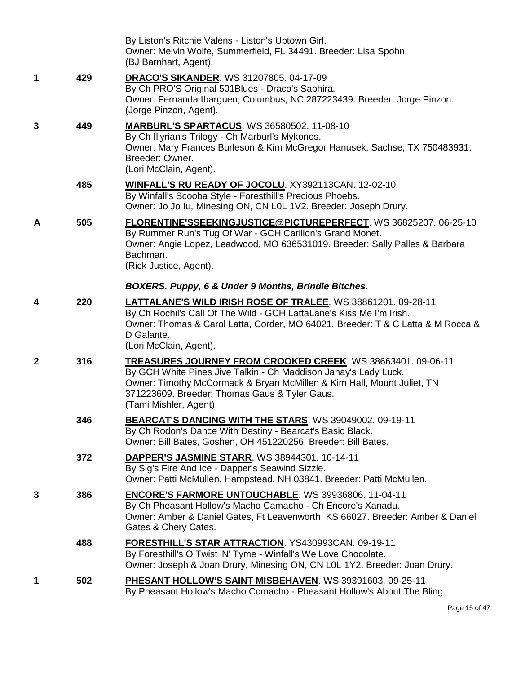|              |     | By Liston's Ritchie Valens - Liston's Uptown Girl.<br>Owner: Melvin Wolfe, Summerfield, FL 34491. Breeder: Lisa Spohn.<br>(BJ Barnhart, Agent).                                                                                                                                     |
|--------------|-----|-------------------------------------------------------------------------------------------------------------------------------------------------------------------------------------------------------------------------------------------------------------------------------------|
| 1            | 429 | <b>DRACO'S SIKANDER. WS 31207805. 04-17-09</b><br>By Ch PRO'S Original 501Blues - Draco's Saphira.<br>Owner: Fernanda Ibarguen, Columbus, NC 287223439. Breeder: Jorge Pinzon.<br>(Jorge Pinzon, Agent).                                                                            |
| 3            | 449 | <b>MARBURL'S SPARTACUS. WS 36580502. 11-08-10</b><br>By Ch Illyrian's Trilogy - Ch Marburl's Mykonos.<br>Owner: Mary Frances Burleson & Kim McGregor Hanusek, Sachse, TX 750483931.<br>Breeder: Owner.<br>(Lori McClain, Agent).                                                    |
|              | 485 | WINFALL'S RU READY OF JOCOLU. XY392113CAN. 12-02-10<br>By Winfall's Scooba Style - Foresthill's Precious Phoebs.<br>Owner: Jo Jo Iu, Minesing ON, CN L0L 1V2. Breeder: Joseph Drury.                                                                                                |
| A            | 505 | <b>FLORENTINE'SSEEKINGJUSTICE@PICTUREPERFECT.</b> WS 36825207. 06-25-10<br>By Rummer Run's Tug Of War - GCH Carillon's Grand Monet.<br>Owner: Angie Lopez, Leadwood, MO 636531019. Breeder: Sally Palles & Barbara<br>Bachman.<br>(Rick Justice, Agent).                            |
|              |     | BOXERS. Puppy, 6 & Under 9 Months, Brindle Bitches.                                                                                                                                                                                                                                 |
| 4            | 220 | <b>LATTALANE'S WILD IRISH ROSE OF TRALEE. WS 38861201. 09-28-11</b><br>By Ch Rochil's Call Of The Wild - GCH LattaLane's Kiss Me I'm Irish.<br>Owner: Thomas & Carol Latta, Corder, MO 64021. Breeder: T & C Latta & M Rocca &<br>D Galante.<br>(Lori McClain, Agent).              |
| $\mathbf{2}$ | 316 | TREASURES JOURNEY FROM CROOKED CREEK. WS 38663401. 09-06-11<br>By GCH White Pines Jive Talkin - Ch Maddison Janay's Lady Luck.<br>Owner: Timothy McCormack & Bryan McMillen & Kim Hall, Mount Juliet, TN<br>371223609. Breeder: Thomas Gaus & Tyler Gaus.<br>(Tami Mishler, Agent). |
|              | 346 | BEARCAT'S DANCING WITH THE STARS. WS 39049002. 09-19-11<br>By Ch Rodon's Dance With Destiny - Bearcat's Basic Black.<br>Owner: Bill Bates, Goshen, OH 451220256. Breeder: Bill Bates.                                                                                               |
|              | 372 | DAPPER'S JASMINE STARR. WS 38944301. 10-14-11<br>By Sig's Fire And Ice - Dapper's Seawind Sizzle.<br>Owner: Patti McMullen, Hampstead, NH 03841. Breeder: Patti McMullen.                                                                                                           |
| 3            | 386 | <b>ENCORE'S FARMORE UNTOUCHABLE. WS 39936806. 11-04-11</b><br>By Ch Pheasant Hollow's Macho Camacho - Ch Encore's Xanadu.<br>Owner: Amber & Daniel Gates, Ft Leavenworth, KS 66027. Breeder: Amber & Daniel<br>Gates & Chery Cates.                                                 |
|              | 488 | FORESTHILL'S STAR ATTRACTION. YS430993CAN. 09-19-11<br>By Foresthill's O Twist 'N' Tyme - Winfall's We Love Chocolate.<br>Owner: Joseph & Joan Drury, Minesing ON, CN L0L 1Y2. Breeder: Joan Drury.                                                                                 |
| 1            | 502 | PHESANT HOLLOW'S SAINT MISBEHAVEN. WS 39391603. 09-25-11<br>By Pheasant Hollow's Macho Comacho - Pheasant Hollow's About The Bling.                                                                                                                                                 |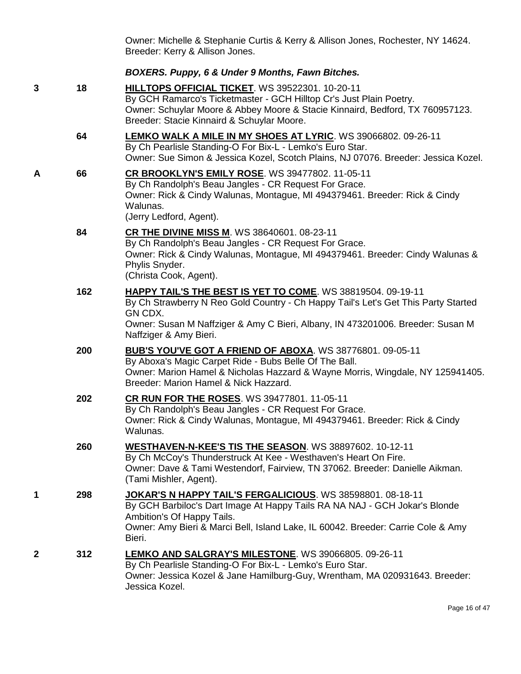Owner: Michelle & Stephanie Curtis & Kerry & Allison Jones, Rochester, NY 14624. Breeder: Kerry & Allison Jones.

#### *BOXERS. Puppy, 6 & Under 9 Months, Fawn Bitches.*

**3 18 [HILLTOPS OFFICIAL TICKET](http://www.infodog.com/files/bdogrsl1.prg;makc=WS%2039522301;mdog=Hilltops_Official_Ticket;wins=all)**. WS 39522301. 10-20-11 By GCH Ramarco's Ticketmaster - GCH Hilltop Cr's Just Plain Poetry. Owner: Schuylar Moore & Abbey Moore & Stacie Kinnaird, Bedford, TX 760957123. Breeder: Stacie Kinnaird & Schuylar Moore. **64 [LEMKO WALK A MILE IN MY SHOES AT LYRIC](http://www.infodog.com/files/bdogrsl1.prg;makc=WS%2039066802;mdog=Lemko_Walk_A_Mile_In_My_Shoes_At_Lyric;wins=all)**. WS 39066802. 09-26-11 By Ch Pearlisle Standing-O For Bix-L - Lemko's Euro Star. Owner: Sue Simon & Jessica Kozel, Scotch Plains, NJ 07076. Breeder: Jessica Kozel. **A 66 [CR BROOKLYN'S EMILY ROSE](http://www.infodog.com/files/bdogrsl1.prg;makc=WS%2039477802;mdog=CR_Brooklyn_s_Emily_Rose;wins=all)**. WS 39477802. 11-05-11 By Ch Randolph's Beau Jangles - CR Request For Grace. Owner: Rick & Cindy Walunas, Montague, MI 494379461. Breeder: Rick & Cindy Walunas. (Jerry Ledford, Agent). **84 [CR THE DIVINE MISS M](http://www.infodog.com/files/bdogrsl1.prg;makc=WS%2038640601;mdog=CR_The_Divine_Miss_M;wins=all)**. WS 38640601. 08-23-11 By Ch Randolph's Beau Jangles - CR Request For Grace. Owner: Rick & Cindy Walunas, Montague, MI 494379461. Breeder: Cindy Walunas & Phylis Snyder. (Christa Cook, Agent). **162 [HAPPY TAIL'S THE BEST IS YET TO COME](http://www.infodog.com/files/bdogrsl1.prg;makc=WS%2038819504;mdog=Happy_Tail_s_The_Best_Is_Yet_To_Come;wins=all)**. WS 38819504. 09-19-11 By Ch Strawberry N Reo Gold Country - Ch Happy Tail's Let's Get This Party Started GN CDX. Owner: Susan M Naffziger & Amy C Bieri, Albany, IN 473201006. Breeder: Susan M Naffziger & Amy Bieri. **200 [BUB'S YOU'VE GOT A FRIEND OF ABOXA](http://www.infodog.com/files/bdogrsl1.prg;makc=WS%2038776801;mdog=Bub_s_You_ve_Got_A_Friend_Of_Aboxa;wins=all)**. WS 38776801. 09-05-11 By Aboxa's Magic Carpet Ride - Bubs Belle Of The Ball. Owner: Marion Hamel & Nicholas Hazzard & Wayne Morris, Wingdale, NY 125941405. Breeder: Marion Hamel & Nick Hazzard. **202 [CR RUN FOR THE ROSES](http://www.infodog.com/files/bdogrsl1.prg;makc=WS%2039477801;mdog=CR_Run_For_The_Roses;wins=all)**. WS 39477801. 11-05-11 By Ch Randolph's Beau Jangles - CR Request For Grace. Owner: Rick & Cindy Walunas, Montague, MI 494379461. Breeder: Rick & Cindy Walunas. **260 [WESTHAVEN-N-KEE'S TIS THE SEASON](http://www.infodog.com/files/bdogrsl1.prg;makc=WS%2038897602;mdog=Westhaven-N-Kee_s_Tis_The_Season;wins=all)**. WS 38897602. 10-12-11 By Ch McCoy's Thunderstruck At Kee - Westhaven's Heart On Fire. Owner: Dave & Tami Westendorf, Fairview, TN 37062. Breeder: Danielle Aikman. (Tami Mishler, Agent). **1 298 [JOKAR'S N HAPPY TAIL'S FERGALICIOUS](http://www.infodog.com/files/bdogrsl1.prg;makc=WS%2038598801;mdog=Jokar_s_N_Happy_Tail_s_Fergalicious;wins=all)**. WS 38598801. 08-18-11 By GCH Barbiloc's Dart Image At Happy Tails RA NA NAJ - GCH Jokar's Blonde Ambition's Of Happy Tails. Owner: Amy Bieri & Marci Bell, Island Lake, IL 60042. Breeder: Carrie Cole & Amy Bieri. **2 312 [LEMKO AND SALGRAY'S MILESTONE](http://www.infodog.com/files/bdogrsl1.prg;makc=WS%2039066805;mdog=Lemko_And_Salgray_s_Milestone;wins=all)**. WS 39066805. 09-26-11 By Ch Pearlisle Standing-O For Bix-L - Lemko's Euro Star. Owner: Jessica Kozel & Jane Hamilburg-Guy, Wrentham, MA 020931643. Breeder: Jessica Kozel.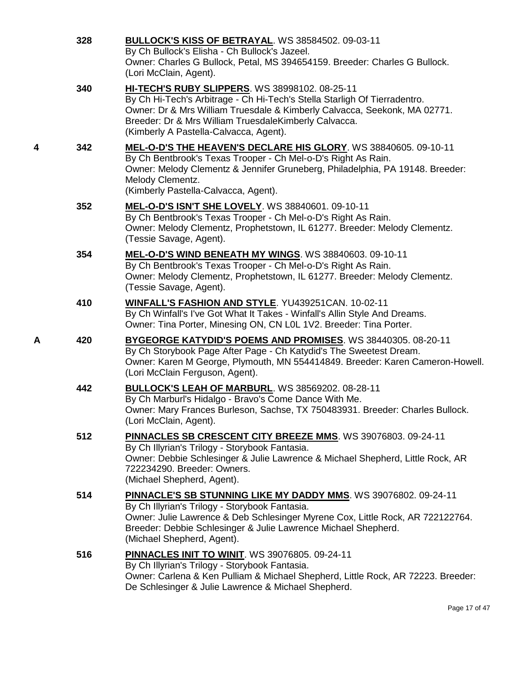|   | 328 | <b>BULLOCK'S KISS OF BETRAYAL. WS 38584502. 09-03-11</b><br>By Ch Bullock's Elisha - Ch Bullock's Jazeel.<br>Owner: Charles G Bullock, Petal, MS 394654159. Breeder: Charles G Bullock.<br>(Lori McClain, Agent).                                                                                                  |
|---|-----|--------------------------------------------------------------------------------------------------------------------------------------------------------------------------------------------------------------------------------------------------------------------------------------------------------------------|
|   | 340 | <b>HI-TECH'S RUBY SLIPPERS. WS 38998102. 08-25-11</b><br>By Ch Hi-Tech's Arbitrage - Ch Hi-Tech's Stella Starligh Of Tierradentro.<br>Owner: Dr & Mrs William Truesdale & Kimberly Calvacca, Seekonk, MA 02771.<br>Breeder: Dr & Mrs William TruesdaleKimberly Calvacca.<br>(Kimberly A Pastella-Calvacca, Agent). |
| 4 | 342 | MEL-O-D'S THE HEAVEN'S DECLARE HIS GLORY. WS 38840605. 09-10-11<br>By Ch Bentbrook's Texas Trooper - Ch Mel-o-D's Right As Rain.<br>Owner: Melody Clementz & Jennifer Gruneberg, Philadelphia, PA 19148. Breeder:<br>Melody Clementz.<br>(Kimberly Pastella-Calvacca, Agent).                                      |
|   | 352 | MEL-O-D'S ISN'T SHE LOVELY. WS 38840601. 09-10-11<br>By Ch Bentbrook's Texas Trooper - Ch Mel-o-D's Right As Rain.<br>Owner: Melody Clementz, Prophetstown, IL 61277. Breeder: Melody Clementz.<br>(Tessie Savage, Agent).                                                                                         |
|   | 354 | MEL-O-D'S WIND BENEATH MY WINGS. WS 38840603. 09-10-11<br>By Ch Bentbrook's Texas Trooper - Ch Mel-o-D's Right As Rain.<br>Owner: Melody Clementz, Prophetstown, IL 61277. Breeder: Melody Clementz.<br>(Tessie Savage, Agent).                                                                                    |
|   | 410 | <b>WINFALL'S FASHION AND STYLE. YU439251CAN. 10-02-11</b><br>By Ch Winfall's I've Got What It Takes - Winfall's Allin Style And Dreams.<br>Owner: Tina Porter, Minesing ON, CN L0L 1V2. Breeder: Tina Porter.                                                                                                      |
| Α | 420 | BYGEORGE KATYDID'S POEMS AND PROMISES. WS 38440305. 08-20-11<br>By Ch Storybook Page After Page - Ch Katydid's The Sweetest Dream.<br>Owner: Karen M George, Plymouth, MN 554414849. Breeder: Karen Cameron-Howell.<br>(Lori McClain Ferguson, Agent).                                                             |
|   | 442 | <b>BULLOCK'S LEAH OF MARBURL. WS 38569202. 08-28-11</b><br>By Ch Marburl's Hidalgo - Bravo's Come Dance With Me.<br>Owner: Mary Frances Burleson, Sachse, TX 750483931. Breeder: Charles Bullock.<br>(Lori McClain, Agent).                                                                                        |
|   | 512 | PINNACLES SB CRESCENT CITY BREEZE MMS. WS 39076803. 09-24-11<br>By Ch Illyrian's Trilogy - Storybook Fantasia.<br>Owner: Debbie Schlesinger & Julie Lawrence & Michael Shepherd, Little Rock, AR<br>722234290. Breeder: Owners.<br>(Michael Shepherd, Agent).                                                      |
|   | 514 | PINNACLE'S SB STUNNING LIKE MY DADDY MMS. WS 39076802. 09-24-11<br>By Ch Illyrian's Trilogy - Storybook Fantasia.<br>Owner: Julie Lawrence & Deb Schlesinger Myrene Cox, Little Rock, AR 722122764.<br>Breeder: Debbie Schlesinger & Julie Lawrence Michael Shepherd.<br>(Michael Shepherd, Agent).                |
|   | 516 | PINNACLES INIT TO WINIT. WS 39076805. 09-24-11<br>By Ch Illyrian's Trilogy - Storybook Fantasia.<br>Owner: Carlena & Ken Pulliam & Michael Shepherd, Little Rock, AR 72223. Breeder:<br>De Schlesinger & Julie Lawrence & Michael Shepherd.                                                                        |

Page 17 of 47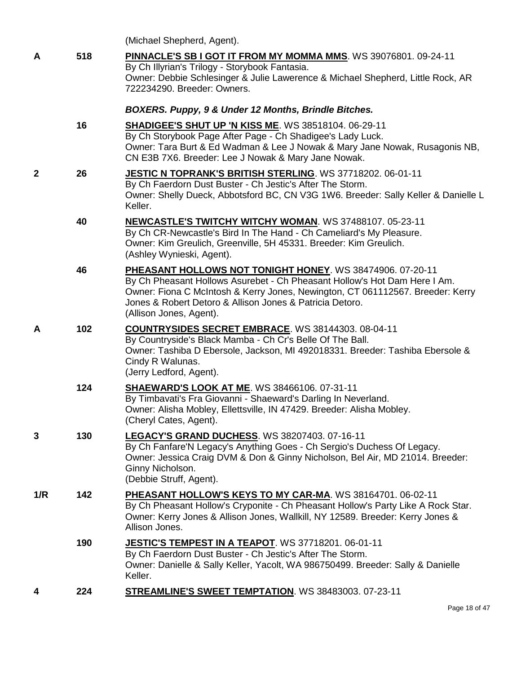|     |     | (Michael Shepherd, Agent).                                                                                                                                                                                                                                                                                      |
|-----|-----|-----------------------------------------------------------------------------------------------------------------------------------------------------------------------------------------------------------------------------------------------------------------------------------------------------------------|
| A   | 518 | PINNACLE'S SB I GOT IT FROM MY MOMMA MMS. WS 39076801. 09-24-11<br>By Ch Illyrian's Trilogy - Storybook Fantasia.<br>Owner: Debbie Schlesinger & Julie Lawerence & Michael Shepherd, Little Rock, AR<br>722234290. Breeder: Owners.                                                                             |
|     |     | BOXERS. Puppy, 9 & Under 12 Months, Brindle Bitches.                                                                                                                                                                                                                                                            |
|     | 16  | <b>SHADIGEE'S SHUT UP 'N KISS ME. WS 38518104. 06-29-11</b><br>By Ch Storybook Page After Page - Ch Shadigee's Lady Luck.<br>Owner: Tara Burt & Ed Wadman & Lee J Nowak & Mary Jane Nowak, Rusagonis NB,<br>CN E3B 7X6. Breeder: Lee J Nowak & Mary Jane Nowak.                                                 |
| 2   | 26  | JESTIC N TOPRANK'S BRITISH STERLING. WS 37718202. 06-01-11<br>By Ch Faerdorn Dust Buster - Ch Jestic's After The Storm.<br>Owner: Shelly Dueck, Abbotsford BC, CN V3G 1W6. Breeder: Sally Keller & Danielle L<br>Keller.                                                                                        |
|     | 40  | NEWCASTLE'S TWITCHY WITCHY WOMAN. WS 37488107. 05-23-11<br>By Ch CR-Newcastle's Bird In The Hand - Ch Cameliard's My Pleasure.<br>Owner: Kim Greulich, Greenville, 5H 45331. Breeder: Kim Greulich.<br>(Ashley Wynieski, Agent).                                                                                |
|     | 46  | PHEASANT HOLLOWS NOT TONIGHT HONEY. WS 38474906. 07-20-11<br>By Ch Pheasant Hollows Asurebet - Ch Pheasant Hollow's Hot Dam Here I Am.<br>Owner: Fiona C McIntosh & Kerry Jones, Newington, CT 061112567. Breeder: Kerry<br>Jones & Robert Detoro & Allison Jones & Patricia Detoro.<br>(Allison Jones, Agent). |
| A   | 102 | <b>COUNTRYSIDES SECRET EMBRACE.</b> WS 38144303. 08-04-11<br>By Countryside's Black Mamba - Ch Cr's Belle Of The Ball.<br>Owner: Tashiba D Ebersole, Jackson, MI 492018331. Breeder: Tashiba Ebersole &<br>Cindy R Walunas.<br>(Jerry Ledford, Agent).                                                          |
|     | 124 | <b>SHAEWARD'S LOOK AT ME. WS 38466106. 07-31-11</b><br>By Timbavati's Fra Giovanni - Shaeward's Darling In Neverland.<br>Owner: Alisha Mobley, Ellettsville, IN 47429. Breeder: Alisha Mobley.<br>(Cheryl Cates, Agent).                                                                                        |
| 3   | 130 | LEGACY'S GRAND DUCHESS. WS 38207403. 07-16-11<br>By Ch Fanfare'N Legacy's Anything Goes - Ch Sergio's Duchess Of Legacy.<br>Owner: Jessica Craig DVM & Don & Ginny Nicholson, Bel Air, MD 21014. Breeder:<br>Ginny Nicholson.<br>(Debbie Struff, Agent).                                                        |
| 1/R | 142 | PHEASANT HOLLOW'S KEYS TO MY CAR-MA. WS 38164701. 06-02-11<br>By Ch Pheasant Hollow's Cryponite - Ch Pheasant Hollow's Party Like A Rock Star.<br>Owner: Kerry Jones & Allison Jones, Wallkill, NY 12589. Breeder: Kerry Jones &<br>Allison Jones.                                                              |
|     | 190 | JESTIC'S TEMPEST IN A TEAPOT. WS 37718201. 06-01-11<br>By Ch Faerdorn Dust Buster - Ch Jestic's After The Storm.<br>Owner: Danielle & Sally Keller, Yacolt, WA 986750499. Breeder: Sally & Danielle<br>Keller.                                                                                                  |
| 4   | 224 | <b>STREAMLINE'S SWEET TEMPTATION.</b> WS 38483003. 07-23-11                                                                                                                                                                                                                                                     |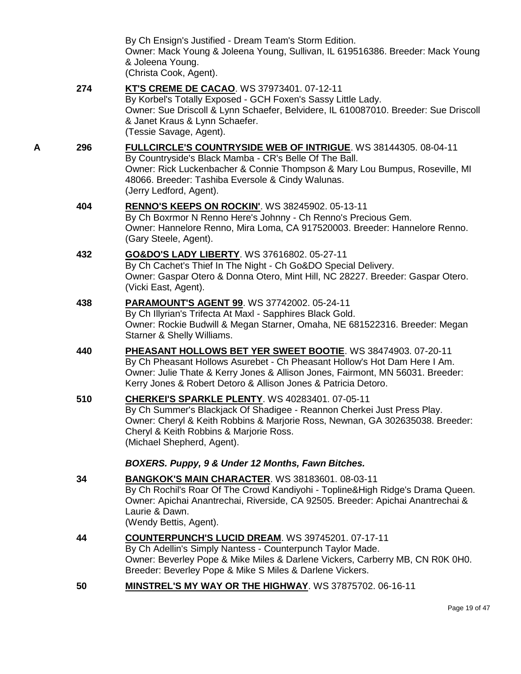|   |     | Page 19 of 47                                                                                                                                                                                                                                                                                                                                    |  |
|---|-----|--------------------------------------------------------------------------------------------------------------------------------------------------------------------------------------------------------------------------------------------------------------------------------------------------------------------------------------------------|--|
|   | 50  | <b>MINSTREL'S MY WAY OR THE HIGHWAY. WS 37875702. 06-16-11</b>                                                                                                                                                                                                                                                                                   |  |
|   | 44  | <b>COUNTERPUNCH'S LUCID DREAM. WS 39745201. 07-17-11</b><br>By Ch Adellin's Simply Nantess - Counterpunch Taylor Made.<br>Owner: Beverley Pope & Mike Miles & Darlene Vickers, Carberry MB, CN R0K 0H0.<br>Breeder: Beverley Pope & Mike S Miles & Darlene Vickers.                                                                              |  |
|   | 34  | <b>BANGKOK'S MAIN CHARACTER. WS 38183601. 08-03-11</b><br>By Ch Rochil's Roar Of The Crowd Kandiyohi - Topline&High Ridge's Drama Queen.<br>Owner: Apichai Anantrechai, Riverside, CA 92505. Breeder: Apichai Anantrechai &<br>Laurie & Dawn.<br>(Wendy Bettis, Agent).                                                                          |  |
|   | 510 | <b>CHERKEI'S SPARKLE PLENTY. WS 40283401. 07-05-11</b><br>By Ch Summer's Blackjack Of Shadigee - Reannon Cherkei Just Press Play.<br>Owner: Cheryl & Keith Robbins & Marjorie Ross, Newnan, GA 302635038. Breeder:<br>Cheryl & Keith Robbins & Marjorie Ross.<br>(Michael Shepherd, Agent).<br>BOXERS. Puppy, 9 & Under 12 Months, Fawn Bitches. |  |
|   | 440 | PHEASANT HOLLOWS BET YER SWEET BOOTIE. WS 38474903. 07-20-11<br>By Ch Pheasant Hollows Asurebet - Ch Pheasant Hollow's Hot Dam Here I Am.<br>Owner: Julie Thate & Kerry Jones & Allison Jones, Fairmont, MN 56031. Breeder:<br>Kerry Jones & Robert Detoro & Allison Jones & Patricia Detoro.                                                    |  |
|   | 438 | PARAMOUNT'S AGENT 99. WS 37742002. 05-24-11<br>By Ch Illyrian's Trifecta At Maxl - Sapphires Black Gold.<br>Owner: Rockie Budwill & Megan Starner, Omaha, NE 681522316. Breeder: Megan<br>Starner & Shelly Williams.                                                                                                                             |  |
|   | 432 | <b>GO&amp;DO'S LADY LIBERTY. WS 37616802. 05-27-11</b><br>By Ch Cachet's Thief In The Night - Ch Go&DO Special Delivery.<br>Owner: Gaspar Otero & Donna Otero, Mint Hill, NC 28227. Breeder: Gaspar Otero.<br>(Vicki East, Agent).                                                                                                               |  |
|   | 404 | RENNO'S KEEPS ON ROCKIN'. WS 38245902. 05-13-11<br>By Ch Boxrmor N Renno Here's Johnny - Ch Renno's Precious Gem.<br>Owner: Hannelore Renno, Mira Loma, CA 917520003. Breeder: Hannelore Renno.<br>(Gary Steele, Agent).                                                                                                                         |  |
| A | 296 | FULLCIRCLE'S COUNTRYSIDE WEB OF INTRIGUE. WS 38144305. 08-04-11<br>By Countryside's Black Mamba - CR's Belle Of The Ball.<br>Owner: Rick Luckenbacher & Connie Thompson & Mary Lou Bumpus, Roseville, MI<br>48066. Breeder: Tashiba Eversole & Cindy Walunas.<br>(Jerry Ledford, Agent).                                                         |  |
|   | 274 | KT'S CREME DE CACAO. WS 37973401. 07-12-11<br>By Korbel's Totally Exposed - GCH Foxen's Sassy Little Lady.<br>Owner: Sue Driscoll & Lynn Schaefer, Belvidere, IL 610087010. Breeder: Sue Driscoll<br>& Janet Kraus & Lynn Schaefer.<br>(Tessie Savage, Agent).                                                                                   |  |
|   |     | By Ch Ensign's Justified - Dream Team's Storm Edition.<br>Owner: Mack Young & Joleena Young, Sullivan, IL 619516386. Breeder: Mack Young<br>& Joleena Young.<br>(Christa Cook, Agent).                                                                                                                                                           |  |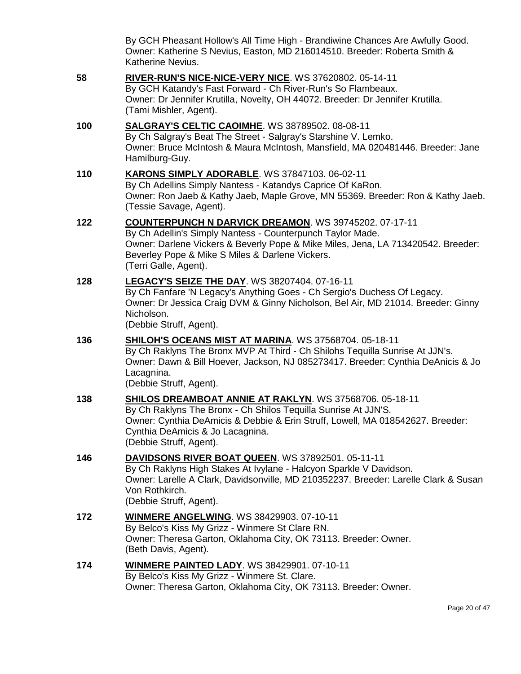By GCH Pheasant Hollow's All Time High - Brandiwine Chances Are Awfully Good. Owner: Katherine S Nevius, Easton, MD 216014510. Breeder: Roberta Smith & Katherine Nevius.

**58 [RIVER-RUN'S NICE-NICE-VERY NICE](http://www.infodog.com/files/bdogrsl1.prg;makc=WS%2037620802;mdog=River-Run_s_Nice-Nice-Very_Nice;wins=all)**. WS 37620802. 05-14-11 By GCH Katandy's Fast Forward - Ch River-Run's So Flambeaux. Owner: Dr Jennifer Krutilla, Novelty, OH 44072. Breeder: Dr Jennifer Krutilla. (Tami Mishler, Agent). **100 [SALGRAY'S CELTIC CAOIMHE](http://www.infodog.com/files/bdogrsl1.prg;makc=WS%2038789502;mdog=Salgray_s_Celtic_Caoimhe;wins=all)**. WS 38789502. 08-08-11 By Ch Salgray's Beat The Street - Salgray's Starshine V. Lemko. Owner: Bruce McIntosh & Maura McIntosh, Mansfield, MA 020481446. Breeder: Jane Hamilburg-Guy. **110 [KARONS SIMPLY ADORABLE](http://www.infodog.com/files/bdogrsl1.prg;makc=WS%2037847103;mdog=KaRons_Simply_Adorable;wins=all)**. WS 37847103. 06-02-11 By Ch Adellins Simply Nantess - Katandys Caprice Of KaRon. Owner: Ron Jaeb & Kathy Jaeb, Maple Grove, MN 55369. Breeder: Ron & Kathy Jaeb. (Tessie Savage, Agent). **122 [COUNTERPUNCH N DARVICK DREAMON](http://www.infodog.com/files/bdogrsl1.prg;makc=WS%2039745202;mdog=Counterpunch_N_Darvick_Dreamon;wins=all)**. WS 39745202. 07-17-11 By Ch Adellin's Simply Nantess - Counterpunch Taylor Made. Owner: Darlene Vickers & Beverly Pope & Mike Miles, Jena, LA 713420542. Breeder: Beverley Pope & Mike S Miles & Darlene Vickers. (Terri Galle, Agent). **128 [LEGACY'S SEIZE THE DAY](http://www.infodog.com/files/bdogrsl1.prg;makc=WS%2038207404;mdog=Legacy_s_Seize_The_Day;wins=all)**. WS 38207404. 07-16-11 By Ch Fanfare 'N Legacy's Anything Goes - Ch Sergio's Duchess Of Legacy. Owner: Dr Jessica Craig DVM & Ginny Nicholson, Bel Air, MD 21014. Breeder: Ginny Nicholson. (Debbie Struff, Agent). **136 [SHILOH'S OCEANS MIST AT MARINA](http://www.infodog.com/files/bdogrsl1.prg;makc=WS%2037568704;mdog=Shiloh_s_Oceans_Mist_At_Marina;wins=all)**. WS 37568704. 05-18-11 By Ch Raklyns The Bronx MVP At Third - Ch Shilohs Tequilla Sunrise At JJN's. Owner: Dawn & Bill Hoever, Jackson, NJ 085273417. Breeder: Cynthia DeAnicis & Jo Lacagnina. (Debbie Struff, Agent). **138 [SHILOS DREAMBOAT ANNIE AT RAKLYN](http://www.infodog.com/files/bdogrsl1.prg;makc=WS%2037568706;mdog=Shilos_Dreamboat_Annie_At_Raklyn;wins=all)**. WS 37568706. 05-18-11 By Ch Raklyns The Bronx - Ch Shilos Tequilla Sunrise At JJN'S. Owner: Cynthia DeAmicis & Debbie & Erin Struff, Lowell, MA 018542627. Breeder: Cynthia DeAmicis & Jo Lacagnina. (Debbie Struff, Agent). **146 [DAVIDSONS RIVER BOAT QUEEN](http://www.infodog.com/files/bdogrsl1.prg;makc=WS%2037892501;mdog=Davidsons_River_Boat_Queen;wins=all)**. WS 37892501. 05-11-11 By Ch Raklyns High Stakes At Ivylane - Halcyon Sparkle V Davidson. Owner: Larelle A Clark, Davidsonville, MD 210352237. Breeder: Larelle Clark & Susan Von Rothkirch. (Debbie Struff, Agent). **172 [WINMERE ANGELWING](http://www.infodog.com/files/bdogrsl1.prg;makc=WS%2038429903;mdog=Winmere_Angelwing;wins=all)**. WS 38429903. 07-10-11 By Belco's Kiss My Grizz - Winmere St Clare RN. Owner: Theresa Garton, Oklahoma City, OK 73113. Breeder: Owner. (Beth Davis, Agent). **174 [WINMERE PAINTED LADY](http://www.infodog.com/files/bdogrsl1.prg;makc=WS%2038429901;mdog=Winmere_Painted_Lady;wins=all)**. WS 38429901. 07-10-11 By Belco's Kiss My Grizz - Winmere St. Clare. Owner: Theresa Garton, Oklahoma City, OK 73113. Breeder: Owner.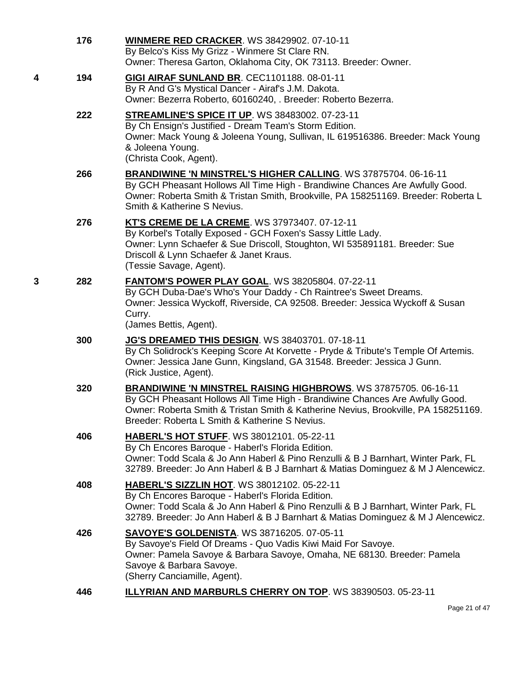|   | 176 | <b>WINMERE RED CRACKER. WS 38429902. 07-10-11</b><br>By Belco's Kiss My Grizz - Winmere St Clare RN.<br>Owner: Theresa Garton, Oklahoma City, OK 73113. Breeder: Owner.                                                                                                                        |
|---|-----|------------------------------------------------------------------------------------------------------------------------------------------------------------------------------------------------------------------------------------------------------------------------------------------------|
| 4 | 194 | GIGI AIRAF SUNLAND BR. CEC1101188. 08-01-11<br>By R And G's Mystical Dancer - Airaf's J.M. Dakota.<br>Owner: Bezerra Roberto, 60160240, . Breeder: Roberto Bezerra.                                                                                                                            |
|   | 222 | <b>STREAMLINE'S SPICE IT UP. WS 38483002. 07-23-11</b><br>By Ch Ensign's Justified - Dream Team's Storm Edition.<br>Owner: Mack Young & Joleena Young, Sullivan, IL 619516386. Breeder: Mack Young<br>& Joleena Young.<br>(Christa Cook, Agent).                                               |
|   | 266 | BRANDIWINE 'N MINSTREL'S HIGHER CALLING. WS 37875704. 06-16-11<br>By GCH Pheasant Hollows All Time High - Brandiwine Chances Are Awfully Good.<br>Owner: Roberta Smith & Tristan Smith, Brookville, PA 158251169. Breeder: Roberta L<br>Smith & Katherine S Nevius.                            |
|   | 276 | KT'S CREME DE LA CREME. WS 37973407. 07-12-11<br>By Korbel's Totally Exposed - GCH Foxen's Sassy Little Lady.<br>Owner: Lynn Schaefer & Sue Driscoll, Stoughton, WI 535891181. Breeder: Sue<br>Driscoll & Lynn Schaefer & Janet Kraus.<br>(Tessie Savage, Agent).                              |
| 3 | 282 | FANTOM'S POWER PLAY GOAL. WS 38205804. 07-22-11<br>By GCH Duba-Dae's Who's Your Daddy - Ch Raintree's Sweet Dreams.<br>Owner: Jessica Wyckoff, Riverside, CA 92508. Breeder: Jessica Wyckoff & Susan<br>Curry.<br>(James Bettis, Agent).                                                       |
|   | 300 | <b>JG'S DREAMED THIS DESIGN. WS 38403701. 07-18-11</b><br>By Ch Solidrock's Keeping Score At Korvette - Pryde & Tribute's Temple Of Artemis.<br>Owner: Jessica Jane Gunn, Kingsland, GA 31548. Breeder: Jessica J Gunn.<br>(Rick Justice, Agent).                                              |
|   | 320 | <b>BRANDIWINE 'N MINSTREL RAISING HIGHBROWS.</b> WS 37875705. 06-16-11<br>By GCH Pheasant Hollows All Time High - Brandiwine Chances Are Awfully Good.<br>Owner: Roberta Smith & Tristan Smith & Katherine Nevius, Brookville, PA 158251169.<br>Breeder: Roberta L Smith & Katherine S Nevius. |
|   | 406 | <b>HABERL'S HOT STUFF. WS 38012101. 05-22-11</b><br>By Ch Encores Baroque - Haberl's Florida Edition.<br>Owner: Todd Scala & Jo Ann Haberl & Pino Renzulli & B J Barnhart, Winter Park, FL<br>32789. Breeder: Jo Ann Haberl & B J Barnhart & Matias Dominguez & M J Alencewicz.                |
|   | 408 | HABERL'S SIZZLIN HOT. WS 38012102. 05-22-11<br>By Ch Encores Baroque - Haberl's Florida Edition.<br>Owner: Todd Scala & Jo Ann Haberl & Pino Renzulli & B J Barnhart, Winter Park, FL<br>32789. Breeder: Jo Ann Haberl & B J Barnhart & Matias Dominguez & M J Alencewicz.                     |
|   | 426 | <b>SAVOYE'S GOLDENISTA. WS 38716205. 07-05-11</b><br>By Savoye's Field Of Dreams - Quo Vadis Kiwi Maid For Savoye.<br>Owner: Pamela Savoye & Barbara Savoye, Omaha, NE 68130. Breeder: Pamela<br>Savoye & Barbara Savoye.<br>(Sherry Canciamille, Agent).                                      |
|   | 446 | <b>ILLYRIAN AND MARBURLS CHERRY ON TOP. WS 38390503. 05-23-11</b>                                                                                                                                                                                                                              |

Page 21 of 47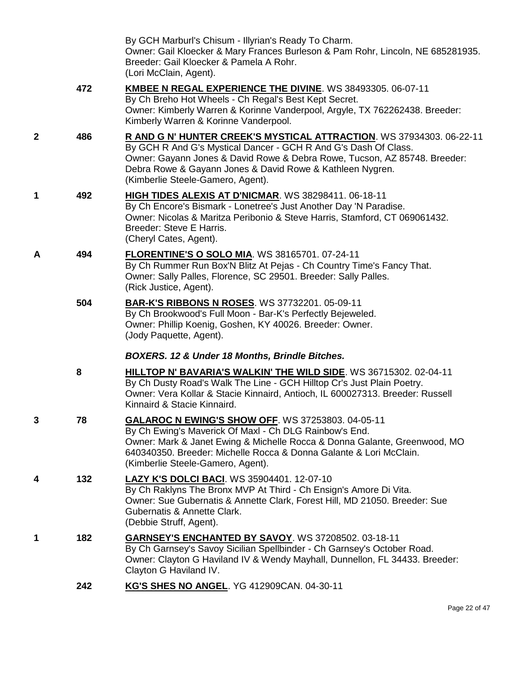|             |     | By GCH Marburl's Chisum - Illyrian's Ready To Charm.<br>Owner: Gail Kloecker & Mary Frances Burleson & Pam Rohr, Lincoln, NE 685281935.<br>Breeder: Gail Kloecker & Pamela A Rohr.<br>(Lori McClain, Agent).                                                                                                           |
|-------------|-----|------------------------------------------------------------------------------------------------------------------------------------------------------------------------------------------------------------------------------------------------------------------------------------------------------------------------|
|             | 472 | KMBEE N REGAL EXPERIENCE THE DIVINE. WS 38493305. 06-07-11<br>By Ch Breho Hot Wheels - Ch Regal's Best Kept Secret.<br>Owner: Kimberly Warren & Korinne Vanderpool, Argyle, TX 762262438. Breeder:<br>Kimberly Warren & Korinne Vanderpool.                                                                            |
| $\mathbf 2$ | 486 | R AND G N' HUNTER CREEK'S MYSTICAL ATTRACTION. WS 37934303. 06-22-11<br>By GCH R And G's Mystical Dancer - GCH R And G's Dash Of Class.<br>Owner: Gayann Jones & David Rowe & Debra Rowe, Tucson, AZ 85748. Breeder:<br>Debra Rowe & Gayann Jones & David Rowe & Kathleen Nygren.<br>(Kimberlie Steele-Gamero, Agent). |
| 1           | 492 | HIGH TIDES ALEXIS AT D'NICMAR. WS 38298411. 06-18-11<br>By Ch Encore's Bismark - Lonetree's Just Another Day 'N Paradise.<br>Owner: Nicolas & Maritza Peribonio & Steve Harris, Stamford, CT 069061432.<br>Breeder: Steve E Harris.<br>(Cheryl Cates, Agent).                                                          |
| Α           | 494 | <b>FLORENTINE'S O SOLO MIA. WS 38165701. 07-24-11</b><br>By Ch Rummer Run Box'N Blitz At Pejas - Ch Country Time's Fancy That.<br>Owner: Sally Palles, Florence, SC 29501. Breeder: Sally Palles.<br>(Rick Justice, Agent).                                                                                            |
|             | 504 | <b>BAR-K'S RIBBONS N ROSES.</b> WS 37732201. 05-09-11<br>By Ch Brookwood's Full Moon - Bar-K's Perfectly Bejeweled.<br>Owner: Phillip Koenig, Goshen, KY 40026. Breeder: Owner.<br>(Jody Paquette, Agent).                                                                                                             |
|             |     | <b>BOXERS. 12 &amp; Under 18 Months, Brindle Bitches.</b>                                                                                                                                                                                                                                                              |
|             | 8   | HILLTOP N' BAVARIA'S WALKIN' THE WILD SIDE. WS 36715302. 02-04-11<br>By Ch Dusty Road's Walk The Line - GCH Hilltop Cr's Just Plain Poetry.<br>Owner: Vera Kollar & Stacie Kinnaird, Antioch, IL 600027313. Breeder: Russell<br>Kinnaird & Stacie Kinnaird.                                                            |
| 3           | 78  | GALAROC N EWING'S SHOW OFF. WS 37253803. 04-05-11<br>By Ch Ewing's Maverick Of Maxl - Ch DLG Rainbow's End.<br>Owner: Mark & Janet Ewing & Michelle Rocca & Donna Galante, Greenwood, MO<br>640340350. Breeder: Michelle Rocca & Donna Galante & Lori McClain.<br>(Kimberlie Steele-Gamero, Agent).                    |
| 4           | 132 | LAZY K'S DOLCI BACI. WS 35904401. 12-07-10<br>By Ch Raklyns The Bronx MVP At Third - Ch Ensign's Amore Di Vita.<br>Owner: Sue Gubernatis & Annette Clark, Forest Hill, MD 21050. Breeder: Sue<br>Gubernatis & Annette Clark.<br>(Debbie Struff, Agent).                                                                |
| 1           | 182 | <b>GARNSEY'S ENCHANTED BY SAVOY.</b> WS 37208502. 03-18-11<br>By Ch Garnsey's Savoy Sicilian Spellbinder - Ch Garnsey's October Road.<br>Owner: Clayton G Haviland IV & Wendy Mayhall, Dunnellon, FL 34433. Breeder:<br>Clayton G Haviland IV.                                                                         |
|             | 242 | KG'S SHES NO ANGEL. YG 412909CAN. 04-30-11                                                                                                                                                                                                                                                                             |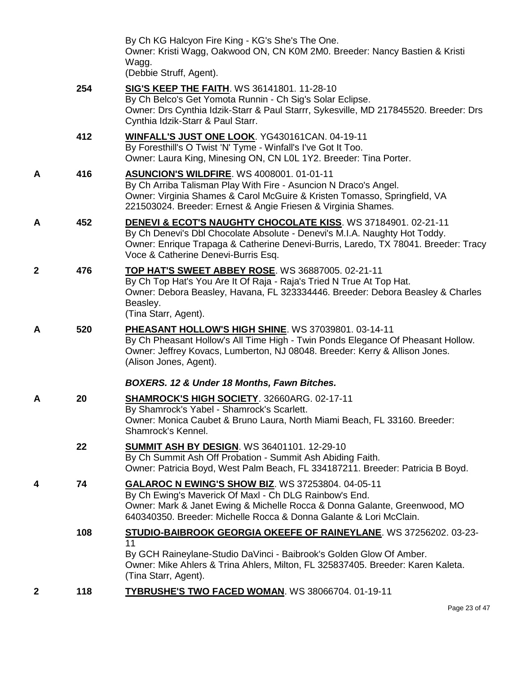|   |     | By Ch KG Halcyon Fire King - KG's She's The One.<br>Owner: Kristi Wagg, Oakwood ON, CN K0M 2M0. Breeder: Nancy Bastien & Kristi<br>Wagg.<br>(Debbie Struff, Agent).                                                                                                                 |
|---|-----|-------------------------------------------------------------------------------------------------------------------------------------------------------------------------------------------------------------------------------------------------------------------------------------|
|   | 254 | <b>SIG'S KEEP THE FAITH.</b> WS 36141801. 11-28-10<br>By Ch Belco's Get Yomota Runnin - Ch Sig's Solar Eclipse.<br>Owner: Drs Cynthia Idzik-Starr & Paul Starrr, Sykesville, MD 217845520. Breeder: Drs<br>Cynthia Idzik-Starr & Paul Starr.                                        |
|   | 412 | WINFALL'S JUST ONE LOOK. YG430161CAN. 04-19-11<br>By Foresthill's O Twist 'N' Tyme - Winfall's I've Got It Too.<br>Owner: Laura King, Minesing ON, CN LOL 1Y2. Breeder: Tina Porter.                                                                                                |
| Α | 416 | <b>ASUNCION'S WILDFIRE. WS 4008001. 01-01-11</b><br>By Ch Arriba Talisman Play With Fire - Asuncion N Draco's Angel.<br>Owner: Virginia Shames & Carol McGuire & Kristen Tomasso, Springfield, VA<br>221503024. Breeder: Ernest & Angie Friesen & Virginia Shames.                  |
| A | 452 | <b>DENEVI &amp; ECOT'S NAUGHTY CHOCOLATE KISS. WS 37184901. 02-21-11</b><br>By Ch Denevi's Dbl Chocolate Absolute - Denevi's M.I.A. Naughty Hot Toddy.<br>Owner: Enrique Trapaga & Catherine Denevi-Burris, Laredo, TX 78041. Breeder: Tracy<br>Voce & Catherine Denevi-Burris Esq. |
| 2 | 476 | TOP HAT'S SWEET ABBEY ROSE. WS 36887005. 02-21-11<br>By Ch Top Hat's You Are It Of Raja - Raja's Tried N True At Top Hat.<br>Owner: Debora Beasley, Havana, FL 323334446. Breeder: Debora Beasley & Charles<br>Beasley.<br>(Tina Starr, Agent).                                     |
| Α | 520 | PHEASANT HOLLOW'S HIGH SHINE. WS 37039801. 03-14-11<br>By Ch Pheasant Hollow's All Time High - Twin Ponds Elegance Of Pheasant Hollow.<br>Owner: Jeffrey Kovacs, Lumberton, NJ 08048. Breeder: Kerry & Allison Jones.<br>(Alison Jones, Agent).                                     |
|   |     | BOXERS. 12 & Under 18 Months, Fawn Bitches.                                                                                                                                                                                                                                         |
| Α | 20  | <b>SHAMROCK'S HIGH SOCIETY. 32660ARG. 02-17-11</b><br>By Shamrock's Yabel - Shamrock's Scarlett.<br>Owner: Monica Caubet & Bruno Laura, North Miami Beach, FL 33160. Breeder:<br>Shamrock's Kennel.                                                                                 |
|   | 22  | <b>SUMMIT ASH BY DESIGN. WS 36401101. 12-29-10</b><br>By Ch Summit Ash Off Probation - Summit Ash Abiding Faith.<br>Owner: Patricia Boyd, West Palm Beach, FL 334187211. Breeder: Patricia B Boyd.                                                                                  |
| 4 | 74  | GALAROC N EWING'S SHOW BIZ. WS 37253804. 04-05-11<br>By Ch Ewing's Maverick Of Maxl - Ch DLG Rainbow's End.<br>Owner: Mark & Janet Ewing & Michelle Rocca & Donna Galante, Greenwood, MO<br>640340350, Breeder: Michelle Rocca & Donna Galante & Lori McClain.                      |
|   | 108 | STUDIO-BAIBROOK GEORGIA OKEEFE OF RAINEYLANE. WS 37256202. 03-23-<br>11<br>By GCH Raineylane-Studio DaVinci - Baibrook's Golden Glow Of Amber.<br>Owner: Mike Ahlers & Trina Ahlers, Milton, FL 325837405. Breeder: Karen Kaleta.<br>(Tina Starr, Agent).                           |
| 2 | 118 | TYBRUSHE'S TWO FACED WOMAN. WS 38066704. 01-19-11                                                                                                                                                                                                                                   |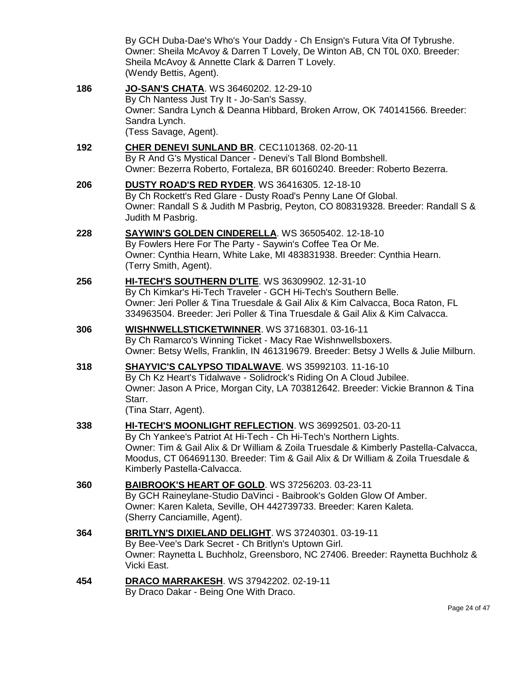|     | By GCH Duba-Dae's Who's Your Daddy - Ch Ensign's Futura Vita Of Tybrushe.                                                                                                                                                                                                                                                           |
|-----|-------------------------------------------------------------------------------------------------------------------------------------------------------------------------------------------------------------------------------------------------------------------------------------------------------------------------------------|
|     | Owner: Sheila McAvoy & Darren T Lovely, De Winton AB, CN TOL 0X0. Breeder:<br>Sheila McAvoy & Annette Clark & Darren T Lovely.<br>(Wendy Bettis, Agent).                                                                                                                                                                            |
| 186 | JO-SAN'S CHATA. WS 36460202. 12-29-10<br>By Ch Nantess Just Try It - Jo-San's Sassy.<br>Owner: Sandra Lynch & Deanna Hibbard, Broken Arrow, OK 740141566. Breeder:<br>Sandra Lynch.<br>(Tess Savage, Agent).                                                                                                                        |
| 192 | CHER DENEVI SUNLAND BR. CEC1101368. 02-20-11<br>By R And G's Mystical Dancer - Denevi's Tall Blond Bombshell.<br>Owner: Bezerra Roberto, Fortaleza, BR 60160240. Breeder: Roberto Bezerra.                                                                                                                                          |
| 206 | <b>DUSTY ROAD'S RED RYDER. WS 36416305. 12-18-10</b><br>By Ch Rockett's Red Glare - Dusty Road's Penny Lane Of Global.<br>Owner: Randall S & Judith M Pasbrig, Peyton, CO 808319328. Breeder: Randall S &<br>Judith M Pasbrig.                                                                                                      |
| 228 | <b>SAYWIN'S GOLDEN CINDERELLA. WS 36505402. 12-18-10</b><br>By Fowlers Here For The Party - Saywin's Coffee Tea Or Me.<br>Owner: Cynthia Hearn, White Lake, MI 483831938. Breeder: Cynthia Hearn.<br>(Terry Smith, Agent).                                                                                                          |
| 256 | HI-TECH'S SOUTHERN D'LITE. WS 36309902. 12-31-10<br>By Ch Kimkar's Hi-Tech Traveler - GCH Hi-Tech's Southern Belle.<br>Owner: Jeri Poller & Tina Truesdale & Gail Alix & Kim Calvacca, Boca Raton, FL<br>334963504. Breeder: Jeri Poller & Tina Truesdale & Gail Alix & Kim Calvacca.                                               |
| 306 | WISHNWELLSTICKETWINNER. WS 37168301. 03-16-11<br>By Ch Ramarco's Winning Ticket - Macy Rae Wishnwellsboxers.<br>Owner: Betsy Wells, Franklin, IN 461319679. Breeder: Betsy J Wells & Julie Milburn.                                                                                                                                 |
| 318 | SHAYVIC'S CALYPSO TIDALWAVE. WS 35992103. 11-16-10<br>By Ch Kz Heart's Tidalwave - Solidrock's Riding On A Cloud Jubilee.<br>Owner: Jason A Price, Morgan City, LA 703812642. Breeder: Vickie Brannon & Tina<br>Starr.<br>(Tina Starr, Agent).                                                                                      |
| 338 | HI-TECH'S MOONLIGHT REFLECTION. WS 36992501. 03-20-11<br>By Ch Yankee's Patriot At Hi-Tech - Ch Hi-Tech's Northern Lights.<br>Owner: Tim & Gail Alix & Dr William & Zoila Truesdale & Kimberly Pastella-Calvacca,<br>Moodus, CT 064691130. Breeder: Tim & Gail Alix & Dr William & Zoila Truesdale &<br>Kimberly Pastella-Calvacca. |
| 360 | <b>BAIBROOK'S HEART OF GOLD. WS 37256203. 03-23-11</b><br>By GCH Raineylane-Studio DaVinci - Baibrook's Golden Glow Of Amber.<br>Owner: Karen Kaleta, Seville, OH 442739733. Breeder: Karen Kaleta.<br>(Sherry Canciamille, Agent).                                                                                                 |
| 364 | <b>BRITLYN'S DIXIELAND DELIGHT. WS 37240301. 03-19-11</b><br>By Bee-Vee's Dark Secret - Ch Britlyn's Uptown Girl.<br>Owner: Raynetta L Buchholz, Greensboro, NC 27406. Breeder: Raynetta Buchholz &<br>Vicki East.                                                                                                                  |
| 454 | <b>DRACO MARRAKESH.</b> WS 37942202. 02-19-11<br>By Draco Dakar - Being One With Draco.                                                                                                                                                                                                                                             |

Page 24 of 47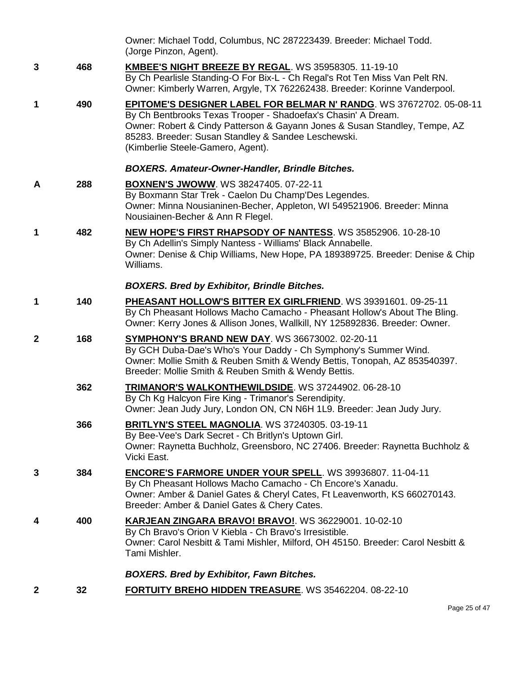|              |     | Owner: Michael Todd, Columbus, NC 287223439. Breeder: Michael Todd.<br>(Jorge Pinzon, Agent).                                                                                                                                                                                                                         |
|--------------|-----|-----------------------------------------------------------------------------------------------------------------------------------------------------------------------------------------------------------------------------------------------------------------------------------------------------------------------|
| 3            | 468 | <b>KMBEE'S NIGHT BREEZE BY REGAL. WS 35958305. 11-19-10</b><br>By Ch Pearlisle Standing-O For Bix-L - Ch Regal's Rot Ten Miss Van Pelt RN.<br>Owner: Kimberly Warren, Argyle, TX 762262438. Breeder: Korinne Vanderpool.                                                                                              |
| 1            | 490 | <b>EPITOME'S DESIGNER LABEL FOR BELMAR N' RANDG. WS 37672702. 05-08-11</b><br>By Ch Bentbrooks Texas Trooper - Shadoefax's Chasin' A Dream.<br>Owner: Robert & Cindy Patterson & Gayann Jones & Susan Standley, Tempe, AZ<br>85283. Breeder: Susan Standley & Sandee Leschewski.<br>(Kimberlie Steele-Gamero, Agent). |
|              |     | <b>BOXERS. Amateur-Owner-Handler, Brindle Bitches.</b>                                                                                                                                                                                                                                                                |
| A            | 288 | <b>BOXNEN'S JWOWW. WS 38247405. 07-22-11</b><br>By Boxmann Star Trek - Caelon Du Champ'Des Legendes.<br>Owner: Minna Nousianinen-Becher, Appleton, WI 549521906. Breeder: Minna<br>Nousiainen-Becher & Ann R Flegel.                                                                                                  |
| 1            | 482 | <b>NEW HOPE'S FIRST RHAPSODY OF NANTESS. WS 35852906. 10-28-10</b><br>By Ch Adellin's Simply Nantess - Williams' Black Annabelle.<br>Owner: Denise & Chip Williams, New Hope, PA 189389725. Breeder: Denise & Chip<br>Williams.                                                                                       |
|              |     | <b>BOXERS. Bred by Exhibitor, Brindle Bitches.</b>                                                                                                                                                                                                                                                                    |
| 1            | 140 | PHEASANT HOLLOW'S BITTER EX GIRLFRIEND. WS 39391601. 09-25-11<br>By Ch Pheasant Hollows Macho Camacho - Pheasant Hollow's About The Bling.<br>Owner: Kerry Jones & Allison Jones, Wallkill, NY 125892836. Breeder: Owner.                                                                                             |
| $\mathbf{2}$ | 168 | <b>SYMPHONY'S BRAND NEW DAY. WS 36673002. 02-20-11</b><br>By GCH Duba-Dae's Who's Your Daddy - Ch Symphony's Summer Wind.<br>Owner: Mollie Smith & Reuben Smith & Wendy Bettis, Tonopah, AZ 853540397.<br>Breeder: Mollie Smith & Reuben Smith & Wendy Bettis.                                                        |
|              | 362 | TRIMANOR'S WALKONTHEWILDSIDE. WS 37244902. 06-28-10<br>By Ch Kg Halcyon Fire King - Trimanor's Serendipity.<br>Owner: Jean Judy Jury, London ON, CN N6H 1L9. Breeder: Jean Judy Jury.                                                                                                                                 |
|              | 366 | <b>BRITLYN'S STEEL MAGNOLIA. WS 37240305. 03-19-11</b><br>By Bee-Vee's Dark Secret - Ch Britlyn's Uptown Girl.<br>Owner: Raynetta Buchholz, Greensboro, NC 27406. Breeder: Raynetta Buchholz &<br>Vicki East.                                                                                                         |
| 3            | 384 | <b>ENCORE'S FARMORE UNDER YOUR SPELL. WS 39936807. 11-04-11</b><br>By Ch Pheasant Hollows Macho Camacho - Ch Encore's Xanadu.<br>Owner: Amber & Daniel Gates & Cheryl Cates, Ft Leavenworth, KS 660270143.<br>Breeder: Amber & Daniel Gates & Chery Cates.                                                            |
| 4            | 400 | KARJEAN ZINGARA BRAVO! BRAVO!. WS 36229001. 10-02-10<br>By Ch Bravo's Orion V Kiebla - Ch Bravo's Irresistible.<br>Owner: Carol Nesbitt & Tami Mishler, Milford, OH 45150. Breeder: Carol Nesbitt &<br>Tami Mishler.                                                                                                  |
|              |     | <b>BOXERS. Bred by Exhibitor, Fawn Bitches.</b>                                                                                                                                                                                                                                                                       |
| $\mathbf{2}$ | 32  | <b>FORTUITY BREHO HIDDEN TREASURE. WS 35462204. 08-22-10</b>                                                                                                                                                                                                                                                          |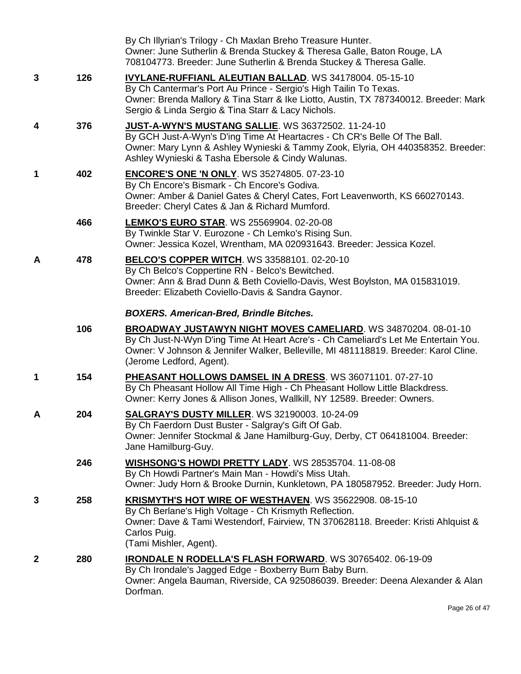|              |     | By Ch Illyrian's Trilogy - Ch Maxlan Breho Treasure Hunter.<br>Owner: June Sutherlin & Brenda Stuckey & Theresa Galle, Baton Rouge, LA<br>708104773. Breeder: June Sutherlin & Brenda Stuckey & Theresa Galle.                                                                    |
|--------------|-----|-----------------------------------------------------------------------------------------------------------------------------------------------------------------------------------------------------------------------------------------------------------------------------------|
| 3            | 126 | <b>IVYLANE-RUFFIANL ALEUTIAN BALLAD.</b> WS 34178004. 05-15-10<br>By Ch Cantermar's Port Au Prince - Sergio's High Tailin To Texas.<br>Owner: Brenda Mallory & Tina Starr & Ike Liotto, Austin, TX 787340012. Breeder: Mark<br>Sergio & Linda Sergio & Tina Starr & Lacy Nichols. |
| 4            | 376 | JUST-A-WYN'S MUSTANG SALLIE. WS 36372502. 11-24-10<br>By GCH Just-A-Wyn's D'ing Time At Heartacres - Ch CR's Belle Of The Ball.<br>Owner: Mary Lynn & Ashley Wynieski & Tammy Zook, Elyria, OH 440358352. Breeder:<br>Ashley Wynieski & Tasha Ebersole & Cindy Walunas.           |
| 1            | 402 | <b>ENCORE'S ONE 'N ONLY.</b> WS 35274805. 07-23-10<br>By Ch Encore's Bismark - Ch Encore's Godiva.<br>Owner: Amber & Daniel Gates & Cheryl Cates, Fort Leavenworth, KS 660270143.<br>Breeder: Cheryl Cates & Jan & Richard Mumford.                                               |
|              | 466 | <b>LEMKO'S EURO STAR. WS 25569904. 02-20-08</b><br>By Twinkle Star V. Eurozone - Ch Lemko's Rising Sun.<br>Owner: Jessica Kozel, Wrentham, MA 020931643. Breeder: Jessica Kozel.                                                                                                  |
| A            | 478 | BELCO'S COPPER WITCH. WS 33588101. 02-20-10<br>By Ch Belco's Coppertine RN - Belco's Bewitched.<br>Owner: Ann & Brad Dunn & Beth Coviello-Davis, West Boylston, MA 015831019.<br>Breeder: Elizabeth Coviello-Davis & Sandra Gaynor.                                               |
|              |     | <b>BOXERS. American-Bred, Brindle Bitches.</b>                                                                                                                                                                                                                                    |
|              | 106 | <b>BROADWAY JUSTAWYN NIGHT MOVES CAMELIARD.</b> WS 34870204. 08-01-10<br>By Ch Just-N-Wyn D'ing Time At Heart Acre's - Ch Cameliard's Let Me Entertain You.<br>Owner: V Johnson & Jennifer Walker, Belleville, MI 481118819. Breeder: Karol Cline.<br>(Jerome Ledford, Agent).    |
| 1            | 154 | PHEASANT HOLLOWS DAMSEL IN A DRESS. WS 36071101. 07-27-10<br>By Ch Pheasant Hollow All Time High - Ch Pheasant Hollow Little Blackdress.<br>Owner: Kerry Jones & Allison Jones, Wallkill, NY 12589. Breeder: Owners.                                                              |
|              | 204 | SALGRAY'S DUSTY MILLER. WS 32190003. 10-24-09<br>By Ch Faerdorn Dust Buster - Salgray's Gift Of Gab.<br>Owner: Jennifer Stockmal & Jane Hamilburg-Guy, Derby, CT 064181004. Breeder:<br>Jane Hamilburg-Guy.                                                                       |
|              | 246 | WISHSONG'S HOWDI PRETTY LADY. WS 28535704. 11-08-08<br>By Ch Howdi Partner's Main Man - Howdi's Miss Utah.<br>Owner: Judy Horn & Brooke Durnin, Kunkletown, PA 180587952. Breeder: Judy Horn.                                                                                     |
| 3            | 258 | <b>KRISMYTH'S HOT WIRE OF WESTHAVEN. WS 35622908. 08-15-10</b><br>By Ch Berlane's High Voltage - Ch Krismyth Reflection.<br>Owner: Dave & Tami Westendorf, Fairview, TN 370628118. Breeder: Kristi Ahlquist &<br>Carlos Puig.<br>(Tami Mishler, Agent).                           |
| $\mathbf{2}$ | 280 | IRONDALE N RODELLA'S FLASH FORWARD. WS 30765402. 06-19-09<br>By Ch Irondale's Jagged Edge - Boxberry Burn Baby Burn.<br>Owner: Angela Bauman, Riverside, CA 925086039. Breeder: Deena Alexander & Alan<br>Dorfman.                                                                |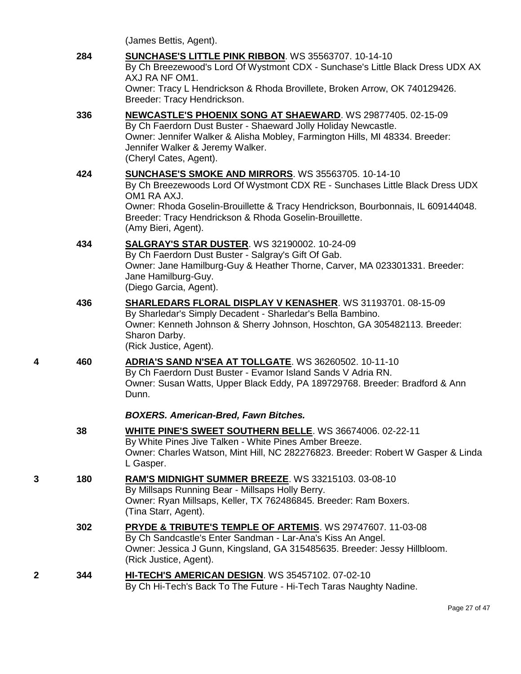(James Bettis, Agent).

**284 [SUNCHASE'S LITTLE PINK RIBBON](http://www.infodog.com/files/bdogrsl1.prg;makc=WS%2035563707;mdog=Sunchase_s_Little_Pink_Ribbon;wins=all)**. WS 35563707. 10-14-10 By Ch Breezewood's Lord Of Wystmont CDX - Sunchase's Little Black Dress UDX AX AXJ RA NF OM1. Owner: Tracy L Hendrickson & Rhoda Brovillete, Broken Arrow, OK 740129426. Breeder: Tracy Hendrickson. **336 [NEWCASTLE'S PHOENIX SONG AT SHAEWARD](http://www.infodog.com/files/bdogrsl1.prg;makc=WS%2029877405;mdog=Newcastle_s_Phoenix_Song_At_Shaeward;wins=all)**. WS 29877405. 02-15-09

By Ch Faerdorn Dust Buster - Shaeward Jolly Holiday Newcastle. Owner: Jennifer Walker & Alisha Mobley, Farmington Hills, MI 48334. Breeder: Jennifer Walker & Jeremy Walker. (Cheryl Cates, Agent).

- **424 [SUNCHASE'S SMOKE AND MIRRORS](http://www.infodog.com/files/bdogrsl1.prg;makc=WS%2035563705;mdog=Sunchase_s_Smoke_And_Mirrors;wins=all)**. WS 35563705. 10-14-10 By Ch Breezewoods Lord Of Wystmont CDX RE - Sunchases Little Black Dress UDX OM1 RA AXJ. Owner: Rhoda Goselin-Brouillette & Tracy Hendrickson, Bourbonnais, IL 609144048. Breeder: Tracy Hendrickson & Rhoda Goselin-Brouillette. (Amy Bieri, Agent).
- **434 [SALGRAY'S STAR DUSTER](http://www.infodog.com/files/bdogrsl1.prg;makc=WS%2032190002;mdog=Salgray_s_Star_Duster;wins=all)**. WS 32190002. 10-24-09 By Ch Faerdorn Dust Buster - Salgray's Gift Of Gab. Owner: Jane Hamilburg-Guy & Heather Thorne, Carver, MA 023301331. Breeder: Jane Hamilburg-Guy. (Diego Garcia, Agent).
- **436 [SHARLEDARS FLORAL DISPLAY V KENASHER](http://www.infodog.com/files/bdogrsl1.prg;makc=WS%2031193701;mdog=Sharledars_Floral_Display_V_Kenasher;wins=all)**. WS 31193701. 08-15-09 By Sharledar's Simply Decadent - Sharledar's Bella Bambino. Owner: Kenneth Johnson & Sherry Johnson, Hoschton, GA 305482113. Breeder: Sharon Darby. (Rick Justice, Agent).
- **4 460 [ADRIA'S SAND N'SEA AT TOLLGATE](http://www.infodog.com/files/bdogrsl1.prg;makc=WS%2036260502;mdog=Adria_s_Sand_N_Sea_At_Tollgate;wins=all)**. WS 36260502. 10-11-10 By Ch Faerdorn Dust Buster - Evamor Island Sands V Adria RN. Owner: Susan Watts, Upper Black Eddy, PA 189729768. Breeder: Bradford & Ann Dunn.

## *BOXERS. American-Bred, Fawn Bitches.*

- **38 [WHITE PINE'S SWEET SOUTHERN BELLE](http://www.infodog.com/files/bdogrsl1.prg;makc=WS%2036674006;mdog=White_Pine_s_Sweet_Southern_Belle;wins=all)**. WS 36674006. 02-22-11 By White Pines Jive Talken - White Pines Amber Breeze. Owner: Charles Watson, Mint Hill, NC 282276823. Breeder: Robert W Gasper & Linda L Gasper. **3 180 [RAM'S MIDNIGHT SUMMER BREEZE](http://www.infodog.com/files/bdogrsl1.prg;makc=WS%2033215103;mdog=Ram_s_Midnight_Summer_Breeze;wins=all)**. WS 33215103. 03-08-10 By Millsaps Running Bear - Millsaps Holly Berry. Owner: Ryan Millsaps, Keller, TX 762486845. Breeder: Ram Boxers. (Tina Starr, Agent). **302 [PRYDE & TRIBUTE'S TEMPLE OF ARTEMIS](http://www.infodog.com/files/bdogrsl1.prg;makc=WS%2029747607;mdog=Pryde_&_Tribute_s_Temple_Of_Artemis;wins=all)**. WS 29747607. 11-03-08 By Ch Sandcastle's Enter Sandman - Lar-Ana's Kiss An Angel. Owner: Jessica J Gunn, Kingsland, GA 315485635. Breeder: Jessy Hillbloom. (Rick Justice, Agent).
- **2 344 [HI-TECH'S AMERICAN DESIGN](http://www.infodog.com/files/bdogrsl1.prg;makc=WS%2035457102;mdog=Hi-Tech_s_American_Design;wins=all)**. WS 35457102. 07-02-10 By Ch Hi-Tech's Back To The Future - Hi-Tech Taras Naughty Nadine.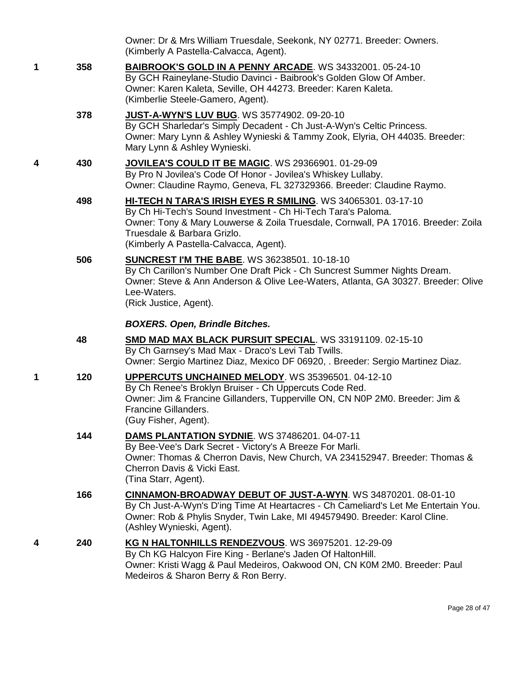|   |     | Owner: Dr & Mrs William Truesdale, Seekonk, NY 02771. Breeder: Owners.<br>(Kimberly A Pastella-Calvacca, Agent).                                                                                                                                                                           |
|---|-----|--------------------------------------------------------------------------------------------------------------------------------------------------------------------------------------------------------------------------------------------------------------------------------------------|
| 1 | 358 | <b>BAIBROOK'S GOLD IN A PENNY ARCADE.</b> WS 34332001. 05-24-10<br>By GCH Raineylane-Studio Davinci - Baibrook's Golden Glow Of Amber.<br>Owner: Karen Kaleta, Seville, OH 44273. Breeder: Karen Kaleta.<br>(Kimberlie Steele-Gamero, Agent).                                              |
|   | 378 | <b>JUST-A-WYN'S LUV BUG. WS 35774902. 09-20-10</b><br>By GCH Sharledar's Simply Decadent - Ch Just-A-Wyn's Celtic Princess.<br>Owner: Mary Lynn & Ashley Wynieski & Tammy Zook, Elyria, OH 44035. Breeder:<br>Mary Lynn & Ashley Wynieski.                                                 |
| 4 | 430 | JOVILEA'S COULD IT BE MAGIC. WS 29366901. 01-29-09<br>By Pro N Jovilea's Code Of Honor - Jovilea's Whiskey Lullaby.<br>Owner: Claudine Raymo, Geneva, FL 327329366. Breeder: Claudine Raymo.                                                                                               |
|   | 498 | HI-TECH N TARA'S IRISH EYES R SMILING. WS 34065301. 03-17-10<br>By Ch Hi-Tech's Sound Investment - Ch Hi-Tech Tara's Paloma.<br>Owner: Tony & Mary Louwerse & Zoila Truesdale, Cornwall, PA 17016. Breeder: Zoila<br>Truesdale & Barbara Grizlo.<br>(Kimberly A Pastella-Calvacca, Agent). |
|   | 506 | <b>SUNCREST I'M THE BABE. WS 36238501. 10-18-10</b><br>By Ch Carillon's Number One Draft Pick - Ch Suncrest Summer Nights Dream.<br>Owner: Steve & Ann Anderson & Olive Lee-Waters, Atlanta, GA 30327. Breeder: Olive<br>Lee-Waters.<br>(Rick Justice, Agent).                             |
|   |     | <b>BOXERS. Open, Brindle Bitches.</b>                                                                                                                                                                                                                                                      |
|   |     |                                                                                                                                                                                                                                                                                            |
|   | 48  | <b>SMD MAD MAX BLACK PURSUIT SPECIAL. WS 33191109. 02-15-10</b><br>By Ch Garnsey's Mad Max - Draco's Levi Tab Twills.<br>Owner: Sergio Martinez Diaz, Mexico DF 06920, . Breeder: Sergio Martinez Diaz.                                                                                    |
| 1 | 120 | UPPERCUTS UNCHAINED MELODY. WS 35396501. 04-12-10<br>By Ch Renee's Broklyn Bruiser - Ch Uppercuts Code Red.<br>Owner: Jim & Francine Gillanders, Tupperville ON, CN N0P 2M0. Breeder: Jim &<br>Francine Gillanders.<br>(Guy Fisher, Agent).                                                |
|   | 144 | DAMS PLANTATION SYDNIE. WS 37486201. 04-07-11<br>By Bee-Vee's Dark Secret - Victory's A Breeze For Marli.<br>Owner: Thomas & Cherron Davis, New Church, VA 234152947. Breeder: Thomas &<br>Cherron Davis & Vicki East.<br>(Tina Starr, Agent).                                             |
|   | 166 | <b>CINNAMON-BROADWAY DEBUT OF JUST-A-WYN. WS 34870201. 08-01-10</b><br>By Ch Just-A-Wyn's D'ing Time At Heartacres - Ch Cameliard's Let Me Entertain You.<br>Owner: Rob & Phylis Snyder, Twin Lake, MI 494579490. Breeder: Karol Cline.<br>(Ashley Wynieski, Agent).                       |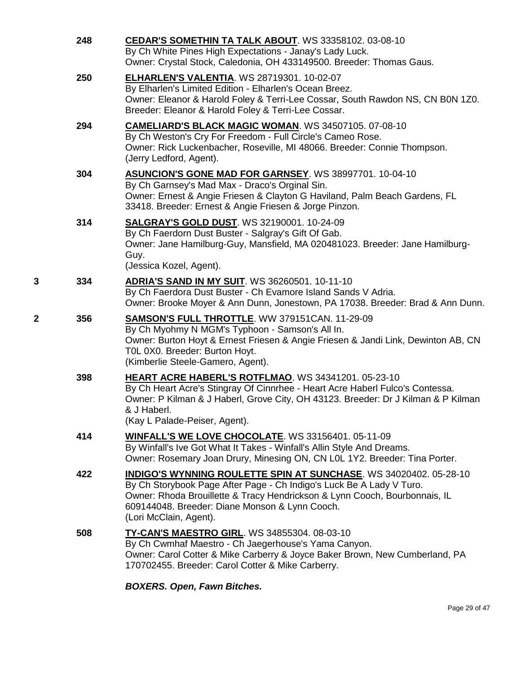|   | 248 | <b>CEDAR'S SOMETHIN TA TALK ABOUT. WS 33358102. 03-08-10</b><br>By Ch White Pines High Expectations - Janay's Lady Luck.<br>Owner: Crystal Stock, Caledonia, OH 433149500. Breeder: Thomas Gaus.                                                                                                           |
|---|-----|------------------------------------------------------------------------------------------------------------------------------------------------------------------------------------------------------------------------------------------------------------------------------------------------------------|
|   | 250 | <b>ELHARLEN'S VALENTIA. WS 28719301. 10-02-07</b><br>By Elharlen's Limited Edition - Elharlen's Ocean Breez.<br>Owner: Eleanor & Harold Foley & Terri-Lee Cossar, South Rawdon NS, CN B0N 1Z0.<br>Breeder: Eleanor & Harold Foley & Terri-Lee Cossar.                                                      |
|   | 294 | CAMELIARD'S BLACK MAGIC WOMAN. WS 34507105. 07-08-10<br>By Ch Weston's Cry For Freedom - Full Circle's Cameo Rose.<br>Owner: Rick Luckenbacher, Roseville, MI 48066. Breeder: Connie Thompson.<br>(Jerry Ledford, Agent).                                                                                  |
|   | 304 | ASUNCION'S GONE MAD FOR GARNSEY. WS 38997701. 10-04-10<br>By Ch Garnsey's Mad Max - Draco's Orginal Sin.<br>Owner: Ernest & Angie Friesen & Clayton G Haviland, Palm Beach Gardens, FL<br>33418. Breeder: Ernest & Angie Friesen & Jorge Pinzon.                                                           |
|   | 314 | <b>SALGRAY'S GOLD DUST. WS 32190001. 10-24-09</b><br>By Ch Faerdorn Dust Buster - Salgray's Gift Of Gab.<br>Owner: Jane Hamilburg-Guy, Mansfield, MA 020481023. Breeder: Jane Hamilburg-<br>Guy.<br>(Jessica Kozel, Agent).                                                                                |
| 3 | 334 | <b>ADRIA'S SAND IN MY SUIT.</b> WS 36260501. 10-11-10<br>By Ch Faerdora Dust Buster - Ch Evamore Island Sands V Adria.<br>Owner: Brooke Moyer & Ann Dunn, Jonestown, PA 17038. Breeder: Brad & Ann Dunn.                                                                                                   |
| 2 | 356 | <b>SAMSON'S FULL THROTTLE. WW 379151CAN. 11-29-09</b><br>By Ch Myohmy N MGM's Typhoon - Samson's All In.<br>Owner: Burton Hoyt & Ernest Friesen & Angie Friesen & Jandi Link, Dewinton AB, CN<br>TOL 0X0. Breeder: Burton Hoyt.<br>(Kimberlie Steele-Gamero, Agent).                                       |
|   | 398 | HEART ACRE HABERL'S ROTFLMAO. WS 34341201. 05-23-10<br>By Ch Heart Acre's Stingray Of Cinnrhee - Heart Acre Haberl Fulco's Contessa.<br>Owner: P Kilman & J Haberl, Grove City, OH 43123. Breeder: Dr J Kilman & P Kilman<br>& J Haberl.<br>(Kay L Palade-Peiser, Agent).                                  |
|   | 414 | <b>WINFALL'S WE LOVE CHOCOLATE.</b> WS 33156401. 05-11-09<br>By Winfall's Ive Got What It Takes - Winfall's Allin Style And Dreams.<br>Owner: Rosemary Joan Drury, Minesing ON, CN L0L 1Y2. Breeder: Tina Porter.                                                                                          |
|   | 422 | <b>INDIGO'S WYNNING ROULETTE SPIN AT SUNCHASE.</b> WS 34020402. 05-28-10<br>By Ch Storybook Page After Page - Ch Indigo's Luck Be A Lady V Turo.<br>Owner: Rhoda Brouillette & Tracy Hendrickson & Lynn Cooch, Bourbonnais, IL<br>609144048. Breeder: Diane Monson & Lynn Cooch.<br>(Lori McClain, Agent). |
|   | 508 | <b>TY-CAN'S MAESTRO GIRL. WS 34855304. 08-03-10</b><br>By Ch Cwmhaf Maestro - Ch Jaegerhouse's Yama Canyon.<br>Owner: Carol Cotter & Mike Carberry & Joyce Baker Brown, New Cumberland, PA<br>170702455. Breeder: Carol Cotter & Mike Carberry.                                                            |

*BOXERS. Open, Fawn Bitches.*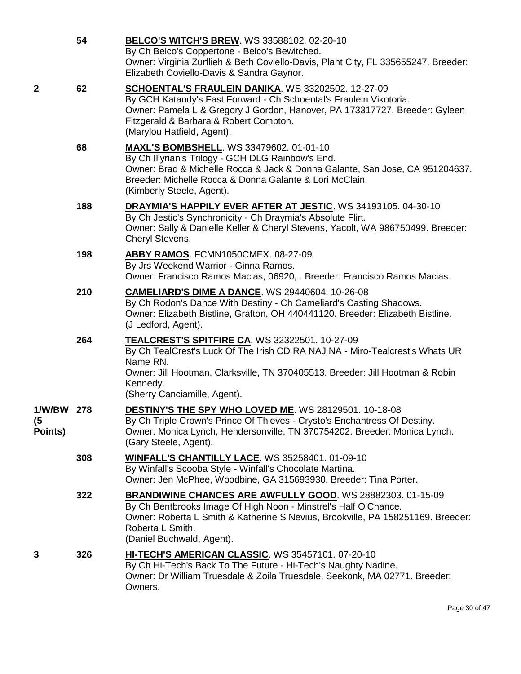|                             | 54  | <b>BELCO'S WITCH'S BREW. WS 33588102. 02-20-10</b><br>By Ch Belco's Coppertone - Belco's Bewitched.<br>Owner: Virginia Zurflieh & Beth Coviello-Davis, Plant City, FL 335655247. Breeder:<br>Elizabeth Coviello-Davis & Sandra Gaynor.                                         |
|-----------------------------|-----|--------------------------------------------------------------------------------------------------------------------------------------------------------------------------------------------------------------------------------------------------------------------------------|
| 2                           | 62  | SCHOENTAL'S FRAULEIN DANIKA. WS 33202502. 12-27-09<br>By GCH Katandy's Fast Forward - Ch Schoental's Fraulein Vikotoria.<br>Owner: Pamela L & Gregory J Gordon, Hanover, PA 173317727. Breeder: Gyleen<br>Fitzgerald & Barbara & Robert Compton.<br>(Marylou Hatfield, Agent). |
|                             | 68  | <b>MAXL'S BOMBSHELL. WS 33479602. 01-01-10</b><br>By Ch Illyrian's Trilogy - GCH DLG Rainbow's End.<br>Owner: Brad & Michelle Rocca & Jack & Donna Galante, San Jose, CA 951204637.<br>Breeder: Michelle Rocca & Donna Galante & Lori McClain.<br>(Kimberly Steele, Agent).    |
|                             | 188 | <b>DRAYMIA'S HAPPILY EVER AFTER AT JESTIC. WS 34193105. 04-30-10</b><br>By Ch Jestic's Synchronicity - Ch Draymia's Absolute Flirt.<br>Owner: Sally & Danielle Keller & Cheryl Stevens, Yacolt, WA 986750499. Breeder:<br>Cheryl Stevens.                                      |
|                             | 198 | ABBY RAMOS. FCMN1050CMEX. 08-27-09<br>By Jrs Weekend Warrior - Ginna Ramos.<br>Owner: Francisco Ramos Macias, 06920, . Breeder: Francisco Ramos Macias.                                                                                                                        |
|                             | 210 | <b>CAMELIARD'S DIME A DANCE.</b> WS 29440604. 10-26-08<br>By Ch Rodon's Dance With Destiny - Ch Cameliard's Casting Shadows.<br>Owner: Elizabeth Bistline, Grafton, OH 440441120. Breeder: Elizabeth Bistline.<br>(J Ledford, Agent).                                          |
|                             | 264 | TEALCREST'S SPITFIRE CA. WS 32322501. 10-27-09<br>By Ch TealCrest's Luck Of The Irish CD RA NAJ NA - Miro-Tealcrest's Whats UR<br>Name RN.<br>Owner: Jill Hootman, Clarksville, TN 370405513. Breeder: Jill Hootman & Robin<br>Kennedy.<br>(Sherry Canciamille, Agent).        |
| 1/W/BW 278<br>(5<br>Points) |     | <b>DESTINY'S THE SPY WHO LOVED ME. WS 28129501. 10-18-08</b><br>By Ch Triple Crown's Prince Of Thieves - Crysto's Enchantress Of Destiny.<br>Owner: Monica Lynch, Hendersonville, TN 370754202. Breeder: Monica Lynch.<br>(Gary Steele, Agent).                                |
|                             | 308 | <b>WINFALL'S CHANTILLY LACE. WS 35258401. 01-09-10</b><br>By Winfall's Scooba Style - Winfall's Chocolate Martina.<br>Owner: Jen McPhee, Woodbine, GA 315693930. Breeder: Tina Porter.                                                                                         |
|                             | 322 | BRANDIWINE CHANCES ARE AWFULLY GOOD. WS 28882303. 01-15-09<br>By Ch Bentbrooks Image Of High Noon - Minstrel's Half O'Chance.<br>Owner: Roberta L Smith & Katherine S Nevius, Brookville, PA 158251169. Breeder:<br>Roberta L Smith.<br>(Daniel Buchwald, Agent).              |
| 3                           | 326 | HI-TECH'S AMERICAN CLASSIC. WS 35457101. 07-20-10<br>By Ch Hi-Tech's Back To The Future - Hi-Tech's Naughty Nadine.<br>Owner: Dr William Truesdale & Zoila Truesdale, Seekonk, MA 02771. Breeder:<br>Owners.                                                                   |

Page 30 of 47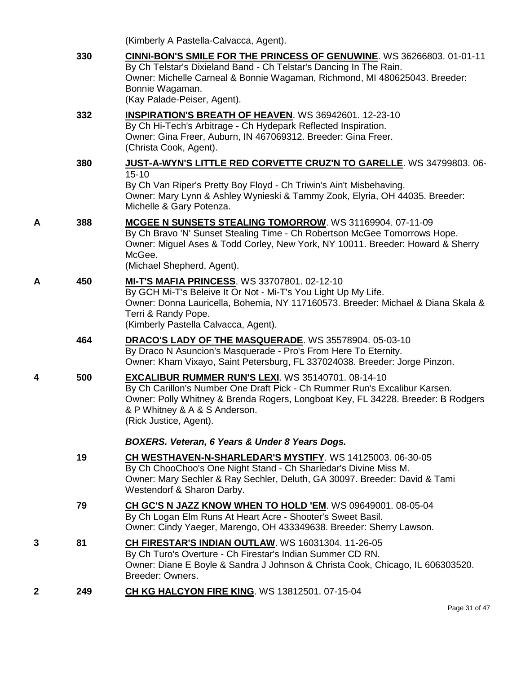|   |     | (Kimberly A Pastella-Calvacca, Agent).                                                                                                                                                                                                                                             |
|---|-----|------------------------------------------------------------------------------------------------------------------------------------------------------------------------------------------------------------------------------------------------------------------------------------|
|   | 330 | <b>CINNI-BON'S SMILE FOR THE PRINCESS OF GENUWINE. WS 36266803. 01-01-11</b><br>By Ch Telstar's Dixieland Band - Ch Telstar's Dancing In The Rain.<br>Owner: Michelle Carneal & Bonnie Wagaman, Richmond, MI 480625043. Breeder:<br>Bonnie Wagaman.<br>(Kay Palade-Peiser, Agent). |
|   | 332 | <b>INSPIRATION'S BREATH OF HEAVEN. WS 36942601. 12-23-10</b><br>By Ch Hi-Tech's Arbitrage - Ch Hydepark Reflected Inspiration.<br>Owner: Gina Freer, Auburn, IN 467069312. Breeder: Gina Freer.<br>(Christa Cook, Agent).                                                          |
|   | 380 | JUST-A-WYN'S LITTLE RED CORVETTE CRUZ'N TO GARELLE. WS 34799803. 06-<br>$15 - 10$<br>By Ch Van Riper's Pretty Boy Floyd - Ch Triwin's Ain't Misbehaving.<br>Owner: Mary Lynn & Ashley Wynieski & Tammy Zook, Elyria, OH 44035. Breeder:<br>Michelle & Gary Potenza.                |
| Α | 388 | MCGEE N SUNSETS STEALING TOMORROW. WS 31169904. 07-11-09<br>By Ch Bravo 'N' Sunset Stealing Time - Ch Robertson McGee Tomorrows Hope.<br>Owner: Miguel Ases & Todd Corley, New York, NY 10011. Breeder: Howard & Sherry<br>McGee.<br>(Michael Shepherd, Agent).                    |
| A | 450 | <b>MI-T'S MAFIA PRINCESS. WS 33707801. 02-12-10</b><br>By GCH Mi-T's Beleive It Or Not - Mi-T's You Light Up My Life.<br>Owner: Donna Lauricella, Bohemia, NY 117160573. Breeder: Michael & Diana Skala &<br>Terri & Randy Pope.<br>(Kimberly Pastella Calvacca, Agent).           |
|   | 464 | DRACO'S LADY OF THE MASQUERADE. WS 35578904. 05-03-10<br>By Draco N Asuncion's Masquerade - Pro's From Here To Eternity.<br>Owner: Kham Vixayo, Saint Petersburg, FL 337024038. Breeder: Jorge Pinzon.                                                                             |
| 4 | 500 | EXCALIBUR RUMMER RUN'S LEXI. WS 35140701. 08-14-10<br>By Ch Carillon's Number One Draft Pick - Ch Rummer Run's Excalibur Karsen.<br>Owner: Polly Whitney & Brenda Rogers, Longboat Key, FL 34228. Breeder: B Rodgers<br>& P Whitney & A & S Anderson.<br>(Rick Justice, Agent).    |
|   |     | BOXERS. Veteran, 6 Years & Under 8 Years Dogs.                                                                                                                                                                                                                                     |
|   | 19  | CH WESTHAVEN-N-SHARLEDAR'S MYSTIFY. WS 14125003. 06-30-05<br>By Ch ChooChoo's One Night Stand - Ch Sharledar's Divine Miss M.<br>Owner: Mary Sechler & Ray Sechler, Deluth, GA 30097. Breeder: David & Tami<br>Westendorf & Sharon Darby.                                          |
|   | 79  | CH GC'S N JAZZ KNOW WHEN TO HOLD 'EM. WS 09649001. 08-05-04<br>By Ch Logan Elm Runs At Heart Acre - Shooter's Sweet Basil.<br>Owner: Cindy Yaeger, Marengo, OH 433349638. Breeder: Sherry Lawson.                                                                                  |
| 3 | 81  | <b>CH FIRESTAR'S INDIAN OUTLAW.</b> WS 16031304. 11-26-05<br>By Ch Turo's Overture - Ch Firestar's Indian Summer CD RN.<br>Owner: Diane E Boyle & Sandra J Johnson & Christa Cook, Chicago, IL 606303520.<br>Breeder: Owners.                                                      |
| 2 | 249 | <b>CH KG HALCYON FIRE KING. WS 13812501. 07-15-04</b>                                                                                                                                                                                                                              |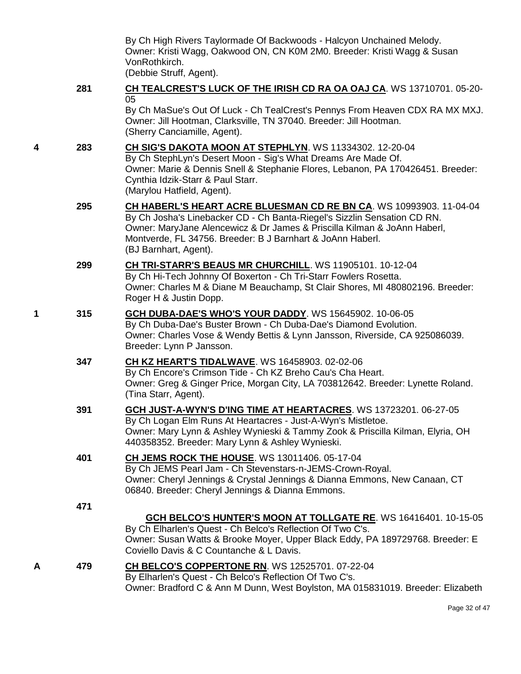By Ch High Rivers Taylormade Of Backwoods - Halcyon Unchained Melody. Owner: Kristi Wagg, Oakwood ON, CN K0M 2M0. Breeder: Kristi Wagg & Susan VonRothkirch.

(Debbie Struff, Agent).

#### **281 [CH TEALCREST'S LUCK OF THE IRISH CD RA OA OAJ CA](http://www.infodog.com/files/bdogrsl1.prg;makc=WS%2013710701;mdog=Ch_TealCrest_s_Luck_Of_The_Irish_CD_RA_OA_OAJ_CA;wins=all)**. WS 13710701. 05-20- 05

By Ch MaSue's Out Of Luck - Ch TealCrest's Pennys From Heaven CDX RA MX MXJ. Owner: Jill Hootman, Clarksville, TN 37040. Breeder: Jill Hootman. (Sherry Canciamille, Agent).

#### **4 283 [CH SIG'S DAKOTA MOON AT STEPHLYN](http://www.infodog.com/files/bdogrsl1.prg;makc=WS%2011334302;mdog=Ch_Sig_s_Dakota_Moon_At_StephLyn;wins=all)**. WS 11334302. 12-20-04 By Ch StephLyn's Desert Moon - Sig's What Dreams Are Made Of. Owner: Marie & Dennis Snell & Stephanie Flores, Lebanon, PA 170426451. Breeder: Cynthia Idzik-Starr & Paul Starr. (Marylou Hatfield, Agent).

- **295 [CH HABERL'S HEART ACRE BLUESMAN CD RE BN CA](http://www.infodog.com/files/bdogrsl1.prg;makc=WS%2010993903;mdog=Ch_Haberl_s_Heart_Acre_Bluesman_CD_RE_BN_CA;wins=all)**. WS 10993903. 11-04-04 By Ch Josha's Linebacker CD - Ch Banta-Riegel's Sizzlin Sensation CD RN. Owner: MaryJane Alencewicz & Dr James & Priscilla Kilman & JoAnn Haberl, Montverde, FL 34756. Breeder: B J Barnhart & JoAnn Haberl. (BJ Barnhart, Agent).
- **299 [CH TRI-STARR'S BEAUS MR CHURCHILL](http://www.infodog.com/files/bdogrsl1.prg;makc=WS%2011905101;mdog=Ch_Tri-Starr_s_Beaus_Mr_Churchill;wins=all)**. WS 11905101. 10-12-04 By Ch Hi-Tech Johnny Of Boxerton - Ch Tri-Starr Fowlers Rosetta. Owner: Charles M & Diane M Beauchamp, St Clair Shores, MI 480802196. Breeder: Roger H & Justin Dopp.
- **1 315 [GCH DUBA-DAE'S WHO'S YOUR DADDY](http://www.infodog.com/files/bdogrsl1.prg;makc=WS%2015645902;mdog=GCH_Duba-Dae_s_Who_s_Your_Daddy;wins=all)**. WS 15645902. 10-06-05 By Ch Duba-Dae's Buster Brown - Ch Duba-Dae's Diamond Evolution. Owner: Charles Vose & Wendy Bettis & Lynn Jansson, Riverside, CA 925086039. Breeder: Lynn P Jansson.

## **347 [CH KZ HEART'S TIDALWAVE](http://www.infodog.com/files/bdogrsl1.prg;makc=WS%2016458903;mdog=Ch_KZ_Heart_s_Tidalwave;wins=all)**. WS 16458903. 02-02-06 By Ch Encore's Crimson Tide - Ch KZ Breho Cau's Cha Heart. Owner: Greg & Ginger Price, Morgan City, LA 703812642. Breeder: Lynette Roland. (Tina Starr, Agent).

## **391 [GCH JUST-A-WYN'S D'ING TIME AT HEARTACRES](http://www.infodog.com/files/bdogrsl1.prg;makc=WS%2013723201;mdog=GCH_Just-A-Wyn_s_D_ing_Time_At_Heartacres;wins=all)**. WS 13723201. 06-27-05 By Ch Logan Elm Runs At Heartacres - Just-A-Wyn's Mistletoe. Owner: Mary Lynn & Ashley Wynieski & Tammy Zook & Priscilla Kilman, Elyria, OH 440358352. Breeder: Mary Lynn & Ashley Wynieski.

## **401 [CH JEMS ROCK THE HOUSE](http://www.infodog.com/files/bdogrsl1.prg;makc=WS%2013011406;mdog=Ch_JEMS_Rock_The_House;wins=all)**. WS 13011406. 05-17-04 By Ch JEMS Pearl Jam - Ch Stevenstars-n-JEMS-Crown-Royal. Owner: Cheryl Jennings & Crystal Jennings & Dianna Emmons, New Canaan, CT

06840. Breeder: Cheryl Jennings & Dianna Emmons.

**471**

## **[GCH BELCO'S HUNTER'S MOON AT TOLLGATE RE](http://www.infodog.com/files/bdogrsl1.prg;makc=WS%2016416401;mdog=GCH_Belco_s_Hunter_s_Moon_At_Tollgate_RE;wins=all)**. WS 16416401. 10-15-05

By Ch Elharlen's Quest - Ch Belco's Reflection Of Two C's. Owner: Susan Watts & Brooke Moyer, Upper Black Eddy, PA 189729768. Breeder: E Coviello Davis & C Countanche & L Davis.

## **A 479 [CH BELCO'S COPPERTONE RN](http://www.infodog.com/files/bdogrsl1.prg;makc=WS%2012525701;mdog=Ch_Belco_s_Coppertone_RN;wins=all)**. WS 12525701. 07-22-04

By Elharlen's Quest - Ch Belco's Reflection Of Two C's. Owner: Bradford C & Ann M Dunn, West Boylston, MA 015831019. Breeder: Elizabeth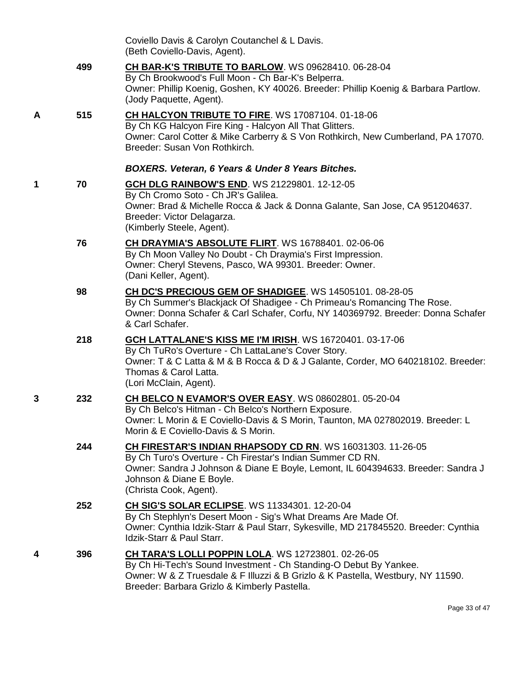|   |     | Coviello Davis & Carolyn Coutanchel & L Davis.<br>(Beth Coviello-Davis, Agent).                                                                                                                                                                                    |
|---|-----|--------------------------------------------------------------------------------------------------------------------------------------------------------------------------------------------------------------------------------------------------------------------|
|   | 499 | CH BAR-K'S TRIBUTE TO BARLOW. WS 09628410. 06-28-04<br>By Ch Brookwood's Full Moon - Ch Bar-K's Belperra.<br>Owner: Phillip Koenig, Goshen, KY 40026. Breeder: Phillip Koenig & Barbara Partlow.<br>(Jody Paquette, Agent).                                        |
| A | 515 | CH HALCYON TRIBUTE TO FIRE. WS 17087104. 01-18-06<br>By Ch KG Halcyon Fire King - Halcyon All That Glitters.<br>Owner: Carol Cotter & Mike Carberry & S Von Rothkirch, New Cumberland, PA 17070.<br>Breeder: Susan Von Rothkirch.                                  |
|   |     | <b>BOXERS. Veteran, 6 Years &amp; Under 8 Years Bitches.</b>                                                                                                                                                                                                       |
| 1 | 70  | <b>GCH DLG RAINBOW'S END. WS 21229801. 12-12-05</b><br>By Ch Cromo Soto - Ch JR's Galilea.<br>Owner: Brad & Michelle Rocca & Jack & Donna Galante, San Jose, CA 951204637.<br>Breeder: Victor Delagarza.<br>(Kimberly Steele, Agent).                              |
|   | 76  | <b>CH DRAYMIA'S ABSOLUTE FLIRT. WS 16788401. 02-06-06</b><br>By Ch Moon Valley No Doubt - Ch Draymia's First Impression.<br>Owner: Cheryl Stevens, Pasco, WA 99301. Breeder: Owner.<br>(Dani Keller, Agent).                                                       |
|   | 98  | CH DC'S PRECIOUS GEM OF SHADIGEE. WS 14505101. 08-28-05<br>By Ch Summer's Blackjack Of Shadigee - Ch Primeau's Romancing The Rose.<br>Owner: Donna Schafer & Carl Schafer, Corfu, NY 140369792. Breeder: Donna Schafer<br>& Carl Schafer.                          |
|   | 218 | <b>GCH LATTALANE'S KISS ME I'M IRISH. WS 16720401. 03-17-06</b><br>By Ch TuRo's Overture - Ch LattaLane's Cover Story.<br>Owner: T & C Latta & M & B Rocca & D & J Galante, Corder, MO 640218102. Breeder:<br>Thomas & Carol Latta.<br>(Lori McClain, Agent).      |
| 3 | 232 | CH BELCO N EVAMOR'S OVER EASY. WS 08602801. 05-20-04<br>By Ch Belco's Hitman - Ch Belco's Northern Exposure.<br>Owner: L Morin & E Coviello-Davis & S Morin, Taunton, MA 027802019. Breeder: L<br>Morin & E Coviello-Davis & S Morin.                              |
|   | 244 | CH FIRESTAR'S INDIAN RHAPSODY CD RN. WS 16031303. 11-26-05<br>By Ch Turo's Overture - Ch Firestar's Indian Summer CD RN.<br>Owner: Sandra J Johnson & Diane E Boyle, Lemont, IL 604394633. Breeder: Sandra J<br>Johnson & Diane E Boyle.<br>(Christa Cook, Agent). |
|   | 252 | <b>CH SIG'S SOLAR ECLIPSE. WS 11334301. 12-20-04</b><br>By Ch Stephlyn's Desert Moon - Sig's What Dreams Are Made Of.<br>Owner: Cynthia Idzik-Starr & Paul Starr, Sykesville, MD 217845520. Breeder: Cynthia<br>Idzik-Starr & Paul Starr.                          |
| 4 | 396 | CH TARA'S LOLLI POPPIN LOLA. WS 12723801. 02-26-05<br>By Ch Hi-Tech's Sound Investment - Ch Standing-O Debut By Yankee.<br>Owner: W & Z Truesdale & F Illuzzi & B Grizlo & K Pastella, Westbury, NY 11590.<br>Breeder: Barbara Grizlo & Kimberly Pastella.         |
|   |     |                                                                                                                                                                                                                                                                    |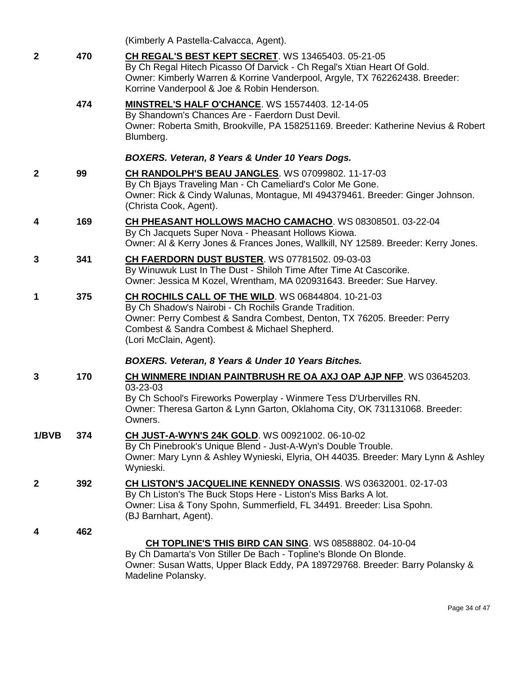|              |     | (Kimberly A Pastella-Calvacca, Agent).                                                                                                                                                                                                                           |
|--------------|-----|------------------------------------------------------------------------------------------------------------------------------------------------------------------------------------------------------------------------------------------------------------------|
| $\mathbf{2}$ | 470 | CH REGAL'S BEST KEPT SECRET. WS 13465403. 05-21-05<br>By Ch Regal Hitech Picasso Of Darvick - Ch Regal's Xtian Heart Of Gold.<br>Owner: Kimberly Warren & Korrine Vanderpool, Argyle, TX 762262438. Breeder:<br>Korrine Vanderpool & Joe & Robin Henderson.      |
|              | 474 | MINSTREL'S HALF O'CHANCE. WS 15574403. 12-14-05<br>By Shandown's Chances Are - Faerdorn Dust Devil.<br>Owner: Roberta Smith, Brookville, PA 158251169. Breeder: Katherine Nevius & Robert<br>Blumberg.                                                           |
|              |     | BOXERS. Veteran, 8 Years & Under 10 Years Dogs.                                                                                                                                                                                                                  |
| $\mathbf{2}$ | 99  | CH RANDOLPH'S BEAU JANGLES. WS 07099802. 11-17-03<br>By Ch Bjays Traveling Man - Ch Cameliard's Color Me Gone.<br>Owner: Rick & Cindy Walunas, Montague, MI 494379461. Breeder: Ginger Johnson.<br>(Christa Cook, Agent).                                        |
| 4            | 169 | CH PHEASANT HOLLOWS MACHO CAMACHO. WS 08308501. 03-22-04<br>By Ch Jacquets Super Nova - Pheasant Hollows Kiowa.<br>Owner: AI & Kerry Jones & Frances Jones, Wallkill, NY 12589. Breeder: Kerry Jones.                                                            |
| 3            | 341 | CH FAERDORN DUST BUSTER. WS 07781502. 09-03-03<br>By Winuwuk Lust In The Dust - Shiloh Time After Time At Cascorike.<br>Owner: Jessica M Kozel, Wrentham, MA 020931643. Breeder: Sue Harvey.                                                                     |
| 1            | 375 | CH ROCHILS CALL OF THE WILD. WS 06844804. 10-21-03<br>By Ch Shadow's Nairobi - Ch Rochils Grande Tradition.<br>Owner: Perry Combest & Sandra Combest, Denton, TX 76205. Breeder: Perry<br>Combest & Sandra Combest & Michael Shepherd.<br>(Lori McClain, Agent). |
|              |     | BOXERS. Veteran, 8 Years & Under 10 Years Bitches.                                                                                                                                                                                                               |
| 3            | 170 | <b>CH WINMERE INDIAN PAINTBRUSH RE OA AXJ OAP AJP NFP. WS 03645203.</b><br>03-23-03<br>By Ch School's Fireworks Powerplay - Winmere Tess D'Urbervilles RN.<br>Owner: Theresa Garton & Lynn Garton, Oklahoma City, OK 731131068. Breeder:<br>Owners.              |
| 1/BVB        | 374 | <b>CH JUST-A-WYN'S 24K GOLD.</b> WS 00921002. 06-10-02<br>By Ch Pinebrook's Unique Blend - Just-A-Wyn's Double Trouble.<br>Owner: Mary Lynn & Ashley Wynieski, Elyria, OH 44035. Breeder: Mary Lynn & Ashley<br>Wynieski.                                        |
| $\mathbf{2}$ | 392 | CH LISTON'S JACQUELINE KENNEDY ONASSIS. WS 03632001. 02-17-03<br>By Ch Liston's The Buck Stops Here - Liston's Miss Barks A lot.<br>Owner: Lisa & Tony Spohn, Summerfield, FL 34491. Breeder: Lisa Spohn.<br>(BJ Barnhart, Agent).                               |
| 4            | 462 | CH TOPLINE'S THIS BIRD CAN SING. WS 08588802. 04-10-04<br>By Ch Damarta's Von Stiller De Bach - Topline's Blonde On Blonde.<br>Owner: Susan Watts, Upper Black Eddy, PA 189729768. Breeder: Barry Polansky &<br>Madeline Polansky.                               |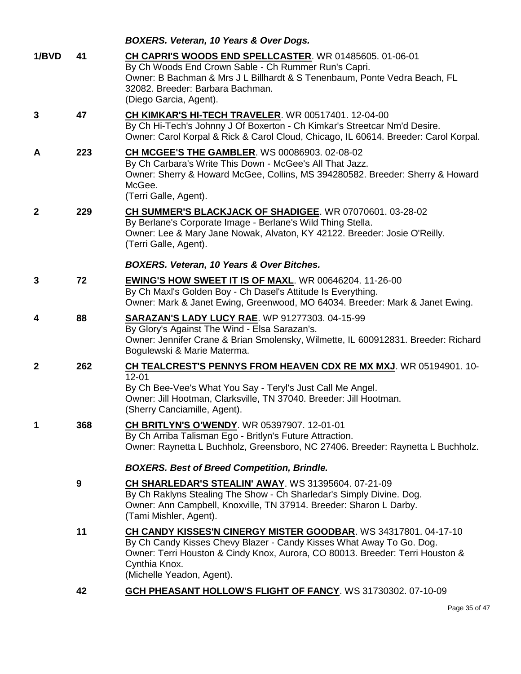|              |     | BOXERS. Veteran, 10 Years & Over Dogs.                                                                                                                                                                                                                                |
|--------------|-----|-----------------------------------------------------------------------------------------------------------------------------------------------------------------------------------------------------------------------------------------------------------------------|
| 1/BVD        | 41  | CH CAPRI'S WOODS END SPELLCASTER. WR 01485605. 01-06-01<br>By Ch Woods End Crown Sable - Ch Rummer Run's Capri.<br>Owner: B Bachman & Mrs J L Billhardt & S Tenenbaum, Ponte Vedra Beach, FL<br>32082. Breeder: Barbara Bachman.<br>(Diego Garcia, Agent).            |
| 3            | 47  | <b>CH KIMKAR'S HI-TECH TRAVELER. WR 00517401. 12-04-00</b><br>By Ch Hi-Tech's Johnny J Of Boxerton - Ch Kimkar's Streetcar Nm'd Desire.<br>Owner: Carol Korpal & Rick & Carol Cloud, Chicago, IL 60614. Breeder: Carol Korpal.                                        |
| A            | 223 | <b>CH MCGEE'S THE GAMBLER.</b> WS 00086903. 02-08-02<br>By Ch Carbara's Write This Down - McGee's All That Jazz.<br>Owner: Sherry & Howard McGee, Collins, MS 394280582. Breeder: Sherry & Howard<br>McGee.<br>(Terri Galle, Agent).                                  |
| $\mathbf{2}$ | 229 | CH SUMMER'S BLACKJACK OF SHADIGEE. WR 07070601. 03-28-02<br>By Berlane's Corporate Image - Berlane's Wild Thing Stella.<br>Owner: Lee & Mary Jane Nowak, Alvaton, KY 42122. Breeder: Josie O'Reilly.<br>(Terri Galle, Agent).                                         |
|              |     | <b>BOXERS. Veteran, 10 Years &amp; Over Bitches.</b>                                                                                                                                                                                                                  |
| 3            | 72  | <b>EWING'S HOW SWEET IT IS OF MAXL. WR 00646204. 11-26-00</b><br>By Ch Maxl's Golden Boy - Ch Dasel's Attitude Is Everything.<br>Owner: Mark & Janet Ewing, Greenwood, MO 64034. Breeder: Mark & Janet Ewing.                                                         |
| 4            | 88  | <b>SARAZAN'S LADY LUCY RAE. WP 91277303. 04-15-99</b><br>By Glory's Against The Wind - Elsa Sarazan's.<br>Owner: Jennifer Crane & Brian Smolensky, Wilmette, IL 600912831. Breeder: Richard<br>Bogulewski & Marie Materma.                                            |
| $\mathbf{2}$ | 262 | CH TEALCREST'S PENNYS FROM HEAVEN CDX RE MX MXJ. WR 05194901. 10-<br>$12 - 01$<br>By Ch Bee-Vee's What You Say - Teryl's Just Call Me Angel.<br>Owner: Jill Hootman, Clarksville, TN 37040. Breeder: Jill Hootman.<br>(Sherry Canciamille, Agent).                    |
| 1            | 368 | <b>CH BRITLYN'S O'WENDY.</b> WR 05397907. 12-01-01<br>By Ch Arriba Talisman Ego - Britlyn's Future Attraction.<br>Owner: Raynetta L Buchholz, Greensboro, NC 27406. Breeder: Raynetta L Buchholz.                                                                     |
|              |     | <b>BOXERS. Best of Breed Competition, Brindle.</b>                                                                                                                                                                                                                    |
|              | 9   | <b>CH SHARLEDAR'S STEALIN' AWAY.</b> WS 31395604. 07-21-09<br>By Ch Raklyns Stealing The Show - Ch Sharledar's Simply Divine. Dog.<br>Owner: Ann Campbell, Knoxville, TN 37914. Breeder: Sharon L Darby.<br>(Tami Mishler, Agent).                                    |
|              | 11  | CH CANDY KISSES'N CINERGY MISTER GOODBAR. WS 34317801.04-17-10<br>By Ch Candy Kisses Chevy Blazer - Candy Kisses What Away To Go. Dog.<br>Owner: Terri Houston & Cindy Knox, Aurora, CO 80013. Breeder: Terri Houston &<br>Cynthia Knox.<br>(Michelle Yeadon, Agent). |
|              | 42  | GCH PHEASANT HOLLOW'S FLIGHT OF FANCY. WS 31730302. 07-10-09                                                                                                                                                                                                          |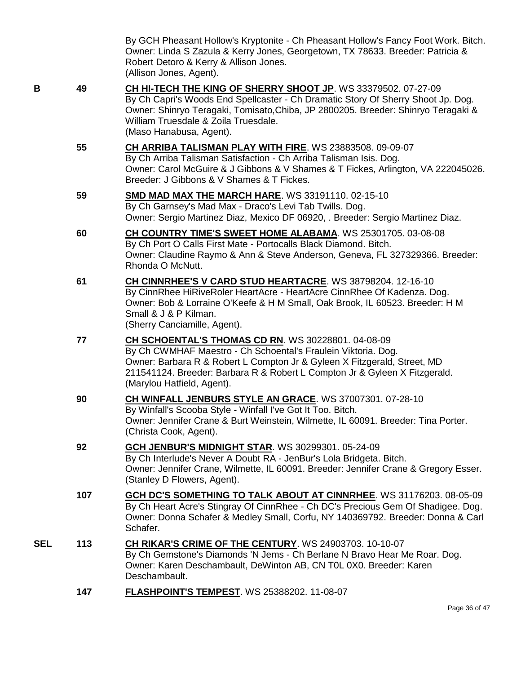By GCH Pheasant Hollow's Kryptonite - Ch Pheasant Hollow's Fancy Foot Work. Bitch. Owner: Linda S Zazula & Kerry Jones, Georgetown, TX 78633. Breeder: Patricia & Robert Detoro & Kerry & Allison Jones. (Allison Jones, Agent).

- 
- **B 49 [CH HI-TECH THE KING OF SHERRY SHOOT JP](http://www.infodog.com/files/bdogrsl1.prg;makc=WS%2033379502;mdog=Ch_Hi-Tech_The_King_Of_Sherry_Shoot_Jp;wins=all)**. WS 33379502. 07-27-09 By Ch Capri's Woods End Spellcaster - Ch Dramatic Story Of Sherry Shoot Jp. Dog. Owner: Shinryo Teragaki, Tomisato,Chiba, JP 2800205. Breeder: Shinryo Teragaki & William Truesdale & Zoila Truesdale. (Maso Hanabusa, Agent).
	- **55 [CH ARRIBA TALISMAN PLAY WITH FIRE](http://www.infodog.com/files/bdogrsl1.prg;makc=WS%2023883508;mdog=Ch_Arriba_Talisman_Play_With_Fire;wins=all)**. WS 23883508. 09-09-07 By Ch Arriba Talisman Satisfaction - Ch Arriba Talisman Isis. Dog. Owner: Carol McGuire & J Gibbons & V Shames & T Fickes, Arlington, VA 222045026. Breeder: J Gibbons & V Shames & T Fickes.
	- **59 [SMD MAD MAX THE MARCH HARE](http://www.infodog.com/files/bdogrsl1.prg;makc=WS%2033191110;mdog=SMD_Mad_Max_The_March_Hare;wins=all)**. WS 33191110. 02-15-10 By Ch Garnsey's Mad Max - Draco's Levi Tab Twills. Dog. Owner: Sergio Martinez Diaz, Mexico DF 06920, . Breeder: Sergio Martinez Diaz.
	- **60 [CH COUNTRY TIME'S SWEET HOME ALABAMA](http://www.infodog.com/files/bdogrsl1.prg;makc=WS%2025301705;mdog=Ch_Country_Time_s_Sweet_Home_Alabama;wins=all)**. WS 25301705. 03-08-08 By Ch Port O Calls First Mate - Portocalls Black Diamond. Bitch. Owner: Claudine Raymo & Ann & Steve Anderson, Geneva, FL 327329366. Breeder: Rhonda O McNutt.
	- **61 [CH CINNRHEE'S V CARD STUD HEARTACRE](http://www.infodog.com/files/bdogrsl1.prg;makc=WS%2038798204;mdog=Ch_CinnRhee_s_V_Card_Stud_HeartAcre;wins=all)**. WS 38798204. 12-16-10 By CinnRhee HiRiveRoler HeartAcre - HeartAcre CinnRhee Of Kadenza. Dog. Owner: Bob & Lorraine O'Keefe & H M Small, Oak Brook, IL 60523. Breeder: H M Small & J & P Kilman. (Sherry Canciamille, Agent).
	- **77 [CH SCHOENTAL'S THOMAS CD RN](http://www.infodog.com/files/bdogrsl1.prg;makc=WS%2030228801;mdog=Ch_Schoental_s_Thomas_CD_RN;wins=all)**. WS 30228801. 04-08-09 By Ch CWMHAF Maestro - Ch Schoental's Fraulein Viktoria. Dog. Owner: Barbara R & Robert L Compton Jr & Gyleen X Fitzgerald, Street, MD 211541124. Breeder: Barbara R & Robert L Compton Jr & Gyleen X Fitzgerald. (Marylou Hatfield, Agent).
	- **90 [CH WINFALL JENBURS STYLE AN GRACE](http://www.infodog.com/files/bdogrsl1.prg;makc=WS%2037007301;mdog=Ch_Winfall_JenBurs_Style_An_Grace;wins=all)**. WS 37007301. 07-28-10 By Winfall's Scooba Style - Winfall I've Got It Too. Bitch. Owner: Jennifer Crane & Burt Weinstein, Wilmette, IL 60091. Breeder: Tina Porter. (Christa Cook, Agent).
	- **92 [GCH JENBUR'S MIDNIGHT STAR](http://www.infodog.com/files/bdogrsl1.prg;makc=WS%2030299301;mdog=GCH_JenBur_s_Midnight_Star;wins=all)**. WS 30299301. 05-24-09 By Ch Interlude's Never A Doubt RA - JenBur's Lola Bridgeta. Bitch. Owner: Jennifer Crane, Wilmette, IL 60091. Breeder: Jennifer Crane & Gregory Esser. (Stanley D Flowers, Agent).
	- **107 [GCH DC'S SOMETHING TO TALK ABOUT AT CINNRHEE](http://www.infodog.com/files/bdogrsl1.prg;makc=WS%2031176203;mdog=GCH_DC_s_Something_To_Talk_About_At_CinnRhee;wins=all)**. WS 31176203. 08-05-09 By Ch Heart Acre's Stingray Of CinnRhee - Ch DC's Precious Gem Of Shadigee. Dog. Owner: Donna Schafer & Medley Small, Corfu, NY 140369792. Breeder: Donna & Carl Schafer.
- **SEL 113 [CH RIKAR'S CRIME OF THE CENTURY](http://www.infodog.com/files/bdogrsl1.prg;makc=WS%2024903703;mdog=Ch_Rikar_s_Crime_Of_The_Century;wins=all)**. WS 24903703. 10-10-07 By Ch Gemstone's Diamonds 'N Jems - Ch Berlane N Bravo Hear Me Roar. Dog. Owner: Karen Deschambault, DeWinton AB, CN T0L 0X0. Breeder: Karen Deschambault.
	- **147 [FLASHPOINT'S TEMPEST](http://www.infodog.com/files/bdogrsl1.prg;makc=WS%2025388202;mdog=Flashpoint_s_Tempest;wins=all)**. WS 25388202. 11-08-07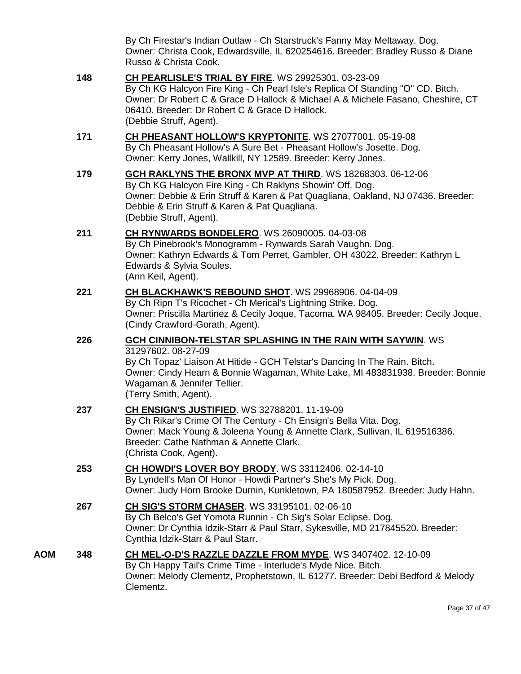By Ch Firestar's Indian Outlaw - Ch Starstruck's Fanny May Meltaway. Dog. Owner: Christa Cook, Edwardsville, IL 620254616. Breeder: Bradley Russo & Diane Russo & Christa Cook.

- **148 [CH PEARLISLE'S TRIAL BY FIRE](http://www.infodog.com/files/bdogrsl1.prg;makc=WS%2029925301;mdog=Ch_Pearlisle_s_Trial_By_Fire;wins=all)**. WS 29925301. 03-23-09 By Ch KG Halcyon Fire King - Ch Pearl Isle's Replica Of Standing "O" CD. Bitch. Owner: Dr Robert C & Grace D Hallock & Michael A & Michele Fasano, Cheshire, CT 06410. Breeder: Dr Robert C & Grace D Hallock. (Debbie Struff, Agent).
- **171 [CH PHEASANT HOLLOW'S KRYPTONITE](http://www.infodog.com/files/bdogrsl1.prg;makc=WS%2027077001;mdog=Ch_Pheasant_Hollow_s_Kryptonite;wins=all)**. WS 27077001. 05-19-08 By Ch Pheasant Hollow's A Sure Bet - Pheasant Hollow's Josette. Dog. Owner: Kerry Jones, Wallkill, NY 12589. Breeder: Kerry Jones.
- **179 [GCH RAKLYNS THE BRONX MVP AT THIRD](http://www.infodog.com/files/bdogrsl1.prg;makc=WS%2018268303;mdog=GCH_Raklyns_The_Bronx_MVP_At_Third;wins=all)**. WS 18268303. 06-12-06 By Ch KG Halcyon Fire King - Ch Raklyns Showin' Off. Dog. Owner: Debbie & Erin Struff & Karen & Pat Quagliana, Oakland, NJ 07436. Breeder: Debbie & Erin Struff & Karen & Pat Quagliana. (Debbie Struff, Agent).
- **211 [CH RYNWARDS BONDELERO](http://www.infodog.com/files/bdogrsl1.prg;makc=WS%2026090005;mdog=Ch_Rynwards_Bondelero;wins=all)**. WS 26090005. 04-03-08 By Ch Pinebrook's Monogramm - Rynwards Sarah Vaughn. Dog. Owner: Kathryn Edwards & Tom Perret, Gambler, OH 43022. Breeder: Kathryn L Edwards & Sylvia Soules. (Ann Keil, Agent).
- **221 [CH BLACKHAWK'S REBOUND SHOT](http://www.infodog.com/files/bdogrsl1.prg;makc=WS%2029968906;mdog=Ch_Blackhawk_s_Rebound_Shot;wins=all)**. WS 29968906. 04-04-09 By Ch Ripn T's Ricochet - Ch Merical's Lightning Strike. Dog. Owner: Priscilla Martinez & Cecily Joque, Tacoma, WA 98405. Breeder: Cecily Joque. (Cindy Crawford-Gorath, Agent).

### **226 [GCH CINNIBON-TELSTAR SPLASHING IN THE RAIN WITH SAYWIN](http://www.infodog.com/files/bdogrsl1.prg;makc=WS%2031297602;mdog=GCH_Cinnibon-Telstar_Splashing_In_The_Rain_With_Saywin;wins=all)**. WS 31297602. 08-27-09

By Ch Topaz' Liaison At Hitide - GCH Telstar's Dancing In The Rain. Bitch. Owner: Cindy Hearn & Bonnie Wagaman, White Lake, MI 483831938. Breeder: Bonnie Wagaman & Jennifer Tellier. (Terry Smith, Agent).

# **237 [CH ENSIGN'S JUSTIFIED](http://www.infodog.com/files/bdogrsl1.prg;makc=WS%2032788201;mdog=Ch_Ensign_s_Justified;wins=all)**. WS 32788201. 11-19-09 By Ch Rikar's Crime Of The Century - Ch Ensign's Bella Vita. Dog. Owner: Mack Young & Joleena Young & Annette Clark, Sullivan, IL 619516386. Breeder: Cathe Nathman & Annette Clark. (Christa Cook, Agent). **253 [CH HOWDI'S LOVER BOY BRODY](http://www.infodog.com/files/bdogrsl1.prg;makc=WS%2033112406;mdog=Ch_Howdi_s_Lover_Boy_Brody;wins=all)**. WS 33112406. 02-14-10

By Lyndell's Man Of Honor - Howdi Partner's She's My Pick. Dog. Owner: Judy Horn Brooke Durnin, Kunkletown, PA 180587952. Breeder: Judy Hahn.

**267 [CH SIG'S STORM CHASER](http://www.infodog.com/files/bdogrsl1.prg;makc=WS%2033195101;mdog=Ch_Sig_s_Storm_Chaser;wins=all)**. WS 33195101. 02-06-10 By Ch Belco's Get Yomota Runnin - Ch Sig's Solar Eclipse. Dog. Owner: Dr Cynthia Idzik-Starr & Paul Starr, Sykesville, MD 217845520. Breeder: Cynthia Idzik-Starr & Paul Starr.

#### **AOM 348 [CH MEL-O-D'S RAZZLE DAZZLE FROM MYDE](http://www.infodog.com/files/bdogrsl1.prg;makc=WS%203407402;mdog=Ch_Mel-o-D_s_Razzle_Dazzle_From_Myde;wins=all)**. WS 3407402. 12-10-09 By Ch Happy Tail's Crime Time - Interlude's Myde Nice. Bitch. Owner: Melody Clementz, Prophetstown, IL 61277. Breeder: Debi Bedford & Melody Clementz.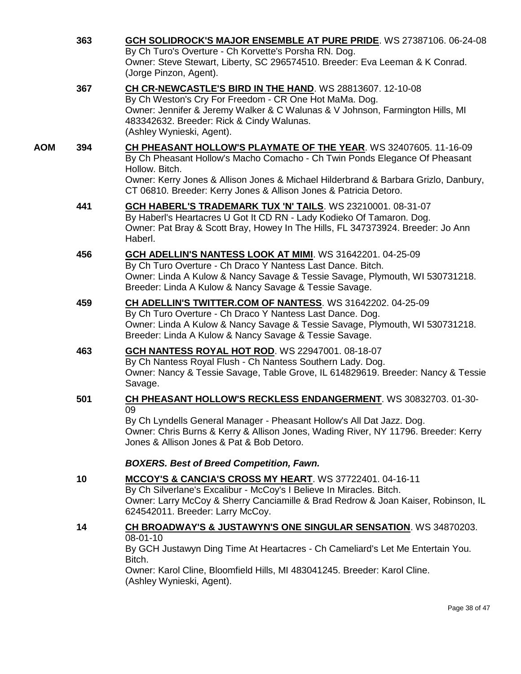|     | 363 | GCH SOLIDROCK'S MAJOR ENSEMBLE AT PURE PRIDE. WS 27387106. 06-24-08<br>By Ch Turo's Overture - Ch Korvette's Porsha RN. Dog.<br>Owner: Steve Stewart, Liberty, SC 296574510. Breeder: Eva Leeman & K Conrad.<br>(Jorge Pinzon, Agent).                                                                                       |
|-----|-----|------------------------------------------------------------------------------------------------------------------------------------------------------------------------------------------------------------------------------------------------------------------------------------------------------------------------------|
|     | 367 | CH CR-NEWCASTLE'S BIRD IN THE HAND. WS 28813607. 12-10-08<br>By Ch Weston's Cry For Freedom - CR One Hot MaMa. Dog.<br>Owner: Jennifer & Jeremy Walker & C Walunas & V Johnson, Farmington Hills, MI<br>483342632. Breeder: Rick & Cindy Walunas.<br>(Ashley Wynieski, Agent).                                               |
| AOM | 394 | CH PHEASANT HOLLOW'S PLAYMATE OF THE YEAR. WS 32407605. 11-16-09<br>By Ch Pheasant Hollow's Macho Comacho - Ch Twin Ponds Elegance Of Pheasant<br>Hollow. Bitch.<br>Owner: Kerry Jones & Allison Jones & Michael Hilderbrand & Barbara Grizlo, Danbury,<br>CT 06810. Breeder: Kerry Jones & Allison Jones & Patricia Detoro. |
|     | 441 | <b>GCH HABERL'S TRADEMARK TUX 'N' TAILS. WS 23210001. 08-31-07</b><br>By Haberl's Heartacres U Got It CD RN - Lady Kodieko Of Tamaron. Dog.<br>Owner: Pat Bray & Scott Bray, Howey In The Hills, FL 347373924. Breeder: Jo Ann<br>Haberl.                                                                                    |
|     | 456 | GCH ADELLIN'S NANTESS LOOK AT MIMI. WS 31642201. 04-25-09<br>By Ch Turo Overture - Ch Draco Y Nantess Last Dance. Bitch.<br>Owner: Linda A Kulow & Nancy Savage & Tessie Savage, Plymouth, WI 530731218.<br>Breeder: Linda A Kulow & Nancy Savage & Tessie Savage.                                                           |
|     | 459 | CH ADELLIN'S TWITTER.COM OF NANTESS. WS 31642202. 04-25-09<br>By Ch Turo Overture - Ch Draco Y Nantess Last Dance. Dog.<br>Owner: Linda A Kulow & Nancy Savage & Tessie Savage, Plymouth, WI 530731218.<br>Breeder: Linda A Kulow & Nancy Savage & Tessie Savage.                                                            |
|     | 463 | GCH NANTESS ROYAL HOT ROD. WS 22947001. 08-18-07<br>By Ch Nantess Royal Flush - Ch Nantess Southern Lady. Dog.<br>Owner: Nancy & Tessie Savage, Table Grove, IL 614829619. Breeder: Nancy & Tessie<br>Savage.                                                                                                                |
|     | 501 | <b>CH PHEASANT HOLLOW'S RECKLESS ENDANGERMENT.</b> WS 30832703. 01-30-<br>09<br>By Ch Lyndells General Manager - Pheasant Hollow's All Dat Jazz. Dog.<br>Owner: Chris Burns & Kerry & Allison Jones, Wading River, NY 11796. Breeder: Kerry<br>Jones & Allison Jones & Pat & Bob Detoro.                                     |
|     |     | <b>BOXERS. Best of Breed Competition, Fawn.</b>                                                                                                                                                                                                                                                                              |
|     | 10  | MCCOY'S & CANCIA'S CROSS MY HEART. WS 37722401.04-16-11<br>By Ch Silverlane's Excalibur - McCoy's I Believe In Miracles. Bitch.<br>Owner: Larry McCoy & Sherry Canciamille & Brad Redrow & Joan Kaiser, Robinson, IL<br>624542011. Breeder: Larry McCoy.                                                                     |
|     | 14  | <b>CH BROADWAY'S &amp; JUSTAWYN'S ONE SINGULAR SENSATION.</b> WS 34870203.<br>08-01-10<br>By GCH Justawyn Ding Time At Heartacres - Ch Cameliard's Let Me Entertain You.<br>Bitch.<br>Owner: Karol Cline, Bloomfield Hills, MI 483041245. Breeder: Karol Cline.<br>(Ashley Wynieski, Agent).                                 |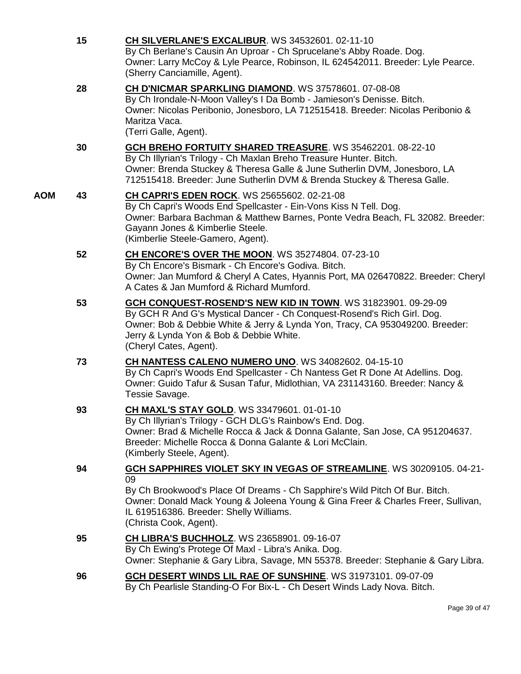|     | 15 | <b>CH SILVERLANE'S EXCALIBUR. WS 34532601. 02-11-10</b><br>By Ch Berlane's Causin An Uproar - Ch Sprucelane's Abby Roade. Dog.<br>Owner: Larry McCoy & Lyle Pearce, Robinson, IL 624542011. Breeder: Lyle Pearce.<br>(Sherry Canciamille, Agent).                                                                         |
|-----|----|---------------------------------------------------------------------------------------------------------------------------------------------------------------------------------------------------------------------------------------------------------------------------------------------------------------------------|
|     | 28 | CH D'NICMAR SPARKLING DIAMOND. WS 37578601. 07-08-08<br>By Ch Irondale-N-Moon Valley's I Da Bomb - Jamieson's Denisse. Bitch.<br>Owner: Nicolas Peribonio, Jonesboro, LA 712515418. Breeder: Nicolas Peribonio &<br>Maritza Vaca.<br>(Terri Galle, Agent).                                                                |
|     | 30 | <b>GCH BREHO FORTUITY SHARED TREASURE.</b> WS 35462201. 08-22-10<br>By Ch Illyrian's Trilogy - Ch Maxlan Breho Treasure Hunter. Bitch.<br>Owner: Brenda Stuckey & Theresa Galle & June Sutherlin DVM, Jonesboro, LA<br>712515418. Breeder: June Sutherlin DVM & Brenda Stuckey & Theresa Galle.                           |
| AOM | 43 | <b>CH CAPRI'S EDEN ROCK.</b> WS 25655602. 02-21-08<br>By Ch Capri's Woods End Spellcaster - Ein-Vons Kiss N Tell. Dog.<br>Owner: Barbara Bachman & Matthew Barnes, Ponte Vedra Beach, FL 32082. Breeder:<br>Gayann Jones & Kimberlie Steele.<br>(Kimberlie Steele-Gamero, Agent).                                         |
|     | 52 | CH ENCORE'S OVER THE MOON. WS 35274804. 07-23-10<br>By Ch Encore's Bismark - Ch Encore's Godiva. Bitch.<br>Owner: Jan Mumford & Cheryl A Cates, Hyannis Port, MA 026470822. Breeder: Cheryl<br>A Cates & Jan Mumford & Richard Mumford.                                                                                   |
|     | 53 | GCH CONQUEST-ROSEND'S NEW KID IN TOWN. WS 31823901. 09-29-09<br>By GCH R And G's Mystical Dancer - Ch Conquest-Rosend's Rich Girl. Dog.<br>Owner: Bob & Debbie White & Jerry & Lynda Yon, Tracy, CA 953049200. Breeder:<br>Jerry & Lynda Yon & Bob & Debbie White.<br>(Cheryl Cates, Agent).                              |
|     | 73 | CH NANTESS CALENO NUMERO UNO. WS 34082602. 04-15-10<br>By Ch Capri's Woods End Spellcaster - Ch Nantess Get R Done At Adellins. Dog.<br>Owner: Guido Tafur & Susan Tafur, Midlothian, VA 231143160. Breeder: Nancy &<br>Tessie Savage.                                                                                    |
|     | 93 | <b>CH MAXL'S STAY GOLD. WS 33479601. 01-01-10</b><br>By Ch Illyrian's Trilogy - GCH DLG's Rainbow's End. Dog.<br>Owner: Brad & Michelle Rocca & Jack & Donna Galante, San Jose, CA 951204637.<br>Breeder: Michelle Rocca & Donna Galante & Lori McClain.<br>(Kimberly Steele, Agent).                                     |
|     | 94 | <b>GCH SAPPHIRES VIOLET SKY IN VEGAS OF STREAMLINE.</b> WS 30209105. 04-21-<br>09<br>By Ch Brookwood's Place Of Dreams - Ch Sapphire's Wild Pitch Of Bur. Bitch.<br>Owner: Donald Mack Young & Joleena Young & Gina Freer & Charles Freer, Sullivan,<br>IL 619516386. Breeder: Shelly Williams.<br>(Christa Cook, Agent). |
|     | 95 | <b>CH LIBRA'S BUCHHOLZ.</b> WS 23658901. 09-16-07<br>By Ch Ewing's Protege Of Maxl - Libra's Anika. Dog.<br>Owner: Stephanie & Gary Libra, Savage, MN 55378. Breeder: Stephanie & Gary Libra.                                                                                                                             |
|     | 96 | GCH DESERT WINDS LIL RAE OF SUNSHINE. WS 31973101. 09-07-09<br>By Ch Pearlisle Standing-O For Bix-L - Ch Desert Winds Lady Nova. Bitch.                                                                                                                                                                                   |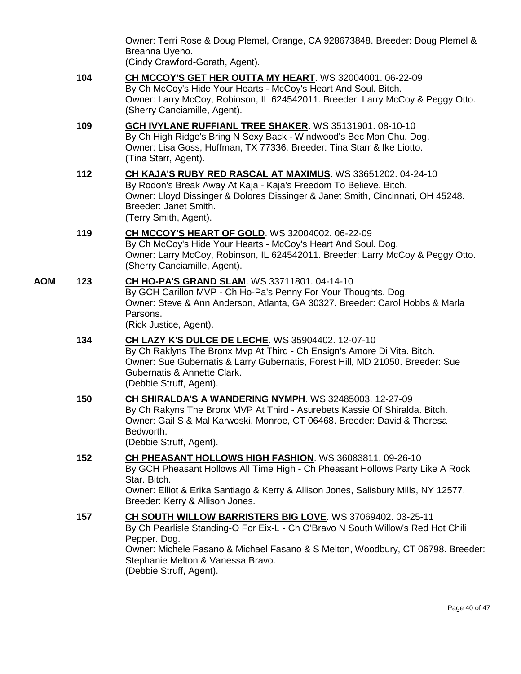| Owner: Terri Rose & Doug Plemel, Orange, CA 928673848. Breeder: Doug Plemel & |  |  |
|-------------------------------------------------------------------------------|--|--|
| Breanna Uyeno.                                                                |  |  |
| (Cindy Crawford-Gorath Agent)                                                 |  |  |

(Cindy Crawford-Gorath, Agent).

**104 [CH MCCOY'S GET HER OUTTA MY HEART](http://www.infodog.com/files/bdogrsl1.prg;makc=WS%2032004001;mdog=Ch_McCoy_s_Get_Her_Outta_My_Heart;wins=all)**. WS 32004001. 06-22-09 By Ch McCoy's Hide Your Hearts - McCoy's Heart And Soul. Bitch. Owner: Larry McCoy, Robinson, IL 624542011. Breeder: Larry McCoy & Peggy Otto. (Sherry Canciamille, Agent). **109 [GCH IVYLANE RUFFIANL TREE SHAKER](http://www.infodog.com/files/bdogrsl1.prg;makc=WS%2035131901;mdog=GCH_Ivylane_Ruffianl_Tree_Shaker;wins=all)**. WS 35131901. 08-10-10 By Ch High Ridge's Bring N Sexy Back - Windwood's Bec Mon Chu. Dog. Owner: Lisa Goss, Huffman, TX 77336. Breeder: Tina Starr & Ike Liotto. (Tina Starr, Agent). **112 CH KAJA'S RUBY [RED RASCAL AT MAXIMUS](http://www.infodog.com/files/bdogrsl1.prg;makc=WS%2033651202;mdog=Ch_Kaja_s_Ruby_Red_Rascal_At_Maximus;wins=all)**. WS 33651202. 04-24-10 By Rodon's Break Away At Kaja - Kaja's Freedom To Believe. Bitch. Owner: Lloyd Dissinger & Dolores Dissinger & Janet Smith, Cincinnati, OH 45248. Breeder: Janet Smith. (Terry Smith, Agent). **119 [CH MCCOY'S HEART OF GOLD](http://www.infodog.com/files/bdogrsl1.prg;makc=WS%2032004002;mdog=Ch_McCoy_s_Heart_Of_Gold;wins=all)**. WS 32004002. 06-22-09 By Ch McCoy's Hide Your Hearts - McCoy's Heart And Soul. Dog. Owner: Larry McCoy, Robinson, IL 624542011. Breeder: Larry McCoy & Peggy Otto. (Sherry Canciamille, Agent). **AOM 123 [CH HO-PA'S GRAND SLAM](http://www.infodog.com/files/bdogrsl1.prg;makc=WS%2033711801;mdog=Ch_Ho-Pa_s_Grand_Slam;wins=all)**. WS 33711801. 04-14-10 By GCH Carillon MVP - Ch Ho-Pa's Penny For Your Thoughts. Dog. Owner: Steve & Ann Anderson, Atlanta, GA 30327. Breeder: Carol Hobbs & Marla Parsons. (Rick Justice, Agent). **134 [CH LAZY K'S DULCE DE LECHE](http://www.infodog.com/files/bdogrsl1.prg;makc=WS%2035904402;mdog=Ch_Lazy_K_s_Dulce_De_Leche;wins=all)**. WS 35904402. 12-07-10 By Ch Raklyns The Bronx Mvp At Third - Ch Ensign's Amore Di Vita. Bitch. Owner: Sue Gubernatis & Larry Gubernatis, Forest Hill, MD 21050. Breeder: Sue Gubernatis & Annette Clark. (Debbie Struff, Agent). **150 [CH SHIRALDA'S A WANDERING NYMPH](http://www.infodog.com/files/bdogrsl1.prg;makc=WS%2032485003;mdog=Ch_Shiralda_s_A_Wandering_Nymph;wins=all)**. WS 32485003. 12-27-09 By Ch Rakyns The Bronx MVP At Third - Asurebets Kassie Of Shiralda. Bitch. Owner: Gail S & Mal Karwoski, Monroe, CT 06468. Breeder: David & Theresa Bedworth. (Debbie Struff, Agent). **152 [CH PHEASANT HOLLOWS HIGH FASHION](http://www.infodog.com/files/bdogrsl1.prg;makc=WS%2036083811;mdog=Ch_Pheasant_Hollows_High_Fashion;wins=all)**. WS 36083811. 09-26-10 By GCH Pheasant Hollows All Time High - Ch Pheasant Hollows Party Like A Rock Star. Bitch. Owner: Elliot & Erika Santiago & Kerry & Allison Jones, Salisbury Mills, NY 12577. Breeder: Kerry & Allison Jones. **157 [CH SOUTH WILLOW BARRISTERS BIG LOVE](http://www.infodog.com/files/bdogrsl1.prg;makc=WS%2037069402;mdog=Ch_South_Willow_Barristers_Big_Love;wins=all)**. WS 37069402. 03-25-11 By Ch Pearlisle Standing-O For Eix-L - Ch O'Bravo N South Willow's Red Hot Chili Pepper. Dog. Owner: Michele Fasano & Michael Fasano & S Melton, Woodbury, CT 06798. Breeder: Stephanie Melton & Vanessa Bravo. (Debbie Struff, Agent).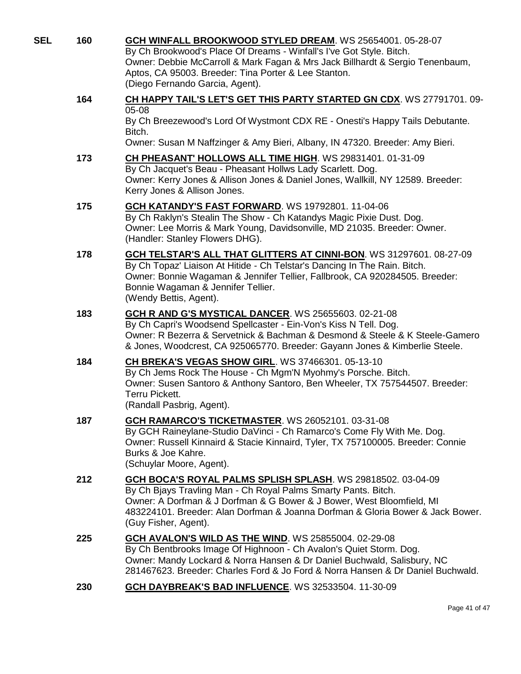| SEL | 160 | GCH WINFALL BROOKWOOD STYLED DREAM. WS 25654001. 05-28-07<br>By Ch Brookwood's Place Of Dreams - Winfall's I've Got Style. Bitch.<br>Owner: Debbie McCarroll & Mark Fagan & Mrs Jack Billhardt & Sergio Tenenbaum,<br>Aptos, CA 95003. Breeder: Tina Porter & Lee Stanton.<br>(Diego Fernando Garcia, Agent).    |
|-----|-----|------------------------------------------------------------------------------------------------------------------------------------------------------------------------------------------------------------------------------------------------------------------------------------------------------------------|
|     | 164 | CH HAPPY TAIL'S LET'S GET THIS PARTY STARTED GN CDX. WS 27791701. 09-<br>05-08<br>By Ch Breezewood's Lord Of Wystmont CDX RE - Onesti's Happy Tails Debutante.<br>Bitch.<br>Owner: Susan M Naffzinger & Amy Bieri, Albany, IN 47320. Breeder: Amy Bieri.                                                         |
|     | 173 | CH PHEASANT' HOLLOWS ALL TIME HIGH. WS 29831401. 01-31-09<br>By Ch Jacquet's Beau - Pheasant Hollws Lady Scarlett. Dog.<br>Owner: Kerry Jones & Allison Jones & Daniel Jones, Wallkill, NY 12589. Breeder:<br>Kerry Jones & Allison Jones.                                                                       |
|     | 175 | <b>GCH KATANDY'S FAST FORWARD. WS 19792801. 11-04-06</b><br>By Ch Raklyn's Stealin The Show - Ch Katandys Magic Pixie Dust. Dog.<br>Owner: Lee Morris & Mark Young, Davidsonville, MD 21035. Breeder: Owner.<br>(Handler: Stanley Flowers DHG).                                                                  |
|     | 178 | GCH TELSTAR'S ALL THAT GLITTERS AT CINNI-BON. WS 31297601. 08-27-09<br>By Ch Topaz' Liaison At Hitide - Ch Telstar's Dancing In The Rain. Bitch.<br>Owner: Bonnie Wagaman & Jennifer Tellier, Fallbrook, CA 920284505. Breeder:<br>Bonnie Wagaman & Jennifer Tellier.<br>(Wendy Bettis, Agent).                  |
|     | 183 | GCH R AND G'S MYSTICAL DANCER. WS 25655603. 02-21-08<br>By Ch Capri's Woodsend Spellcaster - Ein-Von's Kiss N Tell. Dog.<br>Owner: R Bezerra & Servetnick & Bachman & Desmond & Steele & K Steele-Gamero<br>& Jones, Woodcrest, CA 925065770. Breeder: Gayann Jones & Kimberlie Steele.                          |
|     | 184 | CH BREKA'S VEGAS SHOW GIRL. WS 37466301. 05-13-10<br>By Ch Jems Rock The House - Ch Mgm'N Myohmy's Porsche. Bitch.<br>Owner: Susen Santoro & Anthony Santoro, Ben Wheeler, TX 757544507. Breeder:<br><b>Terru Pickett.</b><br>(Randall Pasbrig, Agent).                                                          |
|     | 187 | GCH RAMARCO'S TICKETMASTER. WS 26052101. 03-31-08<br>By GCH Raineylane-Studio DaVinci - Ch Ramarco's Come Fly With Me. Dog.<br>Owner: Russell Kinnaird & Stacie Kinnaird, Tyler, TX 757100005. Breeder: Connie<br>Burks & Joe Kahre.<br>(Schuylar Moore, Agent).                                                 |
|     | 212 | GCH BOCA'S ROYAL PALMS SPLISH SPLASH. WS 29818502. 03-04-09<br>By Ch Bjays Travling Man - Ch Royal Palms Smarty Pants. Bitch.<br>Owner: A Dorfman & J Dorfman & G Bower & J Bower, West Bloomfield, MI<br>483224101. Breeder: Alan Dorfman & Joanna Dorfman & Gloria Bower & Jack Bower.<br>(Guy Fisher, Agent). |
|     | 225 | GCH AVALON'S WILD AS THE WIND. WS 25855004. 02-29-08<br>By Ch Bentbrooks Image Of Highnoon - Ch Avalon's Quiet Storm. Dog.<br>Owner: Mandy Lockard & Norra Hansen & Dr Daniel Buchwald, Salisbury, NC<br>281467623. Breeder: Charles Ford & Jo Ford & Norra Hansen & Dr Daniel Buchwald.                         |
|     | 230 | GCH DAYBREAK'S BAD INFLUENCE. WS 32533504. 11-30-09                                                                                                                                                                                                                                                              |
|     |     |                                                                                                                                                                                                                                                                                                                  |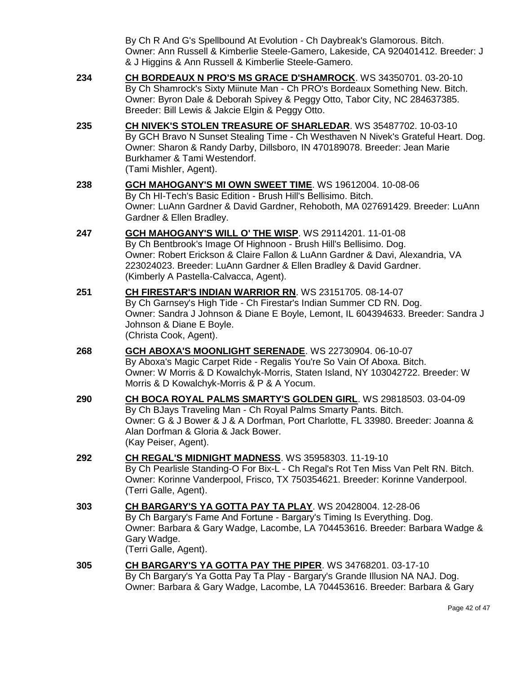By Ch R And G's Spellbound At Evolution - Ch Daybreak's Glamorous. Bitch. Owner: Ann Russell & Kimberlie Steele-Gamero, Lakeside, CA 920401412. Breeder: J & J Higgins & Ann Russell & Kimberlie Steele-Gamero.

- **234 [CH BORDEAUX N PRO'S MS GRACE D'SHAMROCK](http://www.infodog.com/files/bdogrsl1.prg;makc=WS%2034350701;mdog=Ch_Bordeaux_N_PRO_s_Ms_Grace_D_Shamrock;wins=all)**. WS 34350701. 03-20-10 By Ch Shamrock's Sixty Miinute Man - Ch PRO's Bordeaux Something New. Bitch. Owner: Byron Dale & Deborah Spivey & Peggy Otto, Tabor City, NC 284637385. Breeder: Bill Lewis & Jakcie Elgin & Peggy Otto.
- **235 [CH NIVEK'S STOLEN TREASURE OF SHARLEDAR](http://www.infodog.com/files/bdogrsl1.prg;makc=WS%2035487702;mdog=Ch_Nivek_s_Stolen_Treasure_Of_Sharledar;wins=all)**. WS 35487702. 10-03-10 By GCH Bravo N Sunset Stealing Time - Ch Westhaven N Nivek's Grateful Heart. Dog. Owner: Sharon & Randy Darby, Dillsboro, IN 470189078. Breeder: Jean Marie Burkhamer & Tami Westendorf. (Tami Mishler, Agent).
- **238 [GCH MAHOGANY'S MI OWN SWEET TIME](http://www.infodog.com/files/bdogrsl1.prg;makc=WS%2019612004;mdog=GCH_Mahogany_s_MI_Own_Sweet_Time;wins=all)**. WS 19612004. 10-08-06 By Ch HI-Tech's Basic Edition - Brush Hill's Bellisimo. Bitch. Owner: LuAnn Gardner & David Gardner, Rehoboth, MA 027691429. Breeder: LuAnn Gardner & Ellen Bradley.
- **247 [GCH MAHOGANY'S WILL O' THE WISP](http://www.infodog.com/files/bdogrsl1.prg;makc=WS%2029114201;mdog=GCH_Mahogany_s_Will_O__The_Wisp;wins=all)**. WS 29114201. 11-01-08 By Ch Bentbrook's Image Of Highnoon - Brush Hill's Bellisimo. Dog. Owner: Robert Erickson & Claire Fallon & LuAnn Gardner & Davi, Alexandria, VA 223024023. Breeder: LuAnn Gardner & Ellen Bradley & David Gardner. (Kimberly A Pastella-Calvacca, Agent).
- **251 [CH FIRESTAR'S INDIAN WARRIOR RN](http://www.infodog.com/files/bdogrsl1.prg;makc=WS%2023151705;mdog=Ch_Firestar_s_Indian_Warrior_RN;wins=all)**. WS 23151705. 08-14-07 By Ch Garnsey's High Tide - Ch Firestar's Indian Summer CD RN. Dog. Owner: Sandra J Johnson & Diane E Boyle, Lemont, IL 604394633. Breeder: Sandra J Johnson & Diane E Boyle. (Christa Cook, Agent).
- **268 [GCH ABOXA'S MOONLIGHT SERENADE](http://www.infodog.com/files/bdogrsl1.prg;makc=WS%2022730904;mdog=GCH_Aboxa_s_Moonlight_Serenade;wins=all)**. WS 22730904. 06-10-07 By Aboxa's Magic Carpet Ride - Regalis You're So Vain Of Aboxa. Bitch. Owner: W Morris & D Kowalchyk-Morris, Staten Island, NY 103042722. Breeder: W Morris & D Kowalchyk-Morris & P & A Yocum.
- **290 CH BOCA [ROYAL PALMS SMARTY'S GOLDEN GIRL](http://www.infodog.com/files/bdogrsl1.prg;makc=WS%2029818503;mdog=Ch_Boca_Royal_Palms_Smarty_s_Golden_Girl;wins=all)**. WS 29818503. 03-04-09 By Ch BJays Traveling Man - Ch Royal Palms Smarty Pants. Bitch. Owner: G & J Bower & J & A Dorfman, Port Charlotte, FL 33980. Breeder: Joanna & Alan Dorfman & Gloria & Jack Bower. (Kay Peiser, Agent).
- **292 [CH REGAL'S MIDNIGHT MADNESS](http://www.infodog.com/files/bdogrsl1.prg;makc=WS%2035958303;mdog=Ch_Regal_s_Midnight_Madness;wins=all)**. WS 35958303. 11-19-10 By Ch Pearlisle Standing-O For Bix-L - Ch Regal's Rot Ten Miss Van Pelt RN. Bitch. Owner: Korinne Vanderpool, Frisco, TX 750354621. Breeder: Korinne Vanderpool. (Terri Galle, Agent).
- **303 [CH BARGARY'S YA GOTTA PAY TA PLAY](http://www.infodog.com/files/bdogrsl1.prg;makc=WS%2020428004;mdog=Ch_Bargary_s_Ya_Gotta_Pay_Ta_Play;wins=all)**. WS 20428004. 12-28-06 By Ch Bargary's Fame And Fortune - Bargary's Timing Is Everything. Dog. Owner: Barbara & Gary Wadge, Lacombe, LA 704453616. Breeder: Barbara Wadge & Gary Wadge. (Terri Galle, Agent).
- **305 [CH BARGARY'S YA GOTTA PAY THE PIPER](http://www.infodog.com/files/bdogrsl1.prg;makc=WS%2034768201;mdog=Ch_Bargary_s_Ya_Gotta_Pay_The_Piper;wins=all)**. WS 34768201. 03-17-10 By Ch Bargary's Ya Gotta Pay Ta Play - Bargary's Grande Illusion NA NAJ. Dog. Owner: Barbara & Gary Wadge, Lacombe, LA 704453616. Breeder: Barbara & Gary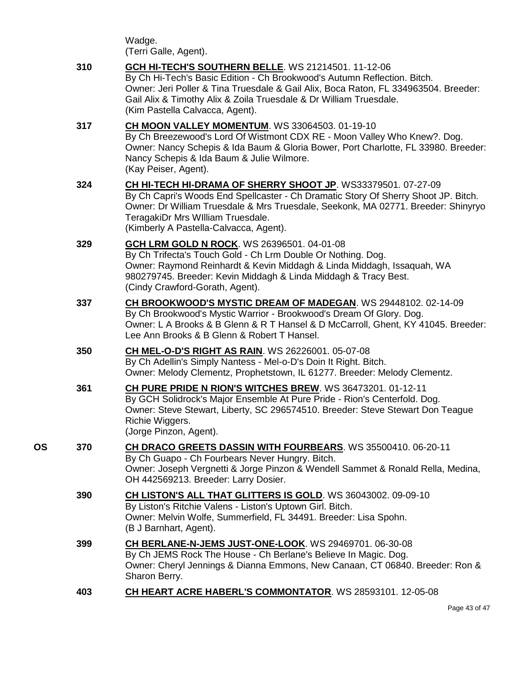Wadge. (Terri Galle, Agent).

|    | 310 | GCH HI-TECH'S SOUTHERN BELLE. WS 21214501. 11-12-06<br>By Ch Hi-Tech's Basic Edition - Ch Brookwood's Autumn Reflection. Bitch.<br>Owner: Jeri Poller & Tina Truesdale & Gail Alix, Boca Raton, FL 334963504. Breeder:<br>Gail Alix & Timothy Alix & Zoila Truesdale & Dr William Truesdale.<br>(Kim Pastella Calvacca, Agent). |
|----|-----|---------------------------------------------------------------------------------------------------------------------------------------------------------------------------------------------------------------------------------------------------------------------------------------------------------------------------------|
|    | 317 | CH MOON VALLEY MOMENTUM. WS 33064503. 01-19-10<br>By Ch Breezewood's Lord Of Wistmont CDX RE - Moon Valley Who Knew?. Dog.<br>Owner: Nancy Schepis & Ida Baum & Gloria Bower, Port Charlotte, FL 33980. Breeder:<br>Nancy Schepis & Ida Baum & Julie Wilmore.<br>(Kay Peiser, Agent).                                           |
|    | 324 | CH HI-TECH HI-DRAMA OF SHERRY SHOOT JP. WS33379501. 07-27-09<br>By Ch Capri's Woods End Spellcaster - Ch Dramatic Story Of Sherry Shoot JP. Bitch.<br>Owner: Dr William Truesdale & Mrs Truesdale, Seekonk, MA 02771. Breeder: Shinyryo<br>TeragakiDr Mrs William Truesdale.<br>(Kimberly A Pastella-Calvacca, Agent).          |
|    | 329 | <b>GCH LRM GOLD N ROCK.</b> WS 26396501. 04-01-08<br>By Ch Trifecta's Touch Gold - Ch Lrm Double Or Nothing. Dog.<br>Owner: Raymond Reinhardt & Kevin Middagh & Linda Middagh, Issaquah, WA<br>980279745. Breeder: Kevin Middagh & Linda Middagh & Tracy Best.<br>(Cindy Crawford-Gorath, Agent).                               |
|    | 337 | CH BROOKWOOD'S MYSTIC DREAM OF MADEGAN. WS 29448102. 02-14-09<br>By Ch Brookwood's Mystic Warrior - Brookwood's Dream Of Glory. Dog.<br>Owner: L A Brooks & B Glenn & R T Hansel & D McCarroll, Ghent, KY 41045. Breeder:<br>Lee Ann Brooks & B Glenn & Robert T Hansel.                                                        |
|    | 350 | <b>CH MEL-O-D'S RIGHT AS RAIN. WS 26226001. 05-07-08</b><br>By Ch Adellin's Simply Nantess - Mel-o-D's Doin It Right. Bitch.<br>Owner: Melody Clementz, Prophetstown, IL 61277. Breeder: Melody Clementz.                                                                                                                       |
|    | 361 | CH PURE PRIDE N RION'S WITCHES BREW. WS 36473201. 01-12-11<br>By GCH Solidrock's Major Ensemble At Pure Pride - Rion's Centerfold. Dog.<br>Owner: Steve Stewart, Liberty, SC 296574510. Breeder: Steve Stewart Don Teague<br>Richie Wiggers.<br>(Jorge Pinzon, Agent).                                                          |
| OS | 370 | CH DRACO GREETS DASSIN WITH FOURBEARS. WS 35500410. 06-20-11<br>By Ch Guapo - Ch Fourbears Never Hungry. Bitch.<br>Owner: Joseph Vergnetti & Jorge Pinzon & Wendell Sammet & Ronald Rella, Medina,<br>OH 442569213. Breeder: Larry Dosier.                                                                                      |
|    | 390 | CH LISTON'S ALL THAT GLITTERS IS GOLD. WS 36043002. 09-09-10<br>By Liston's Ritchie Valens - Liston's Uptown Girl. Bitch.<br>Owner: Melvin Wolfe, Summerfield, FL 34491. Breeder: Lisa Spohn.<br>(B J Barnhart, Agent).                                                                                                         |
|    | 399 | CH BERLANE-N-JEMS JUST-ONE-LOOK. WS 29469701. 06-30-08<br>By Ch JEMS Rock The House - Ch Berlane's Believe In Magic. Dog.<br>Owner: Cheryl Jennings & Dianna Emmons, New Canaan, CT 06840. Breeder: Ron &<br>Sharon Berry.                                                                                                      |
|    | 403 | CH HEART ACRE HABERL'S COMMONTATOR. WS 28593101. 12-05-08                                                                                                                                                                                                                                                                       |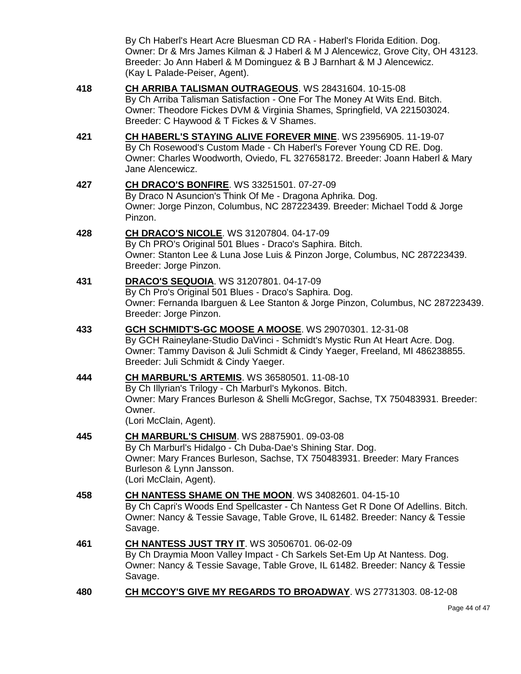By Ch Haberl's Heart Acre Bluesman CD RA - Haberl's Florida Edition. Dog. Owner: Dr & Mrs James Kilman & J Haberl & M J Alencewicz, Grove City, OH 43123. Breeder: Jo Ann Haberl & M Dominguez & B J Barnhart & M J Alencewicz. (Kay L Palade-Peiser, Agent).

- **418 [CH ARRIBA TALISMAN OUTRAGEOUS](http://www.infodog.com/files/bdogrsl1.prg;makc=WS%2028431604;mdog=Ch_Arriba_Talisman_Outrageous;wins=all)**. WS 28431604. 10-15-08 By Ch Arriba Talisman Satisfaction - One For The Money At Wits End. Bitch. Owner: Theodore Fickes DVM & Virginia Shames, Springfield, VA 221503024. Breeder: C Haywood & T Fickes & V Shames.
- **421 [CH HABERL'S STAYING ALIVE FOREVER MINE](http://www.infodog.com/files/bdogrsl1.prg;makc=WS%2023956905;mdog=Ch_Haberl_s_Staying_Alive_Forever_Mine;wins=all)**. WS 23956905. 11-19-07 By Ch Rosewood's Custom Made - Ch Haberl's Forever Young CD RE. Dog. Owner: Charles Woodworth, Oviedo, FL 327658172. Breeder: Joann Haberl & Mary Jane Alencewicz.

## **427 [CH DRACO'S BONFIRE](http://www.infodog.com/files/bdogrsl1.prg;makc=WS%2033251501;mdog=Ch_Draco_s_Bonfire;wins=all)**. WS 33251501. 07-27-09 By Draco N Asuncion's Think Of Me - Dragona Aphrika. Dog. Owner: Jorge Pinzon, Columbus, NC 287223439. Breeder: Michael Todd & Jorge Pinzon.

## **428 [CH DRACO'S NICOLE](http://www.infodog.com/files/bdogrsl1.prg;makc=WS%2031207804;mdog=Ch_Draco_s_Nicole;wins=all)**. WS 31207804. 04-17-09 By Ch PRO's Original 501 Blues - Draco's Saphira. Bitch. Owner: Stanton Lee & Luna Jose Luis & Pinzon Jorge, Columbus, NC 287223439. Breeder: Jorge Pinzon.

# **431 [DRACO'S SEQUOIA](http://www.infodog.com/files/bdogrsl1.prg;makc=WS%2031207801;mdog=Draco_s_Sequoia;wins=all)**. WS 31207801. 04-17-09

By Ch Pro's Original 501 Blues - Draco's Saphira. Dog. Owner: Fernanda Ibarguen & Lee Stanton & Jorge Pinzon, Columbus, NC 287223439. Breeder: Jorge Pinzon.

# **433 [GCH SCHMIDT'S-GC MOOSE A MOOSE](http://www.infodog.com/files/bdogrsl1.prg;makc=WS%2029070301;mdog=GCH_Schmidt_s-GC_Moose_A_Moose;wins=all)**. WS 29070301. 12-31-08 By GCH Raineylane-Studio DaVinci - Schmidt's Mystic Run At Heart Acre. Dog. Owner: Tammy Davison & Juli Schmidt & Cindy Yaeger, Freeland, MI 486238855. Breeder: Juli Schmidt & Cindy Yaeger.

#### **444 [CH MARBURL'S ARTEMIS](http://www.infodog.com/files/bdogrsl1.prg;makc=WS%2036580501;mdog=Ch_Marburl_s_Artemis;wins=all)**. WS 36580501. 11-08-10 By Ch Illyrian's Trilogy - Ch Marburl's Mykonos. Bitch. Owner: Mary Frances Burleson & Shelli McGregor, Sachse, TX 750483931. Breeder: Owner. (Lori McClain, Agent).

## **445 [CH MARBURL'S CHISUM](http://www.infodog.com/files/bdogrsl1.prg;makc=WS%2028875901;mdog=Ch_Marburl_s_Chisum;wins=all)**. WS 28875901. 09-03-08 By Ch Marburl's Hidalgo - Ch Duba-Dae's Shining Star. Dog. Owner: Mary Frances Burleson, Sachse, TX 750483931. Breeder: Mary Frances Burleson & Lynn Jansson. (Lori McClain, Agent).

# **458 [CH NANTESS SHAME ON THE MOON](http://www.infodog.com/files/bdogrsl1.prg;makc=WS%2034082601;mdog=Ch_Nantess_Shame_On_The_Moon;wins=all)**. WS 34082601. 04-15-10 By Ch Capri's Woods End Spellcaster - Ch Nantess Get R Done Of Adellins. Bitch. Owner: Nancy & Tessie Savage, Table Grove, IL 61482. Breeder: Nancy & Tessie Savage.

- **461 [CH NANTESS JUST TRY IT](http://www.infodog.com/files/bdogrsl1.prg;makc=WS%2030506701;mdog=Ch_Nantess_Just_Try_It;wins=all)**. WS 30506701. 06-02-09 By Ch Draymia Moon Valley Impact - Ch Sarkels Set-Em Up At Nantess. Dog. Owner: Nancy & Tessie Savage, Table Grove, IL 61482. Breeder: Nancy & Tessie Savage.
- **480 [CH MCCOY'S GIVE MY REGARDS TO BROADWAY](http://www.infodog.com/files/bdogrsl1.prg;makc=WS%2027731303;mdog=Ch_McCoy_s_Give_My_Regards_To_Broadway;wins=all)**. WS 27731303. 08-12-08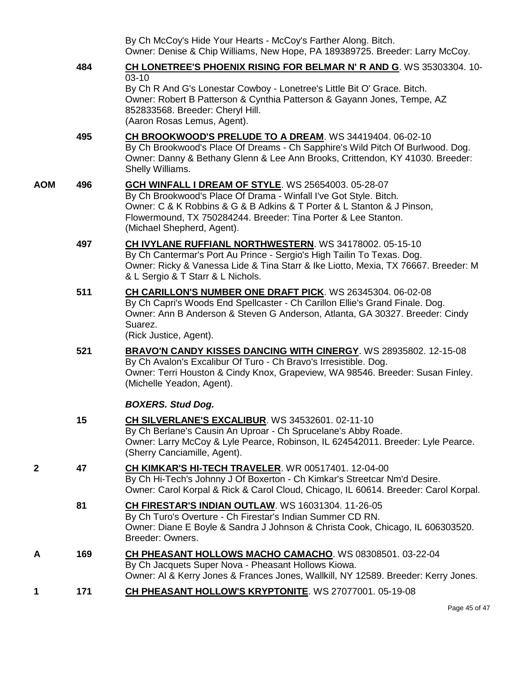|     |     | By Ch McCoy's Hide Your Hearts - McCoy's Farther Along. Bitch.<br>Owner: Denise & Chip Williams, New Hope, PA 189389725. Breeder: Larry McCoy.                                                                                                                                                            |
|-----|-----|-----------------------------------------------------------------------------------------------------------------------------------------------------------------------------------------------------------------------------------------------------------------------------------------------------------|
|     | 484 | <b>CH LONETREE'S PHOENIX RISING FOR BELMAR N' R AND G. WS 35303304. 10-</b>                                                                                                                                                                                                                               |
|     |     | $03-10$<br>By Ch R And G's Lonestar Cowboy - Lonetree's Little Bit O' Grace. Bitch.<br>Owner: Robert B Patterson & Cynthia Patterson & Gayann Jones, Tempe, AZ<br>852833568. Breeder: Cheryl Hill.<br>(Aaron Rosas Lemus, Agent).                                                                         |
|     | 495 | CH BROOKWOOD'S PRELUDE TO A DREAM. WS 34419404. 06-02-10<br>By Ch Brookwood's Place Of Dreams - Ch Sapphire's Wild Pitch Of Burlwood. Dog.<br>Owner: Danny & Bethany Glenn & Lee Ann Brooks, Crittendon, KY 41030. Breeder:<br>Shelly Williams.                                                           |
| AOM | 496 | <b>GCH WINFALL I DREAM OF STYLE. WS 25654003. 05-28-07</b><br>By Ch Brookwood's Place Of Drama - Winfall I've Got Style. Bitch.<br>Owner: C & K Robbins & G & B Adkins & T Porter & L Stanton & J Pinson,<br>Flowermound, TX 750284244. Breeder: Tina Porter & Lee Stanton.<br>(Michael Shepherd, Agent). |
|     | 497 | <b>CH IVYLANE RUFFIANL NORTHWESTERN.</b> WS 34178002. 05-15-10<br>By Ch Cantermar's Port Au Prince - Sergio's High Tailin To Texas. Dog.<br>Owner: Ricky & Vanessa Lide & Tina Starr & Ike Liotto, Mexia, TX 76667. Breeder: M<br>& L Sergio & T Starr & L Nichols.                                       |
|     | 511 | CH CARILLON'S NUMBER ONE DRAFT PICK. WS 26345304. 06-02-08<br>By Ch Capri's Woods End Spellcaster - Ch Carillon Ellie's Grand Finale. Dog.<br>Owner: Ann B Anderson & Steven G Anderson, Atlanta, GA 30327. Breeder: Cindy<br>Suarez.<br>(Rick Justice, Agent).                                           |
|     | 521 | <b>BRAVO'N CANDY KISSES DANCING WITH CINERGY.</b> WS 28935802. 12-15-08<br>By Ch Avalon's Excalibur Of Turo - Ch Bravo's Irresistible. Dog.<br>Owner: Terri Houston & Cindy Knox, Grapeview, WA 98546. Breeder: Susan Finley.<br>(Michelle Yeadon, Agent).                                                |
|     |     | <b>BOXERS. Stud Dog.</b>                                                                                                                                                                                                                                                                                  |
|     | 15  | CH SILVERLANE'S EXCALIBUR. WS 34532601. 02-11-10<br>By Ch Berlane's Causin An Uproar - Ch Sprucelane's Abby Roade.<br>Owner: Larry McCoy & Lyle Pearce, Robinson, IL 624542011. Breeder: Lyle Pearce.<br>(Sherry Canciamille, Agent).                                                                     |
| 2   | 47  | CH KIMKAR'S HI-TECH TRAVELER. WR 00517401. 12-04-00<br>By Ch Hi-Tech's Johnny J Of Boxerton - Ch Kimkar's Streetcar Nm'd Desire.<br>Owner: Carol Korpal & Rick & Carol Cloud, Chicago, IL 60614. Breeder: Carol Korpal.                                                                                   |
|     | 81  | CH FIRESTAR'S INDIAN OUTLAW. WS 16031304. 11-26-05<br>By Ch Turo's Overture - Ch Firestar's Indian Summer CD RN.<br>Owner: Diane E Boyle & Sandra J Johnson & Christa Cook, Chicago, IL 606303520.<br>Breeder: Owners.                                                                                    |
| Α   | 169 | CH PHEASANT HOLLOWS MACHO CAMACHO. WS 08308501. 03-22-04<br>By Ch Jacquets Super Nova - Pheasant Hollows Kiowa.<br>Owner: AI & Kerry Jones & Frances Jones, Wallkill, NY 12589. Breeder: Kerry Jones.                                                                                                     |
| 1   | 171 | CH PHEASANT HOLLOW'S KRYPTONITE. WS 27077001. 05-19-08                                                                                                                                                                                                                                                    |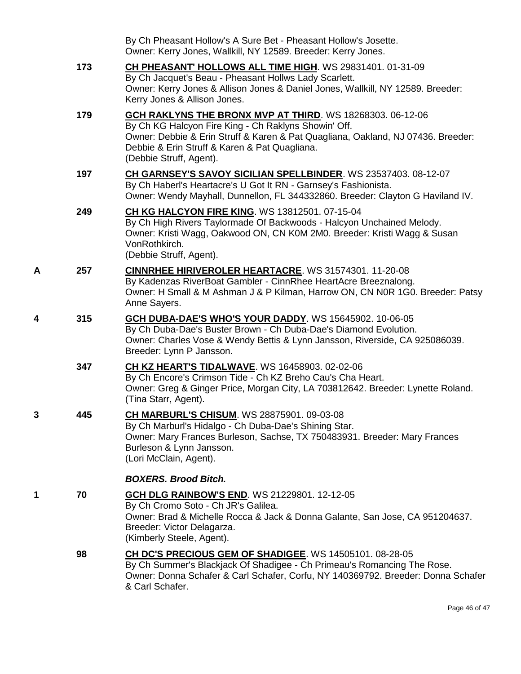|   |     | By Ch Pheasant Hollow's A Sure Bet - Pheasant Hollow's Josette.<br>Owner: Kerry Jones, Wallkill, NY 12589. Breeder: Kerry Jones.                                                                                                                                                  |
|---|-----|-----------------------------------------------------------------------------------------------------------------------------------------------------------------------------------------------------------------------------------------------------------------------------------|
|   | 173 | CH PHEASANT' HOLLOWS ALL TIME HIGH. WS 29831401. 01-31-09<br>By Ch Jacquet's Beau - Pheasant Hollws Lady Scarlett.<br>Owner: Kerry Jones & Allison Jones & Daniel Jones, Wallkill, NY 12589. Breeder:<br>Kerry Jones & Allison Jones.                                             |
|   | 179 | GCH RAKLYNS THE BRONX MVP AT THIRD. WS 18268303. 06-12-06<br>By Ch KG Halcyon Fire King - Ch Raklyns Showin' Off.<br>Owner: Debbie & Erin Struff & Karen & Pat Quagliana, Oakland, NJ 07436. Breeder:<br>Debbie & Erin Struff & Karen & Pat Quagliana.<br>(Debbie Struff, Agent). |
|   | 197 | CH GARNSEY'S SAVOY SICILIAN SPELLBINDER. WS 23537403. 08-12-07<br>By Ch Haberl's Heartacre's U Got It RN - Garnsey's Fashionista.<br>Owner: Wendy Mayhall, Dunnellon, FL 344332860. Breeder: Clayton G Haviland IV.                                                               |
|   | 249 | <b>CH KG HALCYON FIRE KING. WS 13812501. 07-15-04</b><br>By Ch High Rivers Taylormade Of Backwoods - Halcyon Unchained Melody.<br>Owner: Kristi Wagg, Oakwood ON, CN K0M 2M0. Breeder: Kristi Wagg & Susan<br>VonRothkirch.<br>(Debbie Struff, Agent).                            |
| Α | 257 | CINNRHEE HIRIVEROLER HEARTACRE. WS 31574301. 11-20-08<br>By Kadenzas RiverBoat Gambler - CinnRhee HeartAcre Breeznalong.<br>Owner: H Small & M Ashman J & P Kilman, Harrow ON, CN N0R 1G0. Breeder: Patsy<br>Anne Sayers.                                                         |
| 4 | 315 | GCH DUBA-DAE'S WHO'S YOUR DADDY. WS 15645902. 10-06-05<br>By Ch Duba-Dae's Buster Brown - Ch Duba-Dae's Diamond Evolution.<br>Owner: Charles Vose & Wendy Bettis & Lynn Jansson, Riverside, CA 925086039.<br>Breeder: Lynn P Jansson.                                             |
|   | 347 | <b>CH KZ HEART'S TIDALWAVE.</b> WS 16458903. 02-02-06<br>By Ch Encore's Crimson Tide - Ch KZ Breho Cau's Cha Heart.<br>Owner: Greg & Ginger Price, Morgan City, LA 703812642. Breeder: Lynette Roland.<br>(Tina Starr, Agent).                                                    |
|   | 445 | CH MARBURL'S CHISUM. WS 28875901. 09-03-08<br>By Ch Marburl's Hidalgo - Ch Duba-Dae's Shining Star.<br>Owner: Mary Frances Burleson, Sachse, TX 750483931. Breeder: Mary Frances<br>Burleson & Lynn Jansson.<br>(Lori McClain, Agent).                                            |
|   |     | <b>BOXERS. Brood Bitch.</b>                                                                                                                                                                                                                                                       |
| 1 | 70  | <b>GCH DLG RAINBOW'S END. WS 21229801. 12-12-05</b><br>By Ch Cromo Soto - Ch JR's Galilea.<br>Owner: Brad & Michelle Rocca & Jack & Donna Galante, San Jose, CA 951204637.<br>Breeder: Victor Delagarza.<br>(Kimberly Steele, Agent).                                             |
|   | 98  | CH DC'S PRECIOUS GEM OF SHADIGEE. WS 14505101. 08-28-05<br>By Ch Summer's Blackjack Of Shadigee - Ch Primeau's Romancing The Rose.<br>Owner: Donna Schafer & Carl Schafer, Corfu, NY 140369792. Breeder: Donna Schafer<br>& Carl Schafer.                                         |